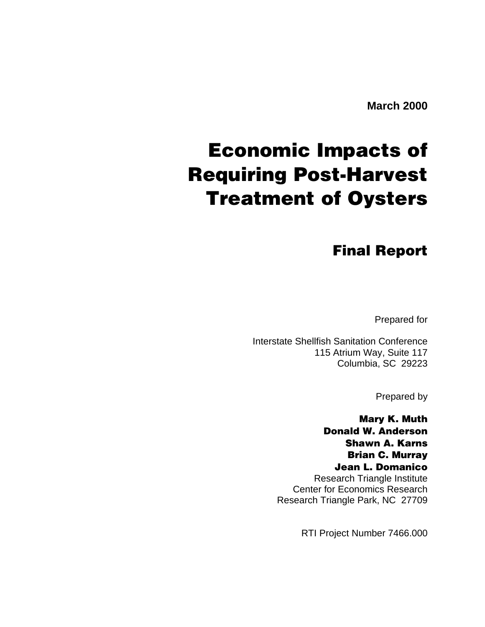### **Economic Impacts of Requiring Post-Harvest Treatment of Oysters**

**Final Report**

Prepared for

Interstate Shellfish Sanitation Conference 115 Atrium Way, Suite 117 Columbia, SC 29223

Prepared by

**Mary K. Muth Donald W. Anderson Shawn A. Karns Brian C. Murray Jean L. Domanico** Research Triangle Institute

Center for Economics Research Research Triangle Park, NC 27709

RTI Project Number 7466.000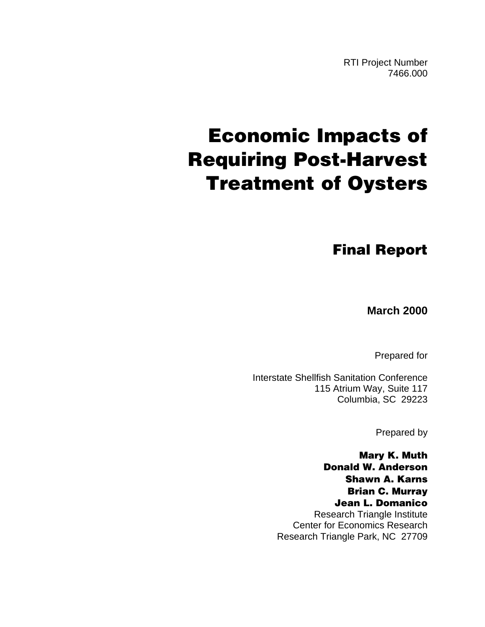RTI Project Number 7466.000

### **Economic Impacts of Requiring Post-Harvest Treatment of Oysters**

**Final Report**

**March 2000**

Prepared for

Interstate Shellfish Sanitation Conference 115 Atrium Way, Suite 117 Columbia, SC 29223

Prepared by

**Mary K. Muth Donald W. Anderson Shawn A. Karns Brian C. Murray Jean L. Domanico** Research Triangle Institute Center for Economics Research Research Triangle Park, NC 27709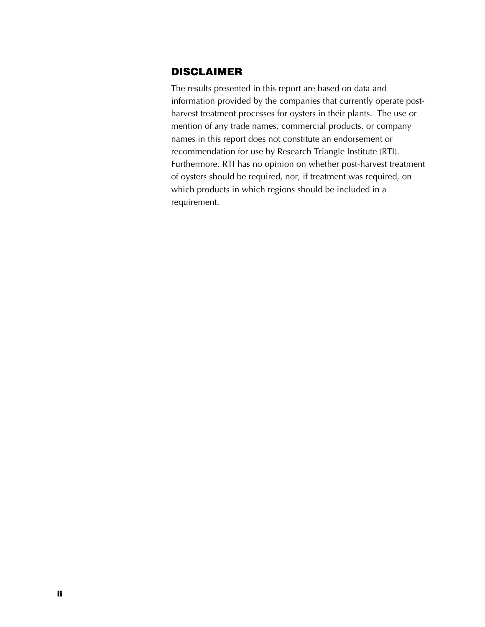### **DISCLAIMER**

The results presented in this report are based on data and information provided by the companies that currently operate postharvest treatment processes for oysters in their plants. The use or mention of any trade names, commercial products, or company names in this report does not constitute an endorsement or recommendation for use by Research Triangle Institute (RTI). Furthermore, RTI has no opinion on whether post-harvest treatment of oysters should be required, nor, if treatment was required, on which products in which regions should be included in a requirement.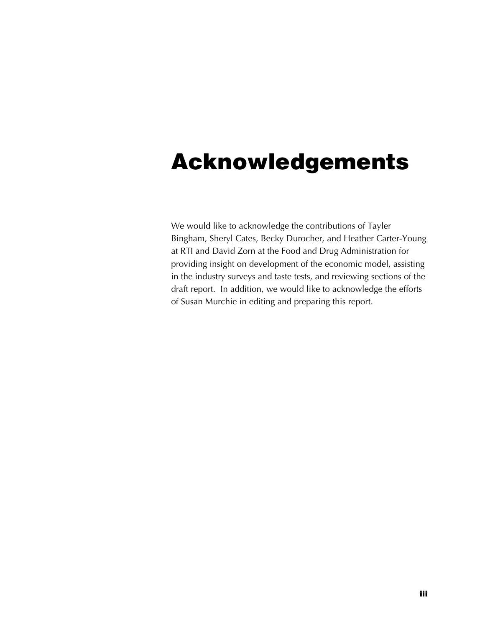### **Acknowledgements**

We would like to acknowledge the contributions of Tayler Bingham, Sheryl Cates, Becky Durocher, and Heather Carter-Young at RTI and David Zorn at the Food and Drug Administration for providing insight on development of the economic model, assisting in the industry surveys and taste tests, and reviewing sections of the draft report. In addition, we would like to acknowledge the efforts of Susan Murchie in editing and preparing this report.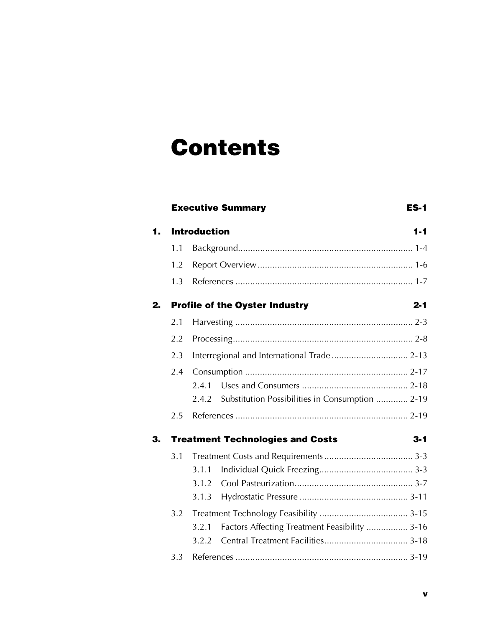### **Contents**

|    |     | <b>Executive Summary</b><br><b>ES-1</b>                  |
|----|-----|----------------------------------------------------------|
| 1. |     | <b>Introduction</b><br>$1 - 1$                           |
|    | 1.1 |                                                          |
|    | 1.2 |                                                          |
|    | 1.3 |                                                          |
| 2. |     | <b>Profile of the Oyster Industry</b><br>$2 - 1$         |
|    | 2.1 |                                                          |
|    | 2.2 |                                                          |
|    | 2.3 |                                                          |
|    | 2.4 |                                                          |
|    |     | 2.4.1                                                    |
|    |     | Substitution Possibilities in Consumption  2-19<br>2.4.2 |
|    | 2.5 |                                                          |
| З. |     | <b>Treatment Technologies and Costs</b><br>3-1           |
|    | 3.1 |                                                          |
|    |     | 3.1.1                                                    |
|    |     | 3.1.2                                                    |
|    |     | 3.1.3                                                    |
|    | 3.2 |                                                          |
|    |     | Factors Affecting Treatment Feasibility  3-16<br>3.2.1   |
|    |     | 3.2.2                                                    |
|    | 3.3 |                                                          |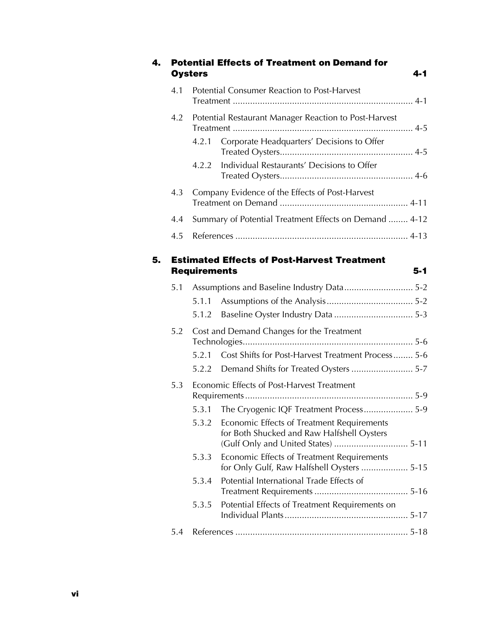|     | <b>Oysters</b>      | <b>Potential Effects of Treatment on Demand for</b>                                      | $4 - 1$ |
|-----|---------------------|------------------------------------------------------------------------------------------|---------|
| 4.1 |                     | Potential Consumer Reaction to Post-Harvest                                              |         |
| 4.2 |                     | Potential Restaurant Manager Reaction to Post-Harvest                                    |         |
|     | 4.2.1               | Corporate Headquarters' Decisions to Offer                                               |         |
|     | 4.2.2               | Individual Restaurants' Decisions to Offer                                               |         |
| 4.3 |                     | Company Evidence of the Effects of Post-Harvest                                          |         |
| 4.4 |                     | Summary of Potential Treatment Effects on Demand  4-12                                   |         |
| 4.5 |                     |                                                                                          |         |
|     |                     | <b>Estimated Effects of Post-Harvest Treatment</b>                                       |         |
|     | <b>Requirements</b> |                                                                                          | $5 - 1$ |
| 5.1 |                     | Assumptions and Baseline Industry Data 5-2                                               |         |
|     |                     |                                                                                          |         |
|     | 5.1.2               |                                                                                          |         |
| 5.2 |                     | Cost and Demand Changes for the Treatment                                                |         |
|     | 5.2.1               | Cost Shifts for Post-Harvest Treatment Process 5-6                                       |         |
|     |                     |                                                                                          |         |
| 5.3 |                     | Economic Effects of Post-Harvest Treatment                                               |         |
|     |                     | 5.3.1 The Cryogenic IQF Treatment Process 5-9                                            |         |
|     | 5.3.2               | Economic Effects of Treatment Requirements<br>for Both Shucked and Raw Halfshell Oysters |         |
|     | 5.3.3               | Economic Effects of Treatment Requirements<br>for Only Gulf, Raw Halfshell Oysters  5-15 |         |
|     | 5.3.4               | Potential International Trade Effects of                                                 |         |
|     | 5.3.5               | Potential Effects of Treatment Requirements on                                           |         |
| 5.4 |                     |                                                                                          |         |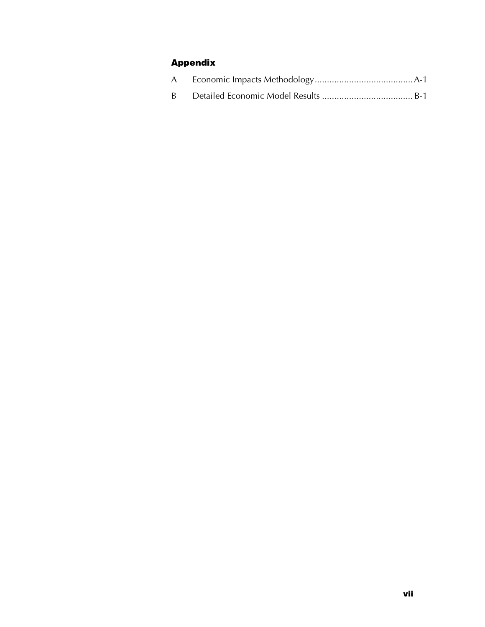### **Appendix**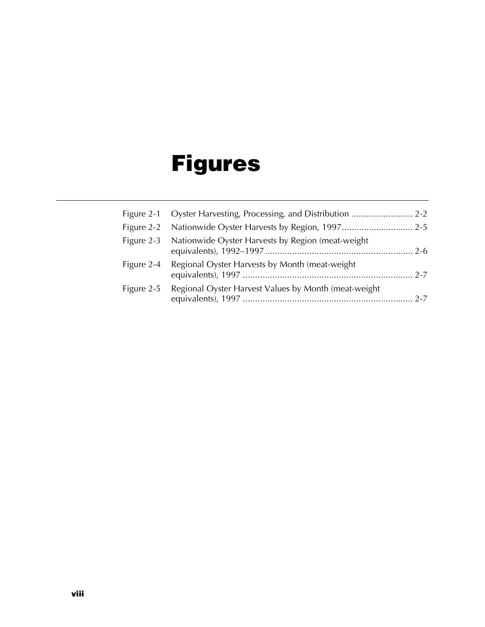## **Figures**

|            | Figure 2-3 Nationwide Oyster Harvests by Region (meat-weight) |  |
|------------|---------------------------------------------------------------|--|
|            | Figure 2-4 Regional Oyster Harvests by Month (meat-weight     |  |
| Figure 2-5 | Regional Oyster Harvest Values by Month (meat-weight          |  |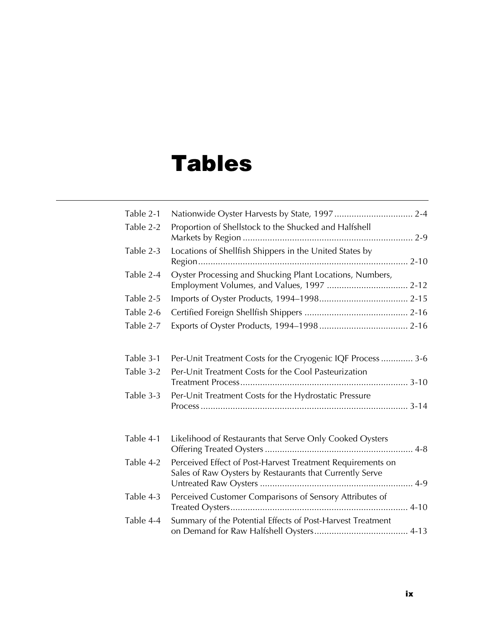### **Tables**

| Table 2-1 |                                                                                                                        |
|-----------|------------------------------------------------------------------------------------------------------------------------|
| Table 2-2 | Proportion of Shellstock to the Shucked and Halfshell                                                                  |
| Table 2-3 | Locations of Shellfish Shippers in the United States by                                                                |
| Table 2-4 | Oyster Processing and Shucking Plant Locations, Numbers,                                                               |
| Table 2-5 |                                                                                                                        |
| Table 2-6 |                                                                                                                        |
| Table 2-7 |                                                                                                                        |
| Table 3-1 | Per-Unit Treatment Costs for the Cryogenic IQF Process  3-6                                                            |
| Table 3-2 | Per-Unit Treatment Costs for the Cool Pasteurization                                                                   |
| Table 3-3 | Per-Unit Treatment Costs for the Hydrostatic Pressure                                                                  |
| Table 4-1 | Likelihood of Restaurants that Serve Only Cooked Oysters                                                               |
| Table 4-2 | Perceived Effect of Post-Harvest Treatment Requirements on<br>Sales of Raw Oysters by Restaurants that Currently Serve |
| Table 4-3 | Perceived Customer Comparisons of Sensory Attributes of                                                                |
| Table 4-4 | Summary of the Potential Effects of Post-Harvest Treatment                                                             |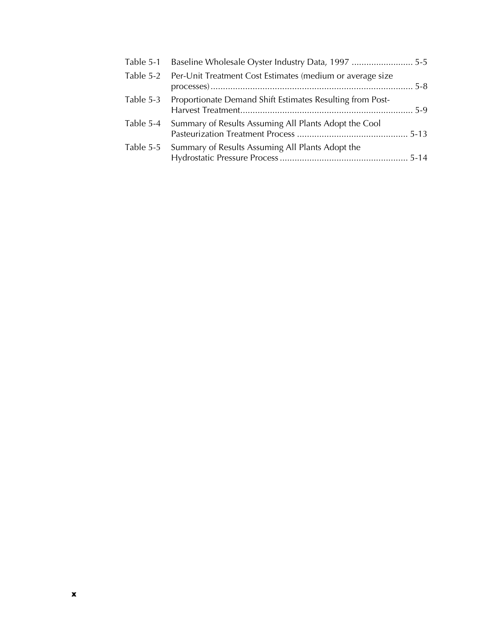| Table 5-1 Baseline Wholesale Oyster Industry Data, 1997  5-5        |  |
|---------------------------------------------------------------------|--|
| Table 5-2 Per-Unit Treatment Cost Estimates (medium or average size |  |
| Table 5-3 Proportionate Demand Shift Estimates Resulting from Post- |  |
| Table 5-4 Summary of Results Assuming All Plants Adopt the Cool     |  |
| Table 5-5 Summary of Results Assuming All Plants Adopt the          |  |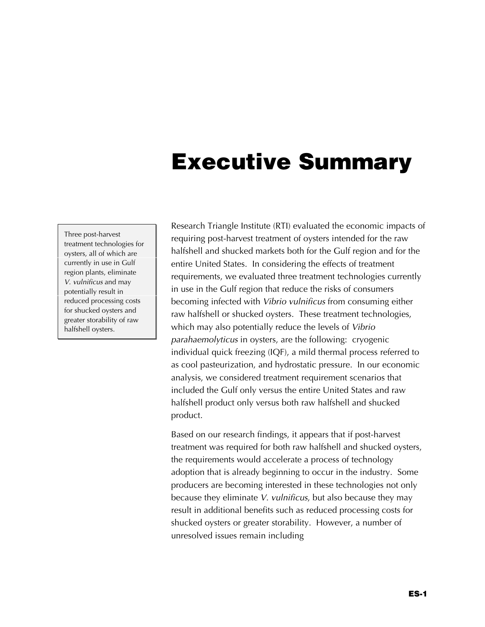### **Executive Summary**

Three post-harvest treatment technologies for oysters, all of which are currently in use in Gulf region plants, eliminate *V. vulnificus* and may potentially result in reduced processing costs for shucked oysters and greater storability of raw halfshell oysters.

Research Triangle Institute (RTI) evaluated the economic impacts of requiring post-harvest treatment of oysters intended for the raw halfshell and shucked markets both for the Gulf region and for the entire United States. In considering the effects of treatment requirements, we evaluated three treatment technologies currently in use in the Gulf region that reduce the risks of consumers becoming infected with *Vibrio vulnificus* from consuming either raw halfshell or shucked oysters. These treatment technologies, which may also potentially reduce the levels of *Vibrio parahaemolyticus* in oysters, are the following: cryogenic individual quick freezing (IQF), a mild thermal process referred to as cool pasteurization, and hydrostatic pressure. In our economic analysis, we considered treatment requirement scenarios that included the Gulf only versus the entire United States and raw halfshell product only versus both raw halfshell and shucked product.

Based on our research findings, it appears that if post-harvest treatment was required for both raw halfshell and shucked oysters, the requirements would accelerate a process of technology adoption that is already beginning to occur in the industry. Some producers are becoming interested in these technologies not only because they eliminate *V. vulnificus*, but also because they may result in additional benefits such as reduced processing costs for shucked oysters or greater storability. However, a number of unresolved issues remain including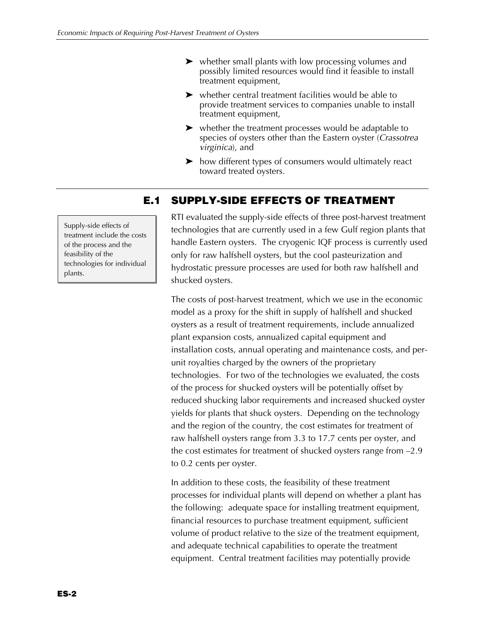- $\triangleright$  whether small plants with low processing volumes and possibly limited resources would find it feasible to install treatment equipment,
- $\blacktriangleright$  whether central treatment facilities would be able to provide treatment services to companies unable to install treatment equipment,
- $\blacktriangleright$  whether the treatment processes would be adaptable to species of oysters other than the Eastern oyster (*Crassotrea virginica*), and
- $\blacktriangleright$  how different types of consumers would ultimately react toward treated oysters.

### **E.1 SUPPLY-SIDE EFFECTS OF TREATMENT**

RTI evaluated the supply-side effects of three post-harvest treatment technologies that are currently used in a few Gulf region plants that handle Eastern oysters. The cryogenic IQF process is currently used only for raw halfshell oysters, but the cool pasteurization and hydrostatic pressure processes are used for both raw halfshell and shucked oysters.

The costs of post-harvest treatment, which we use in the economic model as a proxy for the shift in supply of halfshell and shucked oysters as a result of treatment requirements, include annualized plant expansion costs, annualized capital equipment and installation costs, annual operating and maintenance costs, and perunit royalties charged by the owners of the proprietary technologies. For two of the technologies we evaluated, the costs of the process for shucked oysters will be potentially offset by reduced shucking labor requirements and increased shucked oyster yields for plants that shuck oysters. Depending on the technology and the region of the country, the cost estimates for treatment of raw halfshell oysters range from 3.3 to 17.7 cents per oyster, and the cost estimates for treatment of shucked oysters range from –2.9 to 0.2 cents per oyster.

In addition to these costs, the feasibility of these treatment processes for individual plants will depend on whether a plant has the following: adequate space for installing treatment equipment, financial resources to purchase treatment equipment, sufficient volume of product relative to the size of the treatment equipment, and adequate technical capabilities to operate the treatment equipment. Central treatment facilities may potentially provide

Supply-side effects of treatment include the costs of the process and the feasibility of the technologies for individual plants.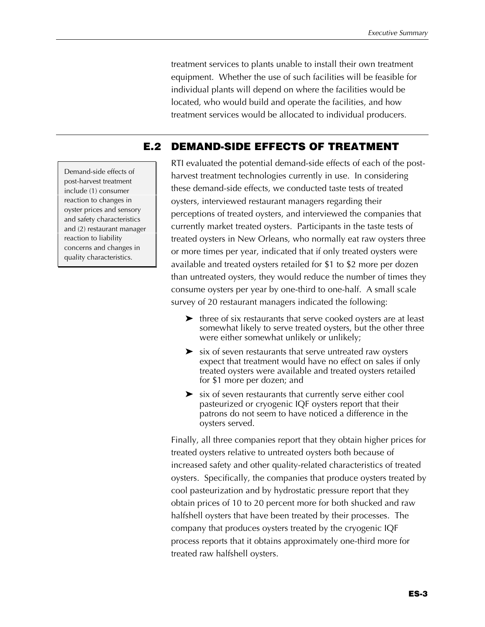treatment services to plants unable to install their own treatment equipment. Whether the use of such facilities will be feasible for individual plants will depend on where the facilities would be located, who would build and operate the facilities, and how treatment services would be allocated to individual producers.

### **E.2 DEMAND-SIDE EFFECTS OF TREATMENT**

RTI evaluated the potential demand-side effects of each of the postharvest treatment technologies currently in use. In considering these demand-side effects, we conducted taste tests of treated oysters, interviewed restaurant managers regarding their perceptions of treated oysters, and interviewed the companies that currently market treated oysters. Participants in the taste tests of treated oysters in New Orleans, who normally eat raw oysters three or more times per year, indicated that if only treated oysters were available and treated oysters retailed for \$1 to \$2 more per dozen than untreated oysters, they would reduce the number of times they consume oysters per year by one-third to one-half. A small scale survey of 20 restaurant managers indicated the following:

- $\blacktriangleright$  three of six restaurants that serve cooked oysters are at least somewhat likely to serve treated oysters, but the other three were either somewhat unlikely or unlikely;
- $\triangleright$  six of seven restaurants that serve untreated raw oysters expect that treatment would have no effect on sales if only treated oysters were available and treated oysters retailed for \$1 more per dozen; and
- $\triangleright$  six of seven restaurants that currently serve either cool pasteurized or cryogenic IQF oysters report that their patrons do not seem to have noticed a difference in the oysters served.

Finally, all three companies report that they obtain higher prices for treated oysters relative to untreated oysters both because of increased safety and other quality-related characteristics of treated oysters. Specifically, the companies that produce oysters treated by cool pasteurization and by hydrostatic pressure report that they obtain prices of 10 to 20 percent more for both shucked and raw halfshell oysters that have been treated by their processes. The company that produces oysters treated by the cryogenic IQF process reports that it obtains approximately one-third more for treated raw halfshell oysters.

Demand-side effects of post-harvest treatment include (1) consumer reaction to changes in oyster prices and sensory and safety characteristics and (2) restaurant manager reaction to liability concerns and changes in quality characteristics.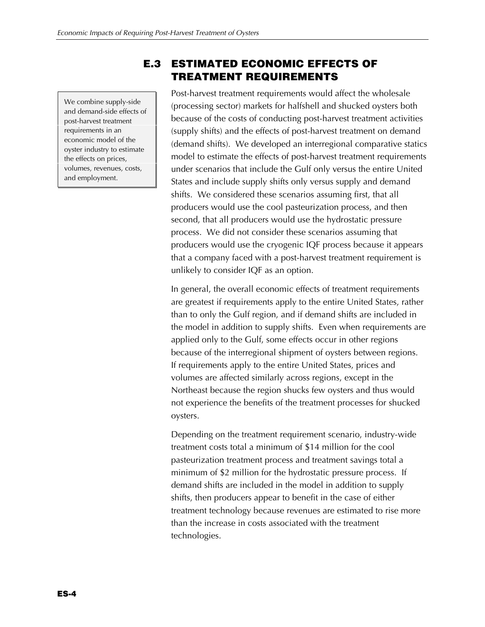We combine supply-side and demand-side effects of post-harvest treatment requirements in an economic model of the oyster industry to estimate the effects on prices, volumes, revenues, costs, and employment.

### **E.3 ESTIMATED ECONOMIC EFFECTS OF TREATMENT REQUIREMENTS**

Post-harvest treatment requirements would affect the wholesale (processing sector) markets for halfshell and shucked oysters both because of the costs of conducting post-harvest treatment activities (supply shifts) and the effects of post-harvest treatment on demand (demand shifts). We developed an interregional comparative statics model to estimate the effects of post-harvest treatment requirements under scenarios that include the Gulf only versus the entire United States and include supply shifts only versus supply and demand shifts. We considered these scenarios assuming first, that all producers would use the cool pasteurization process, and then second, that all producers would use the hydrostatic pressure process. We did not consider these scenarios assuming that producers would use the cryogenic IQF process because it appears that a company faced with a post-harvest treatment requirement is unlikely to consider IQF as an option.

In general, the overall economic effects of treatment requirements are greatest if requirements apply to the entire United States, rather than to only the Gulf region, and if demand shifts are included in the model in addition to supply shifts. Even when requirements are applied only to the Gulf, some effects occur in other regions because of the interregional shipment of oysters between regions. If requirements apply to the entire United States, prices and volumes are affected similarly across regions, except in the Northeast because the region shucks few oysters and thus would not experience the benefits of the treatment processes for shucked oysters.

Depending on the treatment requirement scenario, industry-wide treatment costs total a minimum of \$14 million for the cool pasteurization treatment process and treatment savings total a minimum of \$2 million for the hydrostatic pressure process. If demand shifts are included in the model in addition to supply shifts, then producers appear to benefit in the case of either treatment technology because revenues are estimated to rise more than the increase in costs associated with the treatment technologies.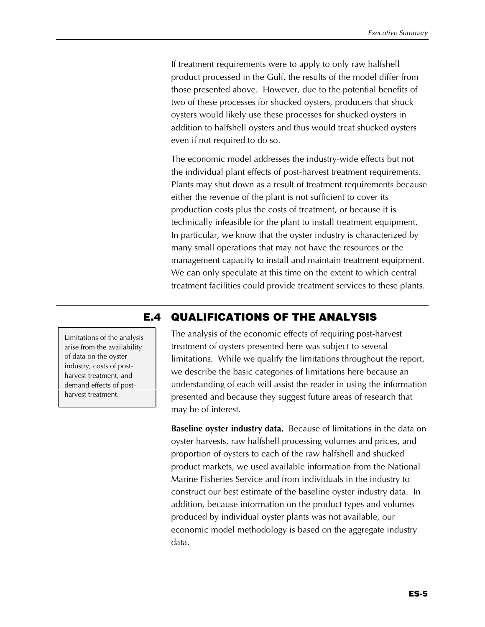If treatment requirements were to apply to only raw halfshell product processed in the Gulf, the results of the model differ from those presented above. However, due to the potential benefits of two of these processes for shucked oysters, producers that shuck oysters would likely use these processes for shucked oysters in addition to halfshell oysters and thus would treat shucked oysters even if not required to do so.

The economic model addresses the industry-wide effects but not the individual plant effects of post-harvest treatment requirements. Plants may shut down as a result of treatment requirements because either the revenue of the plant is not sufficient to cover its production costs plus the costs of treatment, or because it is technically infeasible for the plant to install treatment equipment. In particular, we know that the oyster industry is characterized by many small operations that may not have the resources or the management capacity to install and maintain treatment equipment. We can only speculate at this time on the extent to which central treatment facilities could provide treatment services to these plants.

#### **E.4 QUALIFICATIONS OF THE ANALYSIS**

Limitations of the analysis arise from the availability of data on the oyster industry, costs of postharvest treatment, and demand effects of postharvest treatment.

The analysis of the economic effects of requiring post-harvest treatment of oysters presented here was subject to several limitations. While we qualify the limitations throughout the report, we describe the basic categories of limitations here because an understanding of each will assist the reader in using the information presented and because they suggest future areas of research that may be of interest.

**Baseline oyster industry data.** Because of limitations in the data on oyster harvests, raw halfshell processing volumes and prices, and proportion of oysters to each of the raw halfshell and shucked product markets, we used available information from the National Marine Fisheries Service and from individuals in the industry to construct our best estimate of the baseline oyster industry data.In addition, because information on the product types and volumes produced by individual oyster plants was not available, our economic model methodology is based on the aggregate industry data.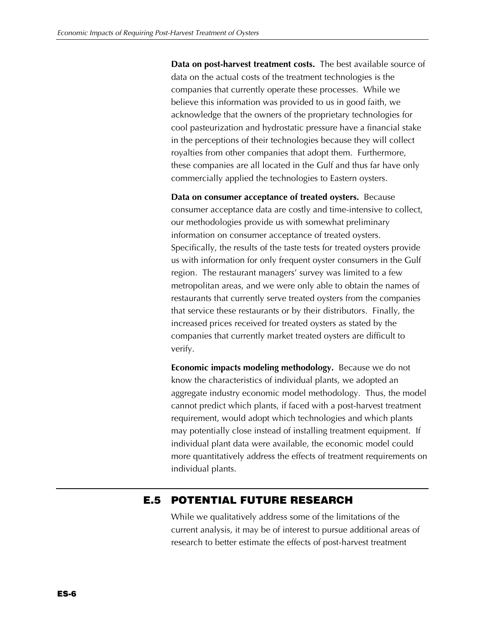**Data on post-harvest treatment costs.** The best available source of data on the actual costs of the treatment technologies is the companies that currently operate these processes. While we believe this information was provided to us in good faith, we acknowledge that the owners of the proprietary technologies for cool pasteurization and hydrostatic pressure have a financial stake in the perceptions of their technologies because they will collect royalties from other companies that adopt them. Furthermore, these companies are all located in the Gulf and thus far have only commercially applied the technologies to Eastern oysters.

**Data on consumer acceptance of treated oysters.** Because consumer acceptance data are costly and time-intensive to collect, our methodologies provide us with somewhat preliminary information on consumer acceptance of treated oysters. Specifically, the results of the taste tests for treated oysters provide us with information for only frequent oyster consumers in the Gulf region. The restaurant managers' survey was limited to a few metropolitan areas, and we were only able to obtain the names of restaurants that currently serve treated oysters from the companies that service these restaurants or by their distributors. Finally, the increased prices received for treated oysters as stated by the companies that currently market treated oysters are difficult to verify.

**Economic impacts modeling methodology.** Because we do not know the characteristics of individual plants, we adopted an aggregate industry economic model methodology. Thus, the model cannot predict which plants, if faced with a post-harvest treatment requirement, would adopt which technologies and which plants may potentially close instead of installing treatment equipment. If individual plant data were available, the economic model could more quantitatively address the effects of treatment requirements on individual plants.

### **E.5 POTENTIAL FUTURE RESEARCH**

While we qualitatively address some of the limitations of the current analysis, it may be of interest to pursue additional areas of research to better estimate the effects of post-harvest treatment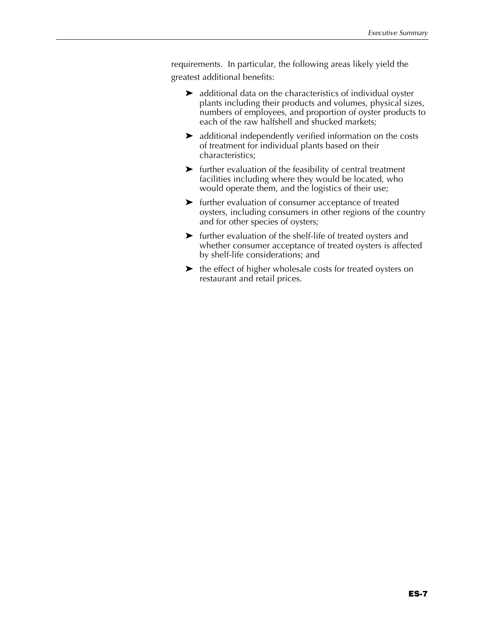requirements. In particular, the following areas likely yield the greatest additional benefits:

- $\blacktriangleright$  additional data on the characteristics of individual oyster plants including their products and volumes, physical sizes, numbers of employees, and proportion of oyster products to each of the raw halfshell and shucked markets;
- $\blacktriangleright$  additional independently verified information on the costs of treatment for individual plants based on their characteristics;
- $\blacktriangleright$  further evaluation of the feasibility of central treatment facilities including where they would be located, who would operate them, and the logistics of their use;
- $\blacktriangleright$  further evaluation of consumer acceptance of treated oysters, including consumers in other regions of the country and for other species of oysters;
- $\blacktriangleright$  further evaluation of the shelf-life of treated oysters and whether consumer acceptance of treated oysters is affected by shelf-life considerations; and
- $\blacktriangleright$  the effect of higher wholesale costs for treated oysters on restaurant and retail prices.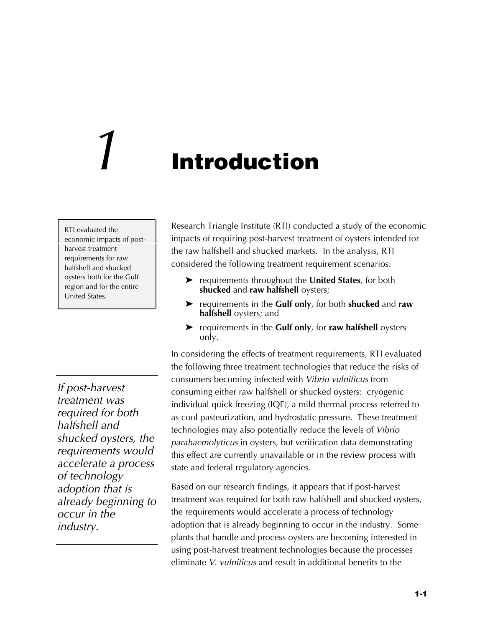## *1* **Introduction**

RTI evaluated the economic impacts of postharvest treatment requirements for raw halfshell and shucked oysters both for the Gulf region and for the entire United States.

*If post-harvest treatment was required for both halfshell and shucked oysters, the requirements would accelerate a process of technology adoption that is already beginning to occur in the industry.*

Research Triangle Institute (RTI) conducted a study of the economic impacts of requiring post-harvest treatment of oysters intended for the raw halfshell and shucked markets. In the analysis, RTI considered the following treatment requirement scenarios:

- **EX** requirements throughout the **United States**, for both **shucked** and **raw halfshell** oysters;
- ▶ requirements in the **Gulf only**, for both **shucked** and **raw halfshell** oysters; and
- ▶ requirements in the **Gulf only**, for **raw halfshell** oysters only.

In considering the effects of treatment requirements, RTI evaluated the following three treatment technologies that reduce the risks of consumers becoming infected with *Vibrio vulnificus* from consuming either raw halfshell or shucked oysters: cryogenic individual quick freezing (IQF), a mild thermal process referred to as cool pasteurization, and hydrostatic pressure. These treatment technologies may also potentially reduce the levels of *Vibrio parahaemolyticus* in oysters, but verification data demonstrating this effect are currently unavailable or in the review process with state and federal regulatory agencies.

Based on our research findings, it appears that if post-harvest treatment was required for both raw halfshell and shucked oysters, the requirements would accelerate a process of technology adoption that is already beginning to occur in the industry. Some plants that handle and process oysters are becoming interested in using post-harvest treatment technologies because the processes eliminate *V. vulnificus* and result in additional benefits to the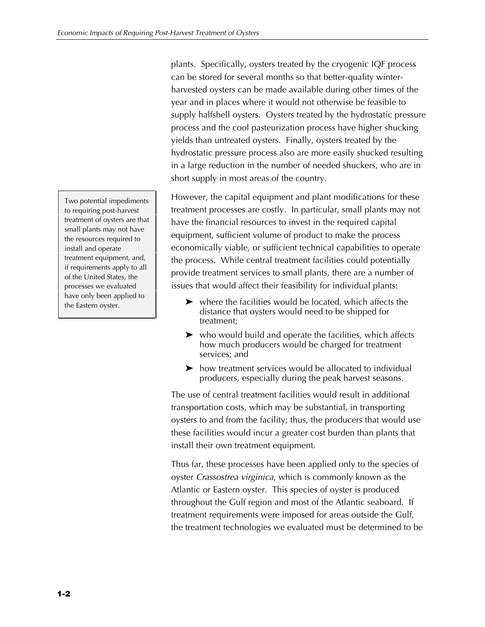plants. Specifically, oysters treated by the cryogenic IQF process can be stored for several months so that better-quality winterharvested oysters can be made available during other times of the year and in places where it would not otherwise be feasible to supply halfshell oysters. Oysters treated by the hydrostatic pressure process and the cool pasteurization process have higher shucking yields than untreated oysters. Finally, oysters treated by the hydrostatic pressure process also are more easily shucked resulting in a large reduction in the number of needed shuckers, who are in short supply in most areas of the country.

However, the capital equipment and plant modifications for these treatment processes are costly. In particular, small plants may not have the financial resources to invest in the required capital equipment, sufficient volume of product to make the process economically viable, or sufficient technical capabilities to operate the process. While central treatment facilities could potentially provide treatment services to small plants, there are a number of issues that would affect their feasibility for individual plants:

- $\triangleright$  where the facilities would be located, which affects the distance that oysters would need to be shipped for treatment;
- $\triangleright$  who would build and operate the facilities, which affects how much producers would be charged for treatment services; and
- $\triangleright$  how treatment services would be allocated to individual producers, especially during the peak harvest seasons.

The use of central treatment facilities would result in additional transportation costs, which may be substantial, in transporting oysters to and from the facility; thus, the producers that would use these facilities would incur a greater cost burden than plants that install their own treatment equipment.

Thus far, these processes have been applied only to the species of oyster *Crassostrea virginica*, which is commonly known as the Atlantic or Eastern oyster. This species of oyster is produced throughout the Gulf region and most of the Atlantic seaboard. If treatment requirements were imposed for areas outside the Gulf, the treatment technologies we evaluated must be determined to be

Two potential impediments to requiring post-harvest treatment of oysters are that small plants may not have the resources required to install and operate treatment equipment, and, if requirements apply to all of the United States, the processes we evaluated have only been applied to the Eastern oyster.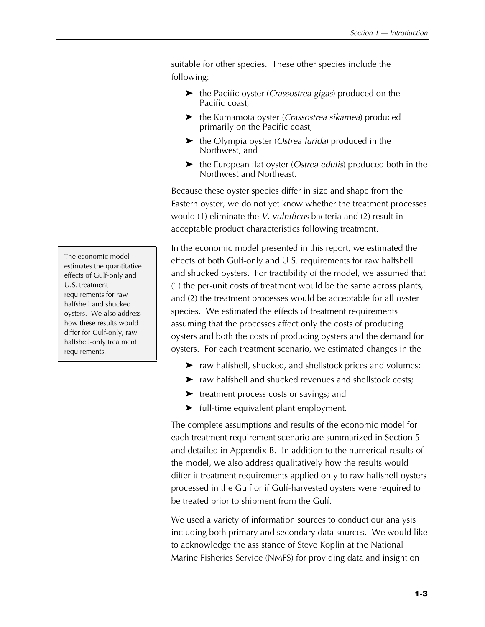suitable for other species. These other species include the following:

- $\blacktriangleright$  the Pacific oyster (*Crassostrea gigas*) produced on the Pacific coast,
- $\blacktriangleright$  the Kumamota oyster (*Crassostrea sikamea*) produced primarily on the Pacific coast,
- $\blacktriangleright$  the Olympia oyster (*Ostrea lurida*) produced in the Northwest, and
- ► the European flat oyster (*Ostrea edulis*) produced both in the Northwest and Northeast.

Because these oyster species differ in size and shape from the Eastern oyster, we do not yet know whether the treatment processes would (1) eliminate the *V. vulnificus* bacteria and (2) result in acceptable product characteristics following treatment.

In the economic model presented in this report, we estimated the effects of both Gulf-only and U.S. requirements for raw halfshell and shucked oysters. For tractibility of the model, we assumed that (1) the per-unit costs of treatment would be the same across plants, and (2) the treatment processes would be acceptable for all oyster species. We estimated the effects of treatment requirements assuming that the processes affect only the costs of producing oysters and both the costs of producing oysters and the demand for oysters. For each treatment scenario, we estimated changes in the

- $\blacktriangleright$  raw halfshell, shucked, and shellstock prices and volumes;
- $\blacktriangleright$  raw halfshell and shucked revenues and shellstock costs;
- $\blacktriangleright$  treatment process costs or savings; and
- $\blacktriangleright$  full-time equivalent plant employment.

The complete assumptions and results of the economic model for each treatment requirement scenario are summarized in Section 5 and detailed in Appendix B. In addition to the numerical results of the model, we also address qualitatively how the results would differ if treatment requirements applied only to raw halfshell oysters processed in the Gulf or if Gulf-harvested oysters were required to be treated prior to shipment from the Gulf.

We used a variety of information sources to conduct our analysis including both primary and secondary data sources. We would like to acknowledge the assistance of Steve Koplin at the National Marine Fisheries Service (NMFS) for providing data and insight on

The economic model estimates the quantitative effects of Gulf-only and U.S. treatment requirements for raw halfshell and shucked oysters. We also address how these results would differ for Gulf-only, raw halfshell-only treatment requirements.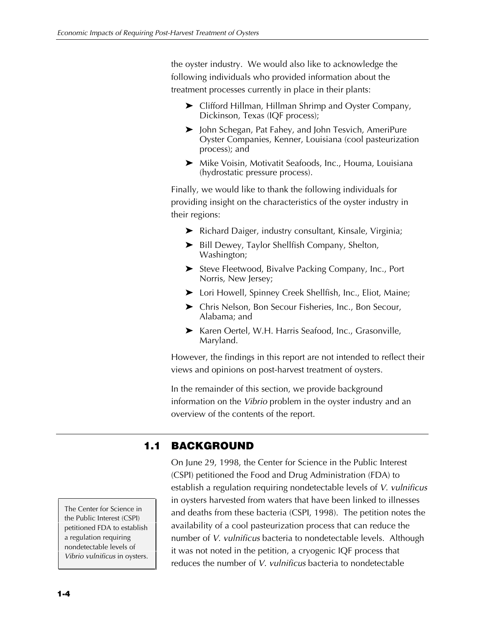the oyster industry. We would also like to acknowledge the following individuals who provided information about the treatment processes currently in place in their plants:

- $\blacktriangleright$  Clifford Hillman, Hillman Shrimp and Oyster Company, Dickinson, Texas (IQF process);
- ▶ John Schegan, Pat Fahey, and John Tesvich, AmeriPure Oyster Companies, Kenner, Louisiana (cool pasteurization process); and
- ▶ Mike Voisin, Motivatit Seafoods, Inc., Houma, Louisiana (hydrostatic pressure process).

Finally, we would like to thank the following individuals for providing insight on the characteristics of the oyster industry in their regions:

- ▶ Richard Daiger, industry consultant, Kinsale, Virginia;
- $\blacktriangleright$  Bill Dewey, Taylor Shellfish Company, Shelton, Washington;
- ▶ Steve Fleetwood, Bivalve Packing Company, Inc., Port Norris, New Jersey;
- ▶ Lori Howell, Spinney Creek Shellfish, Inc., Eliot, Maine;
- ▶ Chris Nelson, Bon Secour Fisheries, Inc., Bon Secour, Alabama; and
- ▶ Karen Oertel, W.H. Harris Seafood, Inc., Grasonville, Maryland.

However, the findings in this report are not intended to reflect their views and opinions on post-harvest treatment of oysters.

In the remainder of this section, we provide background information on the *Vibrio* problem in the oyster industry and an overview of the contents of the report.

### **1.1 BACKGROUND**

On June 29, 1998, the Center for Science in the Public Interest (CSPI) petitioned the Food and Drug Administration (FDA) to establish a regulation requiring nondetectable levels of *V. vulnificus* in oysters harvested from waters that have been linked to illnesses and deaths from these bacteria (CSPI, 1998). The petition notes the availability of a cool pasteurization process that can reduce the number of *V. vulnificus* bacteria to nondetectable levels. Although it was not noted in the petition, a cryogenic IQF process that reduces the number of *V. vulnificus* bacteria to nondetectable

The Center for Science in the Public Interest (CSPI) petitioned FDA to establish a regulation requiring nondetectable levels of *Vibrio vulnificus* in oysters.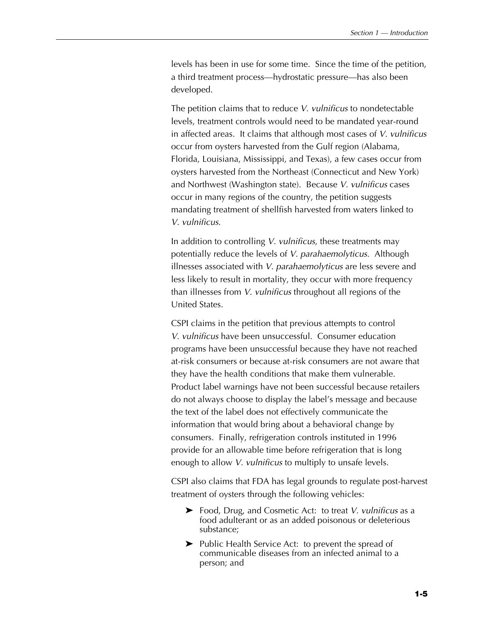levels has been in use for some time. Since the time of the petition, a third treatment process—hydrostatic pressure—has also been developed.

The petition claims that to reduce *V. vulnificus* to nondetectable levels, treatment controls would need to be mandated year-round in affected areas. It claims that although most cases of *V. vulnificus* occur from oysters harvested from the Gulf region (Alabama, Florida, Louisiana, Mississippi, and Texas), a few cases occur from oysters harvested from the Northeast (Connecticut and New York) and Northwest (Washington state). Because *V. vulnificus* cases occur in many regions of the country, the petition suggests mandating treatment of shellfish harvested from waters linked to *V. vulnificus*.

In addition to controlling *V. vulnificus*, these treatments may potentially reduce the levels of *V. parahaemolyticus*. Although illnesses associated with *V. parahaemolyticus* are less severe and less likely to result in mortality, they occur with more frequency than illnesses from *V. vulnificus* throughout all regions of the United States.

CSPI claims in the petition that previous attempts to control *V. vulnificus* have been unsuccessful. Consumer education programs have been unsuccessful because they have not reached at-risk consumers or because at-risk consumers are not aware that they have the health conditions that make them vulnerable. Product label warnings have not been successful because retailers do not always choose to display the label's message and because the text of the label does not effectively communicate the information that would bring about a behavioral change by consumers. Finally, refrigeration controls instituted in 1996 provide for an allowable time before refrigeration that is long enough to allow *V. vulnificus* to multiply to unsafe levels.

CSPI also claims that FDA has legal grounds to regulate post-harvest treatment of oysters through the following vehicles:

- ▶ Food, Drug, and Cosmetic Act: to treat *V. vulnificus* as a food adulterant or as an added poisonous or deleterious substance;
- $\blacktriangleright$  Public Health Service Act: to prevent the spread of communicable diseases from an infected animal to a person; and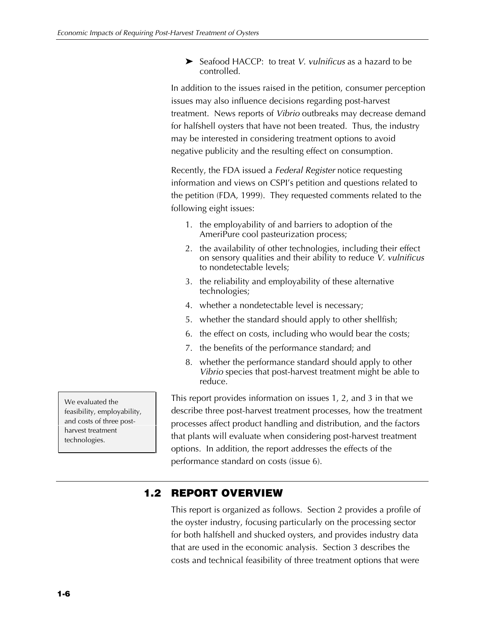▶ Seafood HACCP: to treat *V. vulnificus* as a hazard to be controlled.

In addition to the issues raised in the petition, consumer perception issues may also influence decisions regarding post-harvest treatment. News reports of *Vibrio* outbreaks may decrease demand for halfshell oysters that have not been treated. Thus, the industry may be interested in considering treatment options to avoid negative publicity and the resulting effect on consumption.

Recently, the FDA issued a *Federal Register* notice requesting information and views on CSPI's petition and questions related to the petition (FDA, 1999). They requested comments related to the following eight issues:

- 1. the employability of and barriers to adoption of the AmeriPure cool pasteurization process;
- 2. the availability of other technologies, including their effect on sensory qualities and their ability to reduce *V. vulnificus* to nondetectable levels;
- 3. the reliability and employability of these alternative technologies;
- 4. whether a nondetectable level is necessary;
- 5. whether the standard should apply to other shellfish;
- 6. the effect on costs, including who would bear the costs;
- 7. the benefits of the performance standard; and
- 8. whether the performance standard should apply to other *Vibrio* species that post-harvest treatment might be able to reduce.

This report provides information on issues 1, 2, and 3 in that we describe three post-harvest treatment processes, how the treatment processes affect product handling and distribution, and the factors that plants will evaluate when considering post-harvest treatment options. In addition, the report addresses the effects of the performance standard on costs (issue 6).

### **1.2 REPORT OVERVIEW**

This report is organized as follows. Section 2 provides a profile of the oyster industry, focusing particularly on the processing sector for both halfshell and shucked oysters, and provides industry data that are used in the economic analysis. Section 3 describes the costs and technical feasibility of three treatment options that were

We evaluated the feasibility, employability, and costs of three postharvest treatment technologies.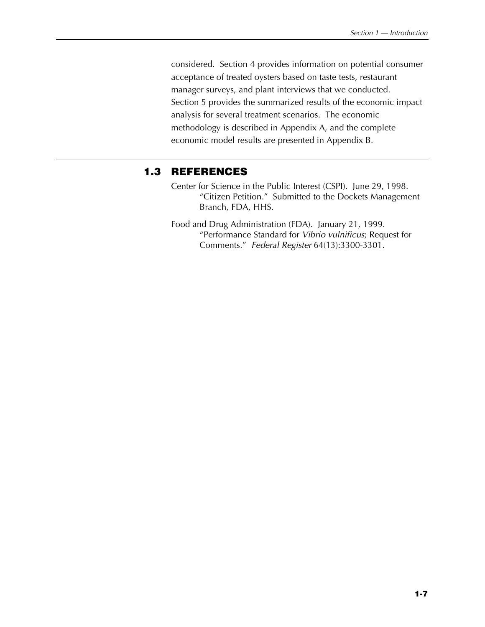considered. Section 4 provides information on potential consumer acceptance of treated oysters based on taste tests, restaurant manager surveys, and plant interviews that we conducted. Section 5 provides the summarized results of the economic impact analysis for several treatment scenarios. The economic methodology is described in Appendix A, and the complete economic model results are presented in Appendix B.

#### **1.3 REFERENCES**

- Center for Science in the Public Interest (CSPI). June 29, 1998. "Citizen Petition." Submitted to the Dockets Management Branch, FDA, HHS.
- Food and Drug Administration (FDA). January 21, 1999. "Performance Standard for *Vibrio vulnificus*; Request for Comments." *Federal Register* 64(13):3300-3301.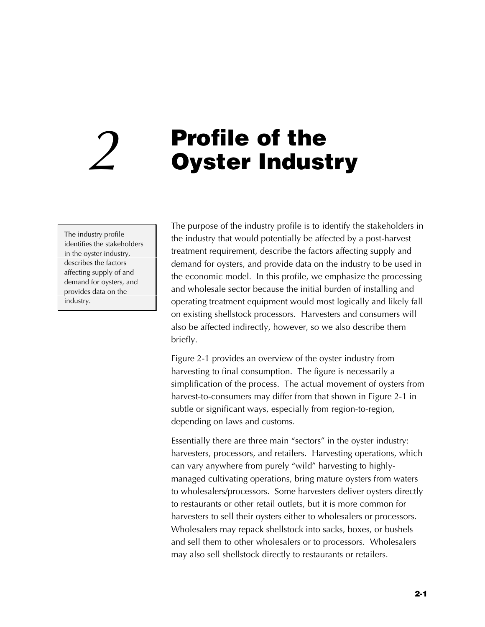# **Profile of the** *2* **Oyster Industry**

The industry profile identifies the stakeholders in the oyster industry, describes the factors affecting supply of and demand for oysters, and provides data on the industry.

The purpose of the industry profile is to identify the stakeholders in the industry that would potentially be affected by a post-harvest treatment requirement, describe the factors affecting supply and demand for oysters, and provide data on the industry to be used in the economic model. In this profile, we emphasize the processing and wholesale sector because the initial burden of installing and operating treatment equipment would most logically and likely fall on existing shellstock processors. Harvesters and consumers will also be affected indirectly, however, so we also describe them briefly.

Figure 2-1 provides an overview of the oyster industry from harvesting to final consumption. The figure is necessarily a simplification of the process. The actual movement of oysters from harvest-to-consumers may differ from that shown in Figure 2-1 in subtle or significant ways, especially from region-to-region, depending on laws and customs.

Essentially there are three main "sectors" in the oyster industry: harvesters, processors, and retailers. Harvesting operations, which can vary anywhere from purely "wild" harvesting to highlymanaged cultivating operations, bring mature oysters from waters to wholesalers/processors. Some harvesters deliver oysters directly to restaurants or other retail outlets, but it is more common for harvesters to sell their oysters either to wholesalers or processors. Wholesalers may repack shellstock into sacks, boxes, or bushels and sell them to other wholesalers or to processors. Wholesalers may also sell shellstock directly to restaurants or retailers.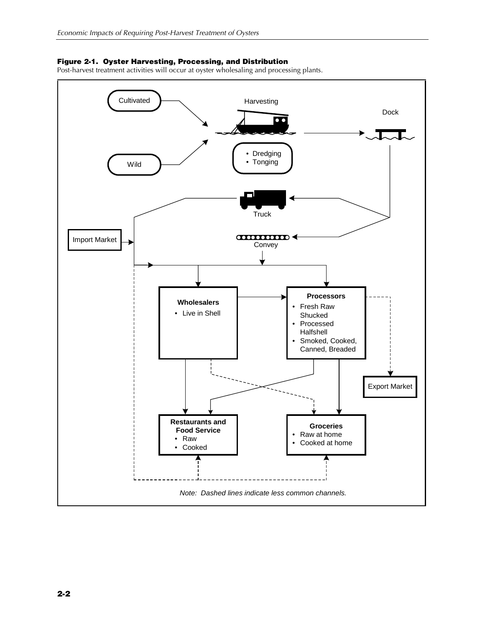#### **Figure 2-1. Oyster Harvesting, Processing, and Distribution**

Post-harvest treatment activities will occur at oyster wholesaling and processing plants.

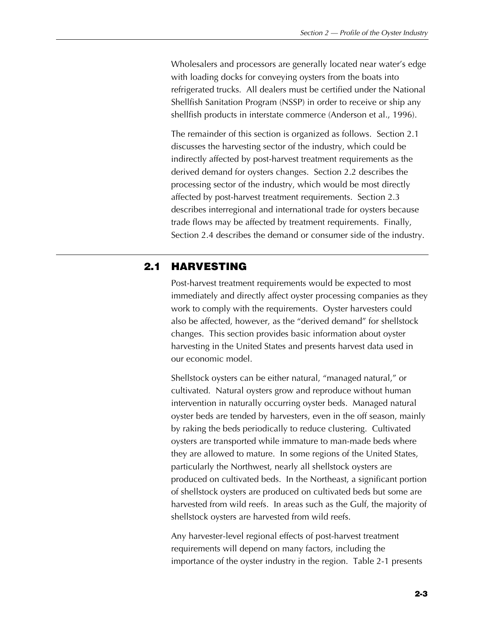Wholesalers and processors are generally located near water's edge with loading docks for conveying oysters from the boats into refrigerated trucks. All dealers must be certified under the National Shellfish Sanitation Program (NSSP) in order to receive or ship any shellfish products in interstate commerce (Anderson et al., 1996).

The remainder of this section is organized as follows. Section 2.1 discusses the harvesting sector of the industry, which could be indirectly affected by post-harvest treatment requirements as the derived demand for oysters changes. Section 2.2 describes the processing sector of the industry, which would be most directly affected by post-harvest treatment requirements. Section 2.3 describes interregional and international trade for oysters because trade flows may be affected by treatment requirements. Finally, Section 2.4 describes the demand or consumer side of the industry.

### **2.1 HARVESTING**

Post-harvest treatment requirements would be expected to most immediately and directly affect oyster processing companies as they work to comply with the requirements. Oyster harvesters could also be affected, however, as the "derived demand" for shellstock changes. This section provides basic information about oyster harvesting in the United States and presents harvest data used in our economic model.

Shellstock oysters can be either natural, "managed natural," or cultivated. Natural oysters grow and reproduce without human intervention in naturally occurring oyster beds. Managed natural oyster beds are tended by harvesters, even in the off season, mainly by raking the beds periodically to reduce clustering. Cultivated oysters are transported while immature to man-made beds where they are allowed to mature. In some regions of the United States, particularly the Northwest, nearly all shellstock oysters are produced on cultivated beds. In the Northeast, a significant portion of shellstock oysters are produced on cultivated beds but some are harvested from wild reefs. In areas such as the Gulf, the majority of shellstock oysters are harvested from wild reefs.

Any harvester-level regional effects of post-harvest treatment requirements will depend on many factors, including the importance of the oyster industry in the region. Table 2-1 presents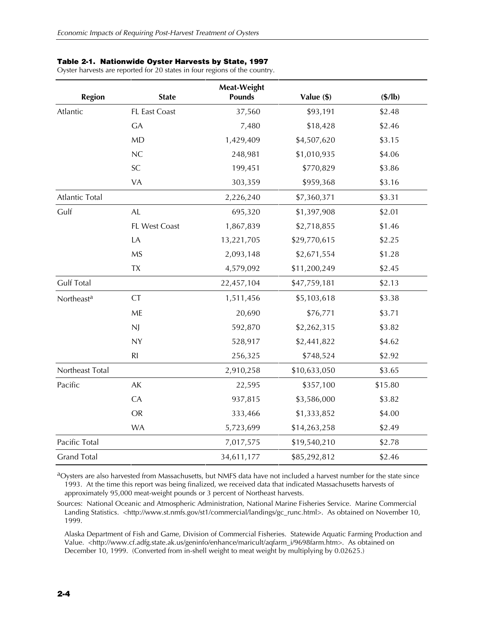#### **Table 2-1. Nationwide Oyster Harvests by State, 1997**

Oyster harvests are reported for 20 states in four regions of the country.

| <b>Region</b>          | <b>State</b>         | Meat-Weight<br><b>Pounds</b> | Value (\$)   | $(\frac{4}{10})$ |
|------------------------|----------------------|------------------------------|--------------|------------------|
| Atlantic               | FL East Coast        | 37,560                       | \$93,191     | \$2.48           |
|                        | <b>GA</b>            | 7,480                        | \$18,428     | \$2.46           |
|                        | <b>MD</b>            | 1,429,409                    | \$4,507,620  | \$3.15           |
|                        | NC                   | 248,981                      | \$1,010,935  | \$4.06           |
|                        | SC                   | 199,451                      | \$770,829    | \$3.86           |
|                        | VA                   | 303,359                      | \$959,368    | \$3.16           |
| <b>Atlantic Total</b>  |                      | 2,226,240                    | \$7,360,371  | \$3.31           |
| Gulf                   | $\mathsf{AL}\xspace$ | 695,320                      | \$1,397,908  | \$2.01           |
|                        | FL West Coast        | 1,867,839                    | \$2,718,855  | \$1.46           |
|                        | LA                   | 13,221,705                   | \$29,770,615 | \$2.25           |
|                        | <b>MS</b>            | 2,093,148                    | \$2,671,554  | \$1.28           |
|                        | <b>TX</b>            | 4,579,092                    | \$11,200,249 | \$2.45           |
| <b>Gulf Total</b>      |                      | 22,457,104                   | \$47,759,181 | \$2.13           |
| Northeast <sup>a</sup> | <b>CT</b>            | 1,511,456                    | \$5,103,618  | \$3.38           |
|                        | ME                   | 20,690                       | \$76,771     | \$3.71           |
|                        | <b>NJ</b>            | 592,870                      | \$2,262,315  | \$3.82           |
|                        | <b>NY</b>            | 528,917                      | \$2,441,822  | \$4.62           |
|                        | R <sub>l</sub>       | 256,325                      | \$748,524    | \$2.92           |
| Northeast Total        |                      | 2,910,258                    | \$10,633,050 | \$3.65           |
| Pacific                | AK                   | 22,595                       | \$357,100    | \$15.80          |
|                        | CA                   | 937,815                      | \$3,586,000  | \$3.82           |
|                        | <b>OR</b>            | 333,466                      | \$1,333,852  | \$4.00           |
|                        | <b>WA</b>            | 5,723,699                    | \$14,263,258 | \$2.49           |
| Pacific Total          |                      | 7,017,575                    | \$19,540,210 | \$2.78           |
| <b>Grand Total</b>     |                      | 34,611,177                   | \$85,292,812 | \$2.46           |

aOysters are also harvested from Massachusetts, but NMFS data have not included a harvest number for the state since 1993. At the time this report was being finalized, we received data that indicated Massachusetts harvests of approximately 95,000 meat-weight pounds or 3 percent of Northeast harvests.

Sources: National Oceanic and Atmospheric Administration, National Marine Fisheries Service. Marine Commercial Landing Statistics. <http://www.st.nmfs.gov/st1/commercial/landings/gc\_runc.html>. As obtained on November 10, 1999.

Alaska Department of Fish and Game, Division of Commercial Fisheries. Statewide Aquatic Farming Production and Value. <http://www.cf.adfg.state.ak.us/geninfo/enhance/maricult/aqfarm\_i/9698farm.htm>. As obtained on December 10, 1999. (Converted from in-shell weight to meat weight by multiplying by 0.02625.)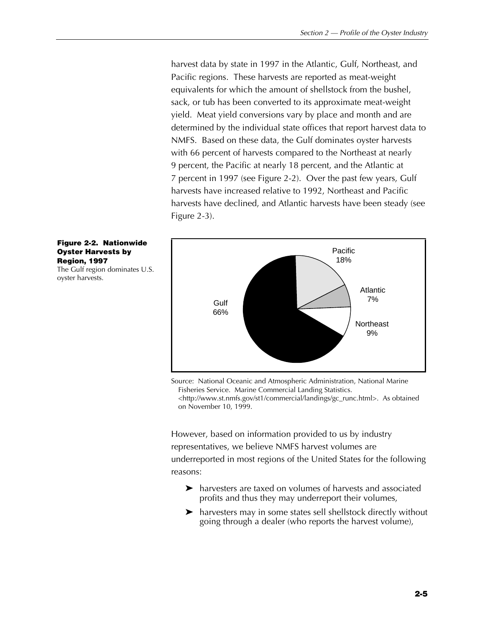harvest data by state in 1997 in the Atlantic, Gulf, Northeast, and Pacific regions. These harvests are reported as meat-weight equivalents for which the amount of shellstock from the bushel, sack, or tub has been converted to its approximate meat-weight yield. Meat yield conversions vary by place and month and are determined by the individual state offices that report harvest data to NMFS. Based on these data, the Gulf dominates oyster harvests with 66 percent of harvests compared to the Northeast at nearly 9 percent, the Pacific at nearly 18 percent, and the Atlantic at 7 percent in 1997 (see Figure 2-2). Over the past few years, Gulf harvests have increased relative to 1992, Northeast and Pacific harvests have declined, and Atlantic harvests have been steady (see Figure 2-3).



Source: National Oceanic and Atmospheric Administration, National Marine Fisheries Service. Marine Commercial Landing Statistics. <http://www.st.nmfs.gov/st1/commercial/landings/gc\_runc.html>. As obtained on November 10, 1999.

However, based on information provided to us by industry representatives, we believe NMFS harvest volumes are underreported in most regions of the United States for the following reasons:

- $\blacktriangleright$  harvesters are taxed on volumes of harvests and associated profits and thus they may underreport their volumes,
- $\blacktriangleright$  harvesters may in some states sell shellstock directly without going through a dealer (who reports the harvest volume),

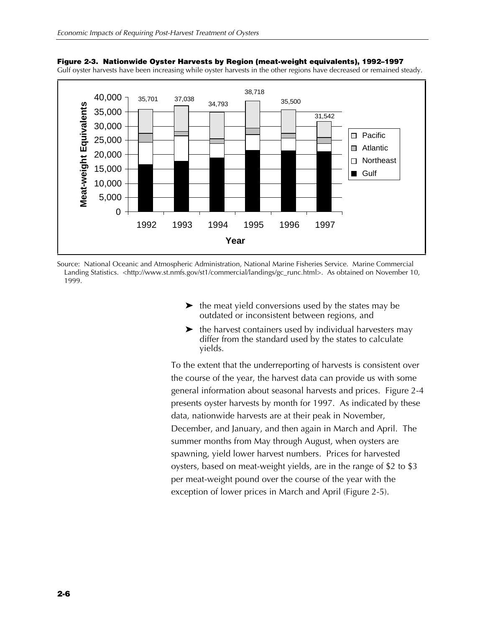

**Figure 2-3. Nationwide Oyster Harvests by Region (meat-weight equivalents), 1992–1997**

Gulf oyster harvests have been increasing while oyster harvests in the other regions have decreased or remained steady.

Source: National Oceanic and Atmospheric Administration, National Marine Fisheries Service. Marine Commercial Landing Statistics. <http://www.st.nmfs.gov/st1/commercial/landings/gc\_runc.html>. As obtained on November 10, 1999.

- $\blacktriangleright$  the meat yield conversions used by the states may be outdated or inconsistent between regions, and
- $\blacktriangleright$  the harvest containers used by individual harvesters may differ from the standard used by the states to calculate yields.

To the extent that the underreporting of harvests is consistent over the course of the year, the harvest data can provide us with some general information about seasonal harvests and prices. Figure 2-4 presents oyster harvests by month for 1997. As indicated by these data, nationwide harvests are at their peak in November, December, and January, and then again in March and April. The summer months from May through August, when oysters are spawning, yield lower harvest numbers. Prices for harvested oysters, based on meat-weight yields, are in the range of \$2 to \$3 per meat-weight pound over the course of the year with the exception of lower prices in March and April (Figure 2-5).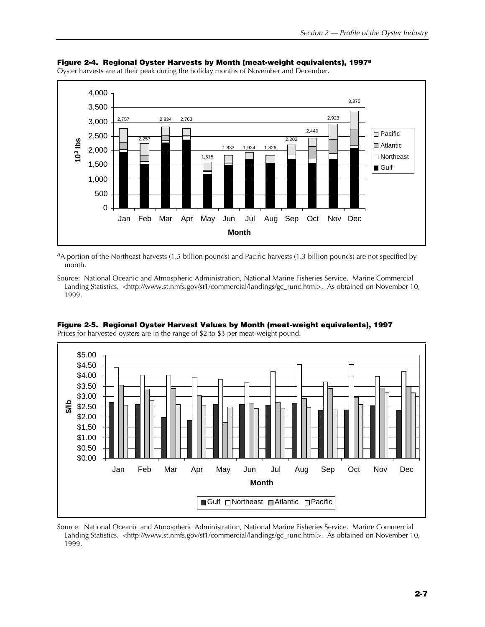

#### **Figure 2-4. Regional Oyster Harvests by Month (meat-weight equivalents), 1997a** Oyster harvests are at their peak during the holiday months of November and December.

 $a_A$  portion of the Northeast harvests (1.5 billion pounds) and Pacific harvests (1.3 billion pounds) are not specified by month.

Source: National Oceanic and Atmospheric Administration, National Marine Fisheries Service. Marine Commercial Landing Statistics. <http://www.st.nmfs.gov/st1/commercial/landings/gc\_runc.html>. As obtained on November 10, 1999.



**Figure 2-5. Regional Oyster Harvest Values by Month (meat-weight equivalents), 1997**

Prices for harvested oysters are in the range of \$2 to \$3 per meat-weight pound.

Source: National Oceanic and Atmospheric Administration, National Marine Fisheries Service. Marine Commercial Landing Statistics. <http://www.st.nmfs.gov/st1/commercial/landings/gc\_runc.html>. As obtained on November 10, 1999.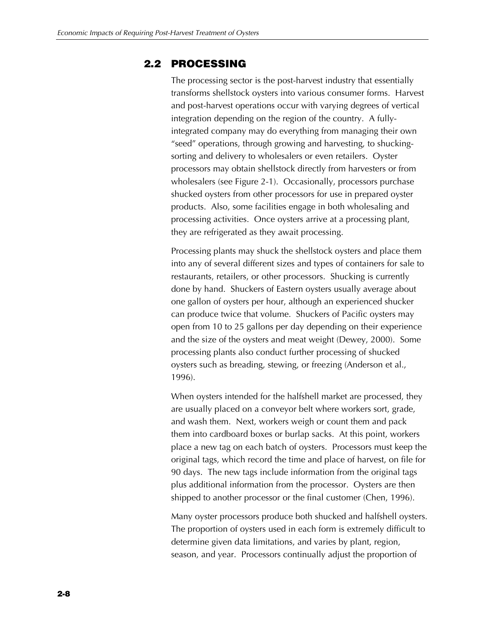### **2.2 PROCESSING**

The processing sector is the post-harvest industry that essentially transforms shellstock oysters into various consumer forms. Harvest and post-harvest operations occur with varying degrees of vertical integration depending on the region of the country. A fullyintegrated company may do everything from managing their own "seed" operations, through growing and harvesting, to shuckingsorting and delivery to wholesalers or even retailers. Oyster processors may obtain shellstock directly from harvesters or from wholesalers (see Figure 2-1). Occasionally, processors purchase shucked oysters from other processors for use in prepared oyster products. Also, some facilities engage in both wholesaling and processing activities. Once oysters arrive at a processing plant, they are refrigerated as they await processing.

Processing plants may shuck the shellstock oysters and place them into any of several different sizes and types of containers for sale to restaurants, retailers, or other processors. Shucking is currently done by hand. Shuckers of Eastern oysters usually average about one gallon of oysters per hour, although an experienced shucker can produce twice that volume. Shuckers of Pacific oysters may open from 10 to 25 gallons per day depending on their experience and the size of the oysters and meat weight (Dewey, 2000). Some processing plants also conduct further processing of shucked oysters such as breading, stewing, or freezing (Anderson et al., 1996).

When oysters intended for the halfshell market are processed, they are usually placed on a conveyor belt where workers sort, grade, and wash them. Next, workers weigh or count them and pack them into cardboard boxes or burlap sacks. At this point, workers place a new tag on each batch of oysters. Processors must keep the original tags, which record the time and place of harvest, on file for 90 days. The new tags include information from the original tags plus additional information from the processor. Oysters are then shipped to another processor or the final customer (Chen, 1996).

Many oyster processors produce both shucked and halfshell oysters. The proportion of oysters used in each form is extremely difficult to determine given data limitations, and varies by plant, region, season, and year. Processors continually adjust the proportion of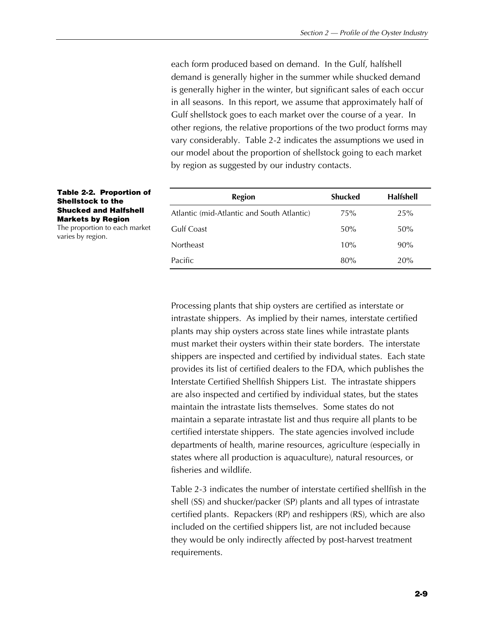each form produced based on demand. In the Gulf, halfshell demand is generally higher in the summer while shucked demand is generally higher in the winter, but significant sales of each occur in all seasons. In this report, we assume that approximately half of Gulf shellstock goes to each market over the course of a year. In other regions, the relative proportions of the two product forms may vary considerably. Table 2-2 indicates the assumptions we used in our model about the proportion of shellstock going to each market by region as suggested by our industry contacts.

| <b>Region</b>                              | Shucked | <b>Halfshell</b> |
|--------------------------------------------|---------|------------------|
| Atlantic (mid-Atlantic and South Atlantic) | 75%     | 25%              |
| Gulf Coast                                 | 50%     | 50%              |
| <b>Northeast</b>                           | 10%     | $90\%$           |
| Pacific                                    | 80%     | 20%              |

**Table 2-2. Proportion of Shellstock to the Shucked and Halfshell Markets by Region**

The proportion to each market varies by region.

> Processing plants that ship oysters are certified as interstate or intrastate shippers. As implied by their names, interstate certified plants may ship oysters across state lines while intrastate plants must market their oysters within their state borders. The interstate shippers are inspected and certified by individual states. Each state provides its list of certified dealers to the FDA, which publishes the Interstate Certified Shellfish Shippers List. The intrastate shippers are also inspected and certified by individual states, but the states maintain the intrastate lists themselves. Some states do not maintain a separate intrastate list and thus require all plants to be certified interstate shippers. The state agencies involved include departments of health, marine resources, agriculture (especially in states where all production is aquaculture), natural resources, or fisheries and wildlife.

> Table 2-3 indicates the number of interstate certified shellfish in the shell (SS) and shucker/packer (SP) plants and all types of intrastate certified plants. Repackers (RP) and reshippers (RS), which are also included on the certified shippers list, are not included because they would be only indirectly affected by post-harvest treatment requirements.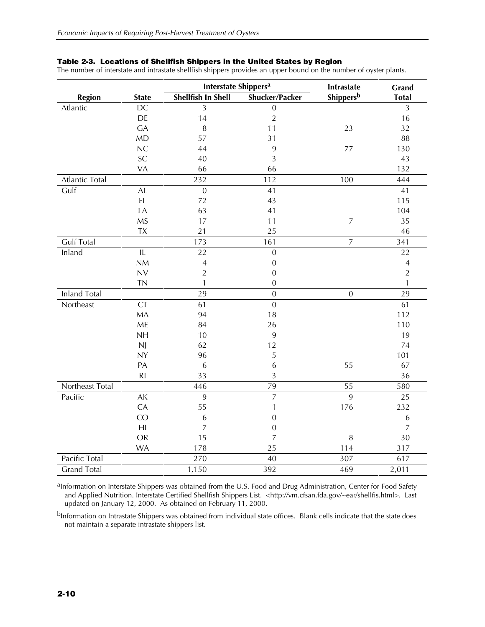|  | Table 2-3. Locations of Shellfish Shippers in the United States by Region |  |  |  |  |  |  |  |
|--|---------------------------------------------------------------------------|--|--|--|--|--|--|--|
|--|---------------------------------------------------------------------------|--|--|--|--|--|--|--|

The number of interstate and intrastate shellfish shippers provides an upper bound on the number of oyster plants.

|                     |                | Interstate Shippers <sup>a</sup> |                  | Intrastate       | Grand          |  |
|---------------------|----------------|----------------------------------|------------------|------------------|----------------|--|
| <b>Region</b>       | <b>State</b>   | Shellfish In Shell               | Shucker/Packer   | Shippersb        | <b>Total</b>   |  |
| Atlantic            | DC             | 3                                | $\boldsymbol{0}$ |                  | $\overline{3}$ |  |
|                     | DE             | 14                               | $\sqrt{2}$       |                  | 16             |  |
|                     | <b>GA</b>      | 8                                | 11               | 23               | 32             |  |
|                     | MD             | 57                               | 31               |                  | 88             |  |
|                     | NC             | 44                               | 9                | 77               | 130            |  |
|                     | SC             | 40                               | 3                |                  | 43             |  |
|                     | VA             | 66                               | 66               |                  | 132            |  |
| Atlantic Total      |                | 232                              | 112              | 100              | 444            |  |
| Gulf                | AL             | $\boldsymbol{0}$                 | 41               |                  | 41             |  |
|                     | FL             | 72                               | 43               |                  | 115            |  |
|                     | LA             | 63                               | 41               |                  | 104            |  |
|                     | <b>MS</b>      | 17                               | 11               | $\boldsymbol{7}$ | 35             |  |
|                     | TX             | 21                               | 25               |                  | 46             |  |
| <b>Gulf Total</b>   |                | 173                              | 161              | $\overline{7}$   | 341            |  |
| Inland              | IL             | 22                               | $\boldsymbol{0}$ |                  | 22             |  |
|                     | NM             | $\sqrt{4}$                       | $\boldsymbol{0}$ |                  | $\overline{4}$ |  |
|                     | <b>NV</b>      | $\overline{2}$                   | $\mathbf{0}$     |                  | $\overline{2}$ |  |
|                     | <b>TN</b>      | $\mathbf{1}$                     | $\mathbf{0}$     |                  | 1              |  |
| <b>Inland Total</b> |                | 29                               | $\mathbf{0}$     | $\overline{0}$   | 29             |  |
| Northeast           | <b>CT</b>      | 61                               | $\overline{0}$   |                  | 61             |  |
|                     | <b>MA</b>      | 94                               | 18               |                  | 112            |  |
|                     | ME             | 84                               | 26               |                  | 110            |  |
|                     | <b>NH</b>      | 10                               | 9                |                  | 19             |  |
|                     | N              | 62                               | 12               |                  | 74             |  |
|                     | <b>NY</b>      | 96                               | 5                |                  | 101            |  |
|                     | PA             | 6                                | 6                | 55               | 67             |  |
|                     | R <sub>l</sub> | 33                               | 3                |                  | 36             |  |
| Northeast Total     |                | 446                              | 79               | 55               | 580            |  |
| Pacific             | AK             | 9                                | $\overline{7}$   | 9                | 25             |  |
|                     | CA             | 55                               | 1                | 176              | 232            |  |
|                     | CO             | $\,6\,$                          | $\boldsymbol{0}$ |                  | $\,$ 6 $\,$    |  |
|                     | H <sub>l</sub> | $\overline{7}$                   | $\boldsymbol{0}$ |                  | $\overline{7}$ |  |
|                     | <b>OR</b>      | 15                               | $\overline{7}$   | $\, 8$           | 30             |  |
|                     | <b>WA</b>      | 178                              | 25               | 114              | 317            |  |
| Pacific Total       |                | 270                              | 40               | 307              | 617            |  |
| <b>Grand Total</b>  |                | 1,150                            | 392              | 469              | 2,011          |  |

aInformation on Interstate Shippers was obtained from the U.S. Food and Drug Administration, Center for Food Safety and Applied Nutrition. Interstate Certified Shellfish Shippers List. <http://vm.cfsan.fda.gov/~ear/shellfis.html>. Last updated on January 12, 2000. As obtained on February 11, 2000.

bInformation on Intrastate Shippers was obtained from individual state offices. Blank cells indicate that the state does not maintain a separate intrastate shippers list.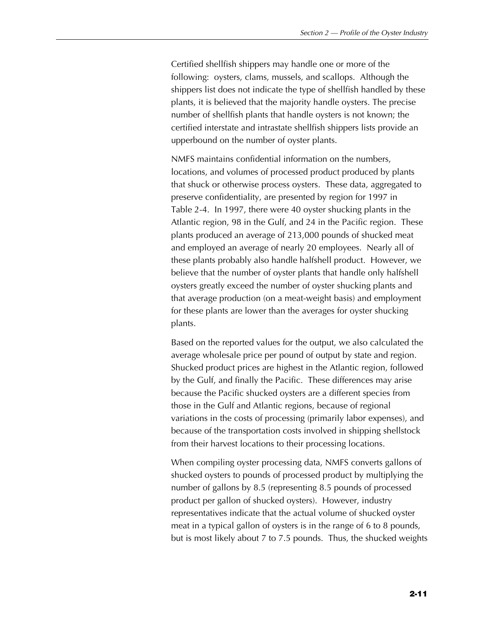Certified shellfish shippers may handle one or more of the following: oysters, clams, mussels, and scallops. Although the shippers list does not indicate the type of shellfish handled by these plants, it is believed that the majority handle oysters. The precise number of shellfish plants that handle oysters is not known; the certified interstate and intrastate shellfish shippers lists provide an upperbound on the number of oyster plants.

NMFS maintains confidential information on the numbers, locations, and volumes of processed product produced by plants that shuck or otherwise process oysters. These data, aggregated to preserve confidentiality, are presented by region for 1997 in Table 2-4. In 1997, there were 40 oyster shucking plants in the Atlantic region, 98 in the Gulf, and 24 in the Pacific region. These plants produced an average of 213,000 pounds of shucked meat and employed an average of nearly 20 employees. Nearly all of these plants probably also handle halfshell product. However, we believe that the number of oyster plants that handle only halfshell oysters greatly exceed the number of oyster shucking plants and that average production (on a meat-weight basis) and employment for these plants are lower than the averages for oyster shucking plants.

Based on the reported values for the output, we also calculated the average wholesale price per pound of output by state and region. Shucked product prices are highest in the Atlantic region, followed by the Gulf, and finally the Pacific. These differences may arise because the Pacific shucked oysters are a different species from those in the Gulf and Atlantic regions, because of regional variations in the costs of processing (primarily labor expenses), and because of the transportation costs involved in shipping shellstock from their harvest locations to their processing locations.

When compiling oyster processing data, NMFS converts gallons of shucked oysters to pounds of processed product by multiplying the number of gallons by 8.5 (representing 8.5 pounds of processed product per gallon of shucked oysters). However, industry representatives indicate that the actual volume of shucked oyster meat in a typical gallon of oysters is in the range of 6 to 8 pounds, but is most likely about 7 to 7.5 pounds. Thus, the shucked weights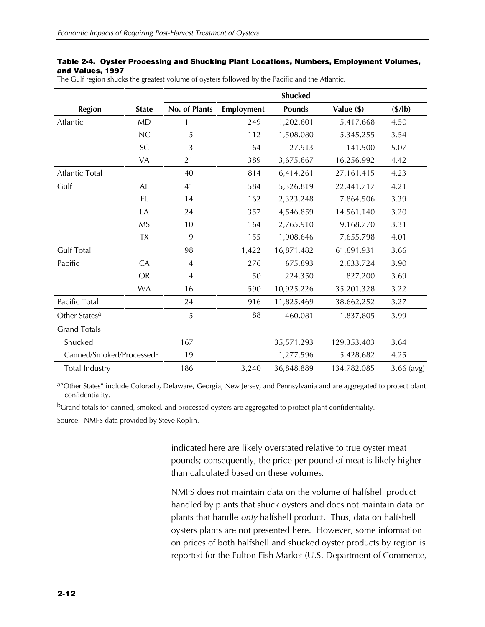#### **Table 2-4. Oyster Processing and Shucking Plant Locations, Numbers, Employment Volumes, and Values, 1997**

|  | The Gulf region shucks the greatest volume of oysters followed by the Pacific and the Atlantic. |  |  |  |  |
|--|-------------------------------------------------------------------------------------------------|--|--|--|--|
|  |                                                                                                 |  |  |  |  |

|                           |                            | <b>Shucked</b> |            |               |              |                  |  |  |
|---------------------------|----------------------------|----------------|------------|---------------|--------------|------------------|--|--|
| <b>Region</b>             | <b>State</b>               | No. of Plants  | Employment | <b>Pounds</b> | Value (\$)   | $(\frac{5}{lb})$ |  |  |
| Atlantic                  | <b>MD</b>                  | 11             | 249        | 1,202,601     | 5,417,668    | 4.50             |  |  |
|                           | NC                         | 5              | 112        | 1,508,080     | 5,345,255    | 3.54             |  |  |
|                           | $\ensuremath{\mathsf{SC}}$ | 3              | 64         | 27,913        | 141,500      | 5.07             |  |  |
|                           | VA                         | 21             | 389        | 3,675,667     | 16,256,992   | 4.42             |  |  |
| Atlantic Total            |                            | 40             | 814        | 6,414,261     | 27, 161, 415 | 4.23             |  |  |
| Gulf                      | <b>AL</b>                  | 41             | 584        | 5,326,819     | 22,441,717   | 4.21             |  |  |
|                           | <b>FL</b>                  | 14             | 162        | 2,323,248     | 7,864,506    | 3.39             |  |  |
|                           | LA                         | 24             | 357        | 4,546,859     | 14,561,140   | 3.20             |  |  |
|                           | <b>MS</b>                  | 10             | 164        | 2,765,910     | 9,168,770    | 3.31             |  |  |
|                           | <b>TX</b>                  | 9              | 155        | 1,908,646     | 7,655,798    | 4.01             |  |  |
| <b>Gulf Total</b>         |                            | 98             | 1,422      | 16,871,482    | 61,691,931   | 3.66             |  |  |
| Pacific                   | CA                         | $\overline{4}$ | 276        | 675,893       | 2,633,724    | 3.90             |  |  |
|                           | <b>OR</b>                  | $\overline{4}$ | 50         | 224,350       | 827,200      | 3.69             |  |  |
|                           | <b>WA</b>                  | 16             | 590        | 10,925,226    | 35,201,328   | 3.22             |  |  |
| Pacific Total             |                            | 24             | 916        | 11,825,469    | 38,662,252   | 3.27             |  |  |
| Other States <sup>a</sup> |                            | 5              | 88         | 460,081       | 1,837,805    | 3.99             |  |  |
| <b>Grand Totals</b>       |                            |                |            |               |              |                  |  |  |
| Shucked                   |                            | 167            |            | 35,571,293    | 129,353,403  | 3.64             |  |  |
| Canned/Smoked/Processedb  |                            | 19             |            | 1,277,596     | 5,428,682    | 4.25             |  |  |
| Total Industry            |                            | 186            | 3,240      | 36,848,889    | 134,782,085  | $3.66$ (avg)     |  |  |

a"Other States" include Colorado, Delaware, Georgia, New Jersey, and Pennsylvania and are aggregated to protect plant confidentiality.

bGrand totals for canned, smoked, and processed oysters are aggregated to protect plant confidentiality.

Source: NMFS data provided by Steve Koplin.

indicated here are likely overstated relative to true oyster meat pounds; consequently, the price per pound of meat is likely higher than calculated based on these volumes.

NMFS does not maintain data on the volume of halfshell product handled by plants that shuck oysters and does not maintain data on plants that handle *only* halfshell product. Thus, data on halfshell oysters plants are not presented here. However, some information on prices of both halfshell and shucked oyster products by region is reported for the Fulton Fish Market (U.S. Department of Commerce,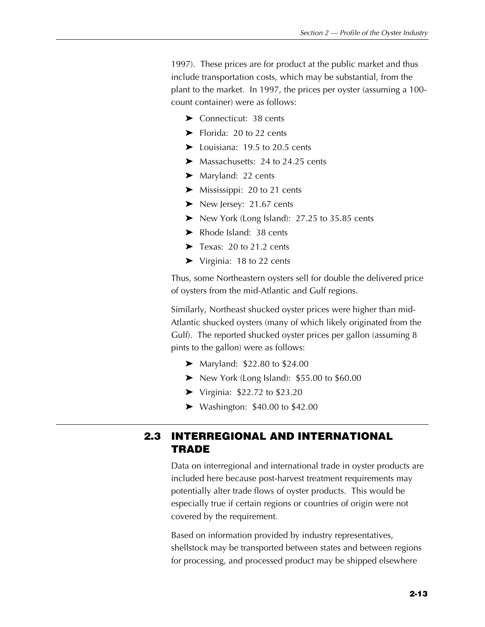1997). These prices are for product at the public market and thus include transportation costs, which may be substantial, from the plant to the market. In 1997, the prices per oyster (assuming a 100 count container) were as follows:

- $\blacktriangleright$  Connecticut: 38 cents
- $\blacktriangleright$  Florida: 20 to 22 cents
- $\blacktriangleright$  Louisiana: 19.5 to 20.5 cents
- $\blacktriangleright$  Massachusetts: 24 to 24.25 cents
- $\blacktriangleright$  Maryland: 22 cents
- $\blacktriangleright$  Mississippi: 20 to 21 cents
- $\blacktriangleright$  New Jersey: 21.67 cents
- $\blacktriangleright$  New York (Long Island): 27.25 to 35.85 cents
- $\blacktriangleright$  Rhode Island: 38 cents
- $\blacktriangleright$  Texas: 20 to 21.2 cents
- $\blacktriangleright$  Virginia: 18 to 22 cents

Thus, some Northeastern oysters sell for double the delivered price of oysters from the mid-Atlantic and Gulf regions.

Similarly, Northeast shucked oyster prices were higher than mid-Atlantic shucked oysters (many of which likely originated from the Gulf). The reported shucked oyster prices per gallon (assuming 8 pints to the gallon) were as follows:

- $\blacktriangleright$  Maryland: \$22.80 to \$24.00
- $\blacktriangleright$  New York (Long Island): \$55.00 to \$60.00
- $\blacktriangleright$  Virginia: \$22.72 to \$23.20
- $\blacktriangleright$  Washington: \$40.00 to \$42.00

# **2.3 INTERREGIONAL AND INTERNATIONAL TRADE**

Data on interregional and international trade in oyster products are included here because post-harvest treatment requirements may potentially alter trade flows of oyster products. This would be especially true if certain regions or countries of origin were not covered by the requirement.

Based on information provided by industry representatives, shellstock may be transported between states and between regions for processing, and processed product may be shipped elsewhere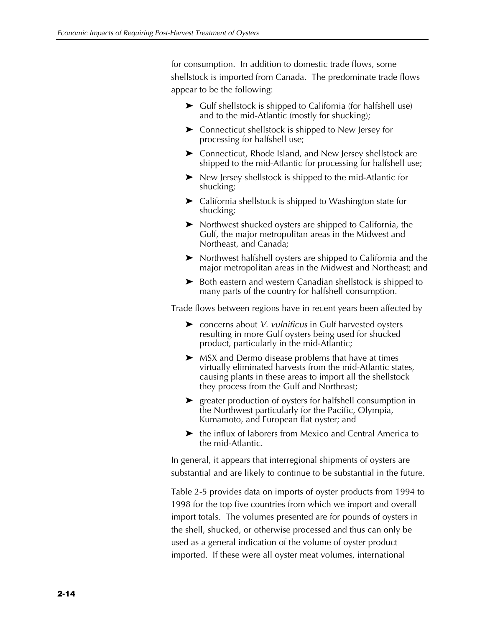for consumption. In addition to domestic trade flows, some shellstock is imported from Canada. The predominate trade flows appear to be the following:

- $\blacktriangleright$  Gulf shellstock is shipped to California (for halfshell use) and to the mid-Atlantic (mostly for shucking);
- $\blacktriangleright$  Connecticut shellstock is shipped to New Jersey for processing for halfshell use;
- $\blacktriangleright$  Connecticut, Rhode Island, and New Jersey shellstock are shipped to the mid-Atlantic for processing for halfshell use;
- $\blacktriangleright$  New Jersey shellstock is shipped to the mid-Atlantic for shucking;
- $\blacktriangleright$  California shellstock is shipped to Washington state for shucking;
- $\blacktriangleright$  Northwest shucked oysters are shipped to California, the Gulf, the major metropolitan areas in the Midwest and Northeast, and Canada;
- $\triangleright$  Northwest halfshell oysters are shipped to California and the major metropolitan areas in the Midwest and Northeast; and
- $\blacktriangleright$  Both eastern and western Canadian shellstock is shipped to many parts of the country for halfshell consumption.

Trade flows between regions have in recent years been affected by

- ▶ concerns about *V. vulnificus* in Gulf harvested oysters resulting in more Gulf oysters being used for shucked product, particularly in the mid-Atlantic;
- $\triangleright$  MSX and Dermo disease problems that have at times virtually eliminated harvests from the mid-Atlantic states, causing plants in these areas to import all the shellstock they process from the Gulf and Northeast;
- $\blacktriangleright$  greater production of oysters for halfshell consumption in the Northwest particularly for the Pacific, Olympia, Kumamoto, and European flat oyster; and
- $\blacktriangleright$  the influx of laborers from Mexico and Central America to the mid-Atlantic.

In general, it appears that interregional shipments of oysters are substantial and are likely to continue to be substantial in the future.

Table 2-5 provides data on imports of oyster products from 1994 to 1998 for the top five countries from which we import and overall import totals. The volumes presented are for pounds of oysters in the shell, shucked, or otherwise processed and thus can only be used as a general indication of the volume of oyster product imported. If these were all oyster meat volumes, international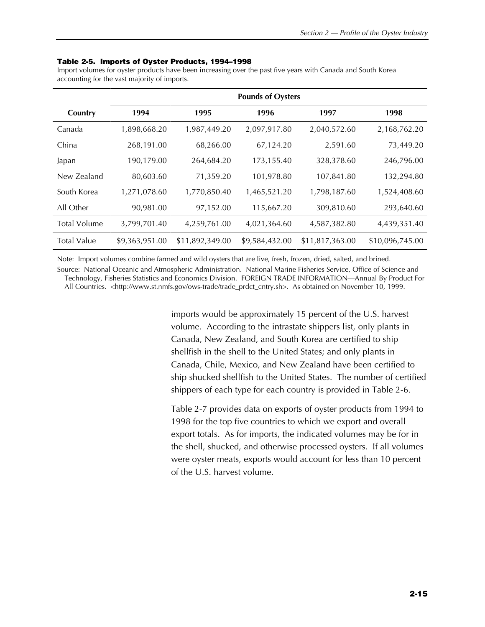#### **Table 2-5. Imports of Oyster Products, 1994–1998**

Import volumes for oyster products have been increasing over the past five years with Canada and South Korea accounting for the vast majority of imports.

|                     | <b>Pounds of Oysters</b> |                 |                |                 |                 |
|---------------------|--------------------------|-----------------|----------------|-----------------|-----------------|
| Country             | 1994                     | 1995            | 1996           | 1997            | 1998            |
| Canada              | 1,898,668.20             | 1,987,449.20    | 2,097,917.80   | 2,040,572.60    | 2,168,762.20    |
| China               | 268,191.00               | 68,266.00       | 67,124.20      | 2,591.60        | 73,449.20       |
| Japan               | 190,179.00               | 264,684.20      | 173,155.40     | 328,378.60      | 246,796.00      |
| New Zealand         | 80,603.60                | 71,359.20       | 101,978.80     | 107,841.80      | 132,294.80      |
| South Korea         | 1,271,078.60             | 1,770,850.40    | 1,465,521.20   | 1,798,187.60    | 1,524,408.60    |
| All Other           | 90,981.00                | 97,152.00       | 115,667.20     | 309,810.60      | 293,640.60      |
| <b>Total Volume</b> | 3,799,701.40             | 4,259,761.00    | 4,021,364.60   | 4,587,382.80    | 4,439,351.40    |
| <b>Total Value</b>  | \$9,363,951.00           | \$11,892,349.00 | \$9,584,432.00 | \$11,817,363.00 | \$10,096,745.00 |

Note: Import volumes combine farmed and wild oysters that are live, fresh, frozen, dried, salted, and brined.

Source: National Oceanic and Atmospheric Administration. National Marine Fisheries Service, Office of Science and Technology, Fisheries Statistics and Economics Division. FOREIGN TRADE INFORMATION—Annual By Product For All Countries. <http://www.st.nmfs.gov/ows-trade/trade\_prdct\_cntry.sh>. As obtained on November 10, 1999.

> imports would be approximately 15 percent of the U.S. harvest volume. According to the intrastate shippers list, only plants in Canada, New Zealand, and South Korea are certified to ship shellfish in the shell to the United States; and only plants in Canada, Chile, Mexico, and New Zealand have been certified to ship shucked shellfish to the United States. The number of certified shippers of each type for each country is provided in Table 2-6.

> Table 2-7 provides data on exports of oyster products from 1994 to 1998 for the top five countries to which we export and overall export totals. As for imports, the indicated volumes may be for in the shell, shucked, and otherwise processed oysters. If all volumes were oyster meats, exports would account for less than 10 percent of the U.S. harvest volume.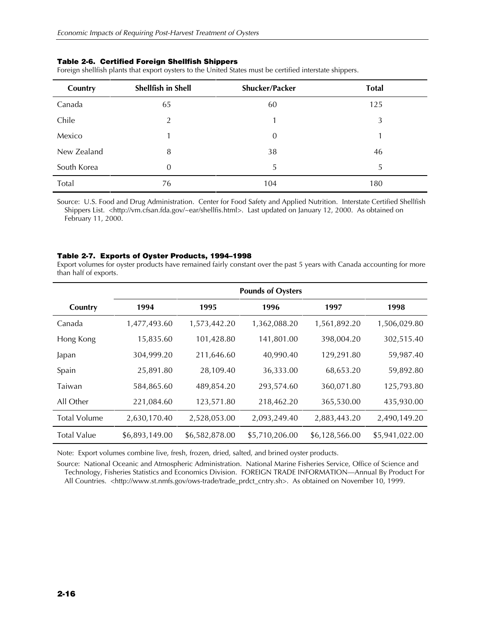Foreign shellfish plants that export oysters to the United States must be certified interstate shippers.

| Country     | <b>Shellfish in Shell</b> | Shucker/Packer | <b>Total</b> |
|-------------|---------------------------|----------------|--------------|
| Canada      | 65                        | 60             | 125          |
| Chile       | 2                         | 1              | 3            |
| Mexico      |                           | $\theta$       |              |
| New Zealand | 8                         | 38             | 46           |
| South Korea | 0                         | 5              | 5            |
| Total       | 76                        | 104            | 180          |

Source: U.S. Food and Drug Administration. Center for Food Safety and Applied Nutrition. Interstate Certified Shellfish Shippers List. <http://vm.cfsan.fda.gov/~ear/shellfis.html>. Last updated on January 12, 2000. As obtained on February 11, 2000.

#### **Table 2-7. Exports of Oyster Products, 1994–1998**

Export volumes for oyster products have remained fairly constant over the past 5 years with Canada accounting for more than half of exports.

|                     | <b>Pounds of Oysters</b> |                |                |                |                |
|---------------------|--------------------------|----------------|----------------|----------------|----------------|
| Country             | 1994                     | 1995           | 1996           | 1997           | 1998           |
| Canada              | 1,477,493.60             | 1,573,442.20   | 1,362,088.20   | 1,561,892.20   | 1,506,029.80   |
| Hong Kong           | 15,835.60                | 101,428.80     | 141,801.00     | 398,004.20     | 302,515.40     |
| Japan               | 304,999.20               | 211,646.60     | 40,990.40      | 129,291.80     | 59,987.40      |
| Spain               | 25,891.80                | 28,109.40      | 36,333.00      | 68,653.20      | 59,892.80      |
| Taiwan              | 584,865.60               | 489,854.20     | 293,574.60     | 360,071.80     | 125,793.80     |
| All Other           | 221,084.60               | 123,571.80     | 218,462.20     | 365,530.00     | 435,930.00     |
| <b>Total Volume</b> | 2,630,170.40             | 2,528,053.00   | 2,093,249.40   | 2,883,443.20   | 2,490,149.20   |
| <b>Total Value</b>  | \$6,893,149.00           | \$6,582,878.00 | \$5,710,206.00 | \$6,128,566.00 | \$5,941,022.00 |

Note: Export volumes combine live, fresh, frozen, dried, salted, and brined oyster products.

Source: National Oceanic and Atmospheric Administration. National Marine Fisheries Service, Office of Science and Technology, Fisheries Statistics and Economics Division. FOREIGN TRADE INFORMATION—Annual By Product For All Countries. <http://www.st.nmfs.gov/ows-trade/trade\_prdct\_cntry.sh>. As obtained on November 10, 1999.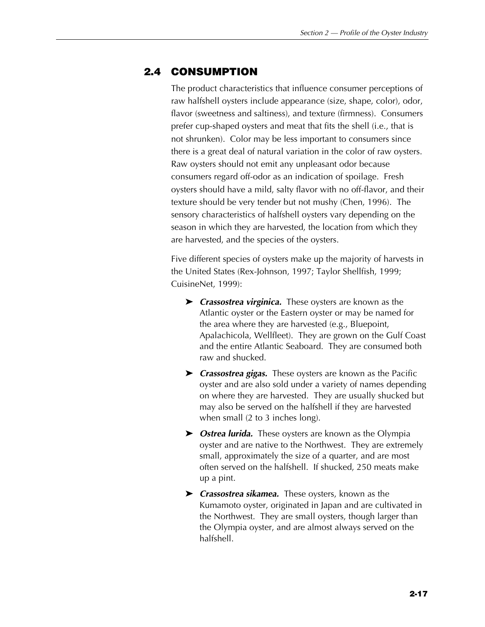# **2.4 CONSUMPTION**

The product characteristics that influence consumer perceptions of raw halfshell oysters include appearance (size, shape, color), odor, flavor (sweetness and saltiness), and texture (firmness). Consumers prefer cup-shaped oysters and meat that fits the shell (i.e., that is not shrunken). Color may be less important to consumers since there is a great deal of natural variation in the color of raw oysters. Raw oysters should not emit any unpleasant odor because consumers regard off-odor as an indication of spoilage. Fresh oysters should have a mild, salty flavor with no off-flavor, and their texture should be very tender but not mushy (Chen, 1996). The sensory characteristics of halfshell oysters vary depending on the season in which they are harvested, the location from which they are harvested, and the species of the oysters.

Five different species of oysters make up the majority of harvests in the United States (Rex-Johnson, 1997; Taylor Shellfish, 1999; CuisineNet, 1999):

- **Example 2** *Crassostrea virginica*. These oysters are known as the Atlantic oyster or the Eastern oyster or may be named for the area where they are harvested (e.g., Bluepoint, Apalachicola, Wellfleet). They are grown on the Gulf Coast and the entire Atlantic Seaboard. They are consumed both raw and shucked.
- ► *Crassostrea gigas.* These oysters are known as the Pacific oyster and are also sold under a variety of names depending on where they are harvested. They are usually shucked but may also be served on the halfshell if they are harvested when small (2 to 3 inches long).
- ▶ *Ostrea lurida*. These oysters are known as the Olympia oyster and are native to the Northwest. They are extremely small, approximately the size of a quarter, and are most often served on the halfshell. If shucked, 250 meats make up a pint.
- **Exercise 2 Crassostrea sikamea.** These oysters, known as the Kumamoto oyster, originated in Japan and are cultivated in the Northwest. They are small oysters, though larger than the Olympia oyster, and are almost always served on the halfshell.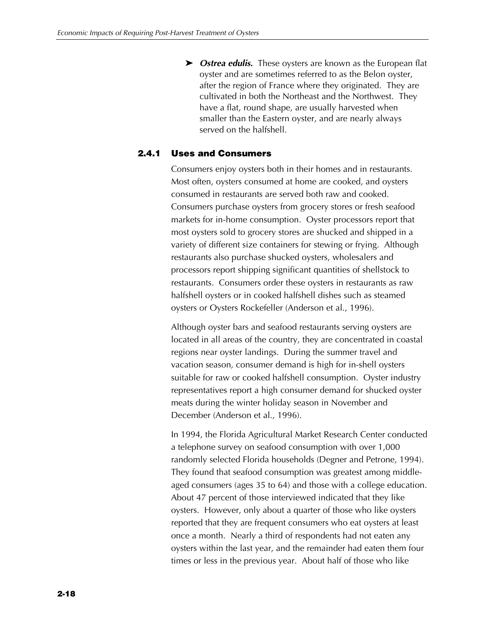▶ *Ostrea edulis.* These oysters are known as the European flat oyster and are sometimes referred to as the Belon oyster, after the region of France where they originated. They are cultivated in both the Northeast and the Northwest. They have a flat, round shape, are usually harvested when smaller than the Eastern oyster, and are nearly always served on the halfshell.

# **2.4.1 Uses and Consumers**

Consumers enjoy oysters both in their homes and in restaurants. Most often, oysters consumed at home are cooked, and oysters consumed in restaurants are served both raw and cooked. Consumers purchase oysters from grocery stores or fresh seafood markets for in-home consumption. Oyster processors report that most oysters sold to grocery stores are shucked and shipped in a variety of different size containers for stewing or frying. Although restaurants also purchase shucked oysters, wholesalers and processors report shipping significant quantities of shellstock to restaurants. Consumers order these oysters in restaurants as raw halfshell oysters or in cooked halfshell dishes such as steamed oysters or Oysters Rockefeller (Anderson et al., 1996).

Although oyster bars and seafood restaurants serving oysters are located in all areas of the country, they are concentrated in coastal regions near oyster landings. During the summer travel and vacation season, consumer demand is high for in-shell oysters suitable for raw or cooked halfshell consumption. Oyster industry representatives report a high consumer demand for shucked oyster meats during the winter holiday season in November and December (Anderson et al., 1996).

In 1994, the Florida Agricultural Market Research Center conducted a telephone survey on seafood consumption with over 1,000 randomly selected Florida households (Degner and Petrone, 1994). They found that seafood consumption was greatest among middleaged consumers (ages 35 to 64) and those with a college education. About 47 percent of those interviewed indicated that they like oysters. However, only about a quarter of those who like oysters reported that they are frequent consumers who eat oysters at least once a month. Nearly a third of respondents had not eaten any oysters within the last year, and the remainder had eaten them four times or less in the previous year. About half of those who like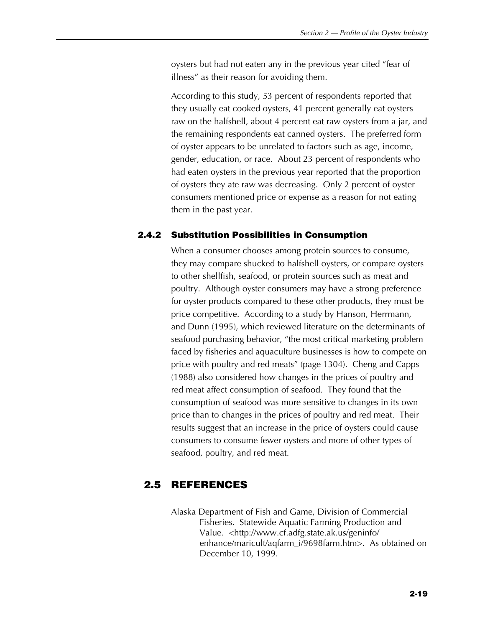oysters but had not eaten any in the previous year cited "fear of illness" as their reason for avoiding them.

According to this study, 53 percent of respondents reported that they usually eat cooked oysters, 41 percent generally eat oysters raw on the halfshell, about 4 percent eat raw oysters from a jar, and the remaining respondents eat canned oysters. The preferred form of oyster appears to be unrelated to factors such as age, income, gender, education, or race. About 23 percent of respondents who had eaten oysters in the previous year reported that the proportion of oysters they ate raw was decreasing. Only 2 percent of oyster consumers mentioned price or expense as a reason for not eating them in the past year.

# **2.4.2 Substitution Possibilities in Consumption**

When a consumer chooses among protein sources to consume, they may compare shucked to halfshell oysters, or compare oysters to other shellfish, seafood, or protein sources such as meat and poultry. Although oyster consumers may have a strong preference for oyster products compared to these other products, they must be price competitive. According to a study by Hanson, Herrmann, and Dunn (1995), which reviewed literature on the determinants of seafood purchasing behavior, "the most critical marketing problem faced by fisheries and aquaculture businesses is how to compete on price with poultry and red meats" (page 1304). Cheng and Capps (1988) also considered how changes in the prices of poultry and red meat affect consumption of seafood. They found that the consumption of seafood was more sensitive to changes in its own price than to changes in the prices of poultry and red meat. Their results suggest that an increase in the price of oysters could cause consumers to consume fewer oysters and more of other types of seafood, poultry, and red meat.

# **2.5 REFERENCES**

Alaska Department of Fish and Game, Division of Commercial Fisheries. Statewide Aquatic Farming Production and Value. <http://www.cf.adfg.state.ak.us/geninfo/ enhance/maricult/aqfarm\_i/9698farm.htm>. As obtained on December 10, 1999.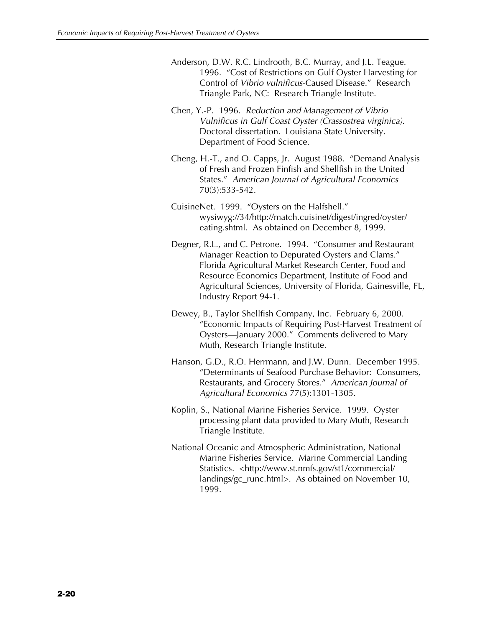- Anderson, D.W. R.C. Lindrooth, B.C. Murray, and J.L. Teague. 1996. "Cost of Restrictions on Gulf Oyster Harvesting for Control of *Vibrio vulnificus*-Caused Disease." Research Triangle Park, NC: Research Triangle Institute.
- Chen, Y.-P. 1996. *Reduction and Management of Vibrio Vulnificus in Gulf Coast Oyster (Crassostrea virginica).* Doctoral dissertation. Louisiana State University. Department of Food Science.
- Cheng, H.-T., and O. Capps, Jr. August 1988. "Demand Analysis of Fresh and Frozen Finfish and Shellfish in the United States." *American Journal of Agricultural Economics* 70(3):533-542.
- CuisineNet. 1999. "Oysters on the Halfshell." wysiwyg://34/http://match.cuisinet/digest/ingred/oyster/ eating.shtml. As obtained on December 8, 1999.
- Degner, R.L., and C. Petrone. 1994. "Consumer and Restaurant Manager Reaction to Depurated Oysters and Clams." Florida Agricultural Market Research Center, Food and Resource Economics Department, Institute of Food and Agricultural Sciences, University of Florida, Gainesville, FL, Industry Report 94-1.
- Dewey, B., Taylor Shellfish Company, Inc. February 6, 2000. "Economic Impacts of Requiring Post-Harvest Treatment of Oysters—January 2000." Comments delivered to Mary Muth, Research Triangle Institute.
- Hanson, G.D., R.O. Herrmann, and J.W. Dunn. December 1995. "Determinants of Seafood Purchase Behavior: Consumers, Restaurants, and Grocery Stores." *American Journal of Agricultural Economics* 77(5):1301-1305.
- Koplin, S., National Marine Fisheries Service. 1999. Oyster processing plant data provided to Mary Muth, Research Triangle Institute.
- National Oceanic and Atmospheric Administration, National Marine Fisheries Service. Marine Commercial Landing Statistics. <http://www.st.nmfs.gov/st1/commercial/ landings/gc\_runc.html>. As obtained on November 10, 1999.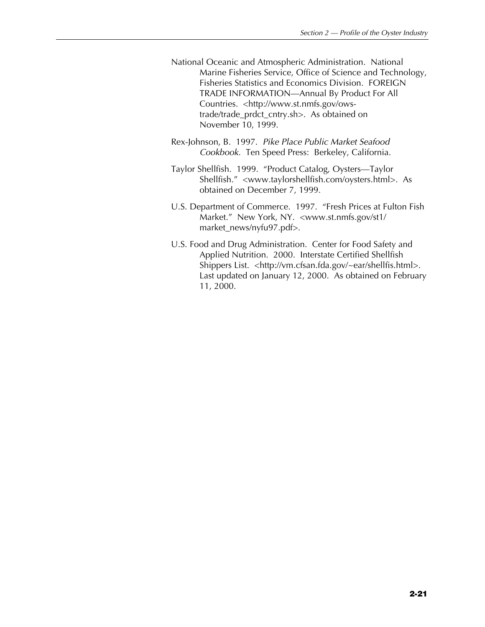- National Oceanic and Atmospheric Administration. National Marine Fisheries Service, Office of Science and Technology, Fisheries Statistics and Economics Division. FOREIGN TRADE INFORMATION—Annual By Product For All Countries. <http://www.st.nmfs.gov/owstrade/trade\_prdct\_cntry.sh>. As obtained on November 10, 1999.
- Rex-Johnson, B. 1997. *Pike Place Public Market Seafood Cookbook.* Ten Speed Press: Berkeley, California.
- Taylor Shellfish. 1999. "Product Catalog, Oysters—Taylor Shellfish." <www.taylorshellfish.com/oysters.html>. As obtained on December 7, 1999.
- U.S. Department of Commerce. 1997. "Fresh Prices at Fulton Fish Market." New York, NY. <www.st.nmfs.gov/st1/ market\_news/nyfu97.pdf>.
- U.S. Food and Drug Administration. Center for Food Safety and Applied Nutrition. 2000. Interstate Certified Shellfish Shippers List. <http://vm.cfsan.fda.gov/~ear/shellfis.html>. Last updated on January 12, 2000. As obtained on February 11, 2000.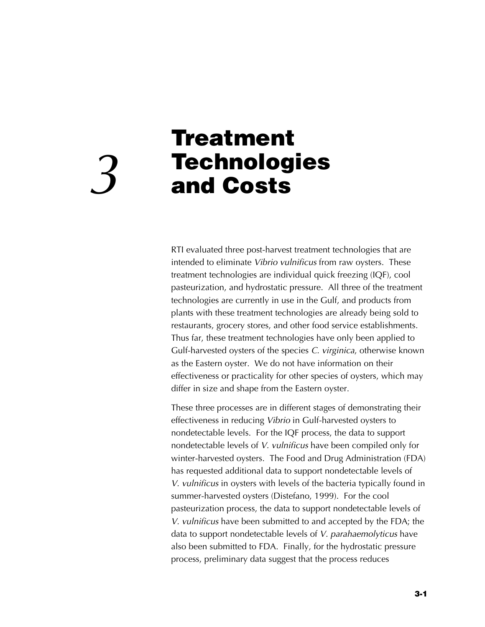# **Treatment Technologies** *3* **and Costs**

RTI evaluated three post-harvest treatment technologies that are intended to eliminate *Vibrio vulnificus* from raw oysters. These treatment technologies are individual quick freezing (IQF), cool pasteurization, and hydrostatic pressure. All three of the treatment technologies are currently in use in the Gulf, and products from plants with these treatment technologies are already being sold to restaurants, grocery stores, and other food service establishments. Thus far, these treatment technologies have only been applied to Gulf-harvested oysters of the species *C. virginica*, otherwise known as the Eastern oyster. We do not have information on their effectiveness or practicality for other species of oysters, which may differ in size and shape from the Eastern oyster.

These three processes are in different stages of demonstrating their effectiveness in reducing *Vibrio* in Gulf-harvested oysters to nondetectable levels. For the IQF process, the data to support nondetectable levels of *V. vulnificus* have been compiled only for winter-harvested oysters. The Food and Drug Administration (FDA) has requested additional data to support nondetectable levels of *V. vulnificus* in oysters with levels of the bacteria typically found in summer-harvested oysters (Distefano, 1999). For the cool pasteurization process, the data to support nondetectable levels of *V. vulnificus* have been submitted to and accepted by the FDA; the data to support nondetectable levels of *V. parahaemolyticus* have also been submitted to FDA. Finally, for the hydrostatic pressure process, preliminary data suggest that the process reduces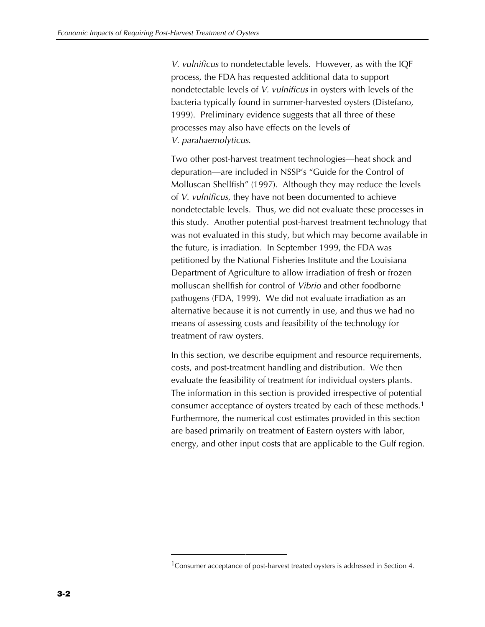*V. vulnificus* to nondetectable levels. However, as with the IQF process, the FDA has requested additional data to support nondetectable levels of *V. vulnificus* in oysters with levels of the bacteria typically found in summer-harvested oysters (Distefano, 1999). Preliminary evidence suggests that all three of these processes may also have effects on the levels of *V. parahaemolyticus*.

Two other post-harvest treatment technologies—heat shock and depuration—are included in NSSP's "Guide for the Control of Molluscan Shellfish" (1997). Although they may reduce the levels of *V. vulnificus*, they have not been documented to achieve nondetectable levels. Thus, we did not evaluate these processes in this study. Another potential post-harvest treatment technology that was not evaluated in this study, but which may become available in the future, is irradiation. In September 1999, the FDA was petitioned by the National Fisheries Institute and the Louisiana Department of Agriculture to allow irradiation of fresh or frozen molluscan shellfish for control of *Vibrio* and other foodborne pathogens (FDA, 1999). We did not evaluate irradiation as an alternative because it is not currently in use, and thus we had no means of assessing costs and feasibility of the technology for treatment of raw oysters.

In this section, we describe equipment and resource requirements, costs, and post-treatment handling and distribution. We then evaluate the feasibility of treatment for individual oysters plants. The information in this section is provided irrespective of potential consumer acceptance of oysters treated by each of these methods.1 Furthermore, the numerical cost estimates provided in this section are based primarily on treatment of Eastern oysters with labor, energy, and other input costs that are applicable to the Gulf region.

<sup>&</sup>lt;sup>1</sup> Consumer acceptance of post-harvest treated oysters is addressed in Section 4.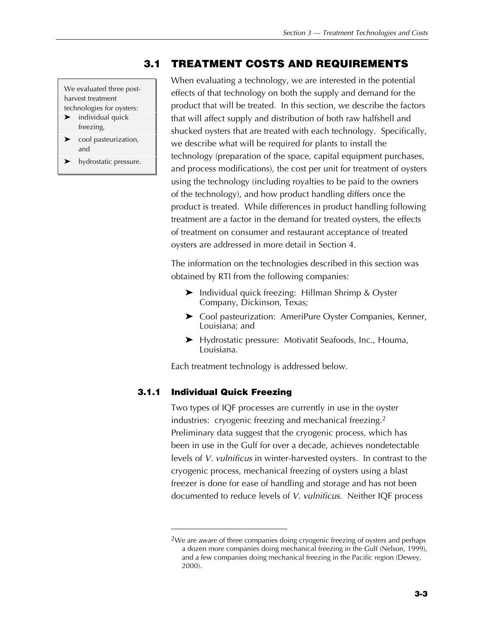# **3.1 TREATMENT COSTS AND REQUIREMENTS**

We evaluated three postharvest treatment technologies for oysters:

- $\blacktriangleright$  individual quick freezing,
- $\blacktriangleright$  cool pasteurization, and
- $\blacktriangleright$  hydrostatic pressure.

When evaluating a technology, we are interested in the potential effects of that technology on both the supply and demand for the product that will be treated. In this section, we describe the factors that will affect supply and distribution of both raw halfshell and shucked oysters that are treated with each technology. Specifically, we describe what will be required for plants to install the technology (preparation of the space, capital equipment purchases, and process modifications), the cost per unit for treatment of oysters using the technology (including royalties to be paid to the owners of the technology), and how product handling differs once the product is treated. While differences in product handling following treatment are a factor in the demand for treated oysters, the effects of treatment on consumer and restaurant acceptance of treated oysters are addressed in more detail in Section 4.

The information on the technologies described in this section was obtained by RTI from the following companies:

- $\blacktriangleright$  Individual quick freezing: Hillman Shrimp & Oyster Company, Dickinson, Texas;
- ▶ Cool pasteurization: AmeriPure Oyster Companies, Kenner, Louisiana; and
- ▶ Hydrostatic pressure: Motivatit Seafoods, Inc., Houma, Louisiana.

Each treatment technology is addressed below.

# **3.1.1 Individual Quick Freezing**

Two types of IQF processes are currently in use in the oyster industries: cryogenic freezing and mechanical freezing.<sup>2</sup> Preliminary data suggest that the cryogenic process, which has been in use in the Gulf for over a decade, achieves nondetectable levels of *V. vulnificus* in winter-harvested oysters. In contrast to the cryogenic process, mechanical freezing of oysters using a blast freezer is done for ease of handling and storage and has not been documented to reduce levels of *V. vulnificus*. Neither IQF process

<sup>&</sup>lt;sup>2</sup>We are aware of three companies doing cryogenic freezing of oysters and perhaps a dozen more companies doing mechanical freezing in the Gulf (Nelson, 1999), and a few companies doing mechanical freezing in the Pacific region (Dewey, 2000).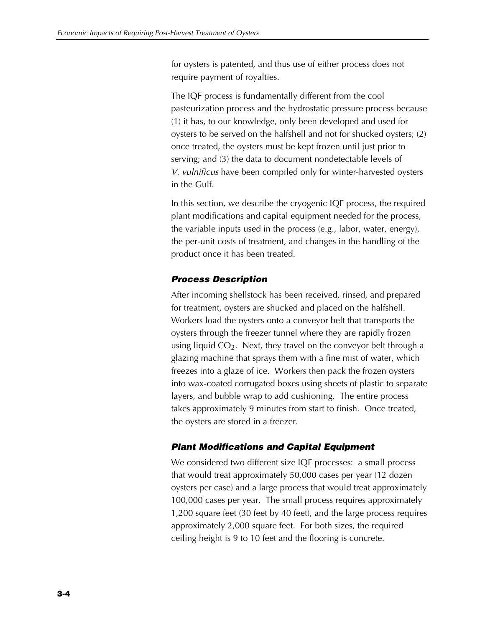for oysters is patented, and thus use of either process does not require payment of royalties.

The IQF process is fundamentally different from the cool pasteurization process and the hydrostatic pressure process because (1) it has, to our knowledge, only been developed and used for oysters to be served on the halfshell and not for shucked oysters; (2) once treated, the oysters must be kept frozen until just prior to serving; and (3) the data to document nondetectable levels of *V. vulnificus* have been compiled only for winter-harvested oysters in the Gulf.

In this section, we describe the cryogenic IQF process, the required plant modifications and capital equipment needed for the process, the variable inputs used in the process (e.g., labor, water, energy), the per-unit costs of treatment, and changes in the handling of the product once it has been treated.

# *Process Description*

After incoming shellstock has been received, rinsed, and prepared for treatment, oysters are shucked and placed on the halfshell. Workers load the oysters onto a conveyor belt that transports the oysters through the freezer tunnel where they are rapidly frozen using liquid  $CO<sub>2</sub>$ . Next, they travel on the conveyor belt through a glazing machine that sprays them with a fine mist of water, which freezes into a glaze of ice. Workers then pack the frozen oysters into wax-coated corrugated boxes using sheets of plastic to separate layers, and bubble wrap to add cushioning. The entire process takes approximately 9 minutes from start to finish. Once treated, the oysters are stored in a freezer.

# *Plant Modifications and Capital Equipment*

We considered two different size IQF processes: a small process that would treat approximately 50,000 cases per year (12 dozen oysters per case) and a large process that would treat approximately 100,000 cases per year. The small process requires approximately 1,200 square feet (30 feet by 40 feet), and the large process requires approximately 2,000 square feet. For both sizes, the required ceiling height is 9 to 10 feet and the flooring is concrete.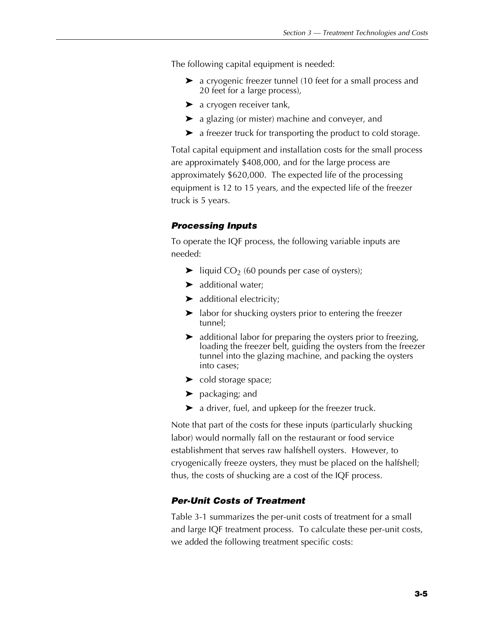The following capital equipment is needed:

- $\triangleright$  a cryogenic freezer tunnel (10 feet for a small process and 20 feet for a large process),
- $\blacktriangleright$  a cryogen receiver tank,
- $\blacktriangleright$  a glazing (or mister) machine and conveyer, and
- $\blacktriangleright$  a freezer truck for transporting the product to cold storage.

Total capital equipment and installation costs for the small process are approximately \$408,000, and for the large process are approximately \$620,000. The expected life of the processing equipment is 12 to 15 years, and the expected life of the freezer truck is 5 years.

# *Processing Inputs*

To operate the IQF process, the following variable inputs are needed:

- $\blacktriangleright$  liquid CO<sub>2</sub> (60 pounds per case of oysters);
- $\blacktriangleright$  additional water;
- $\blacktriangleright$  additional electricity;
- $\blacktriangleright$  labor for shucking oysters prior to entering the freezer tunnel;
- $\blacktriangleright$  additional labor for preparing the oysters prior to freezing, loading the freezer belt, guiding the oysters from the freezer tunnel into the glazing machine, and packing the oysters into cases;
- $\blacktriangleright$  cold storage space;
- $\blacktriangleright$  packaging; and
- $\blacktriangleright$  a driver, fuel, and upkeep for the freezer truck.

Note that part of the costs for these inputs (particularly shucking labor) would normally fall on the restaurant or food service establishment that serves raw halfshell oysters. However, to cryogenically freeze oysters, they must be placed on the halfshell; thus, the costs of shucking are a cost of the IQF process.

# *Per-Unit Costs of Treatment*

Table 3-1 summarizes the per-unit costs of treatment for a small and large IQF treatment process. To calculate these per-unit costs, we added the following treatment specific costs: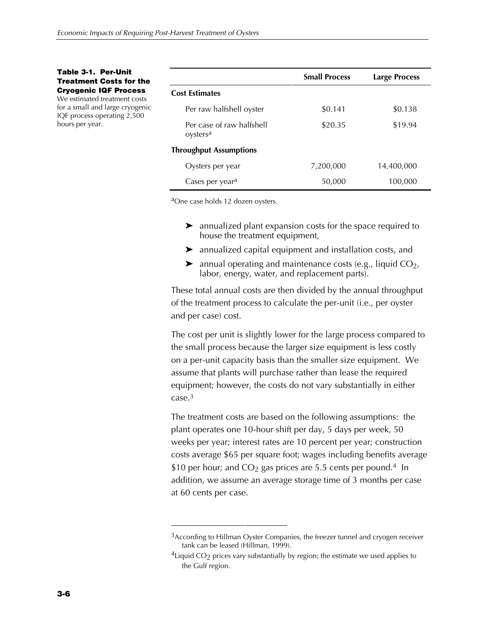**Table 3-1. Per-Unit Treatment Costs for the Cryogenic IQF Process**

We estimated treatment costs for a small and large cryogenic IQF process operating 2,500 hours per year.

|                                                   | <b>Small Process</b> | <b>Large Process</b> |
|---------------------------------------------------|----------------------|----------------------|
| <b>Cost Estimates</b>                             |                      |                      |
| Per raw halfshell oyster                          | \$0.141              | \$0.138              |
| Per case of raw halfshell<br>oysters <sup>a</sup> | \$20.35              | \$19.94              |
| <b>Throughput Assumptions</b>                     |                      |                      |
| Oysters per year                                  | 7,200,000            | 14,400,000           |
| Cases per year <sup>a</sup>                       | 50,000               | 100,000              |

aOne case holds 12 dozen oysters.

- $\blacktriangleright$  annualized plant expansion costs for the space required to house the treatment equipment,
- $\blacktriangleright$  annualized capital equipment and installation costs, and
- $\blacktriangleright$  annual operating and maintenance costs (e.g., liquid CO<sub>2</sub>, labor, energy, water, and replacement parts).

These total annual costs are then divided by the annual throughput of the treatment process to calculate the per-unit (i.e., per oyster and per case) cost.

The cost per unit is slightly lower for the large process compared to the small process because the larger size equipment is less costly on a per-unit capacity basis than the smaller size equipment. We assume that plants will purchase rather than lease the required equipment; however, the costs do not vary substantially in either case.3

The treatment costs are based on the following assumptions: the plant operates one 10-hour shift per day, 5 days per week, 50 weeks per year; interest rates are 10 percent per year; construction costs average \$65 per square foot; wages including benefits average \$10 per hour; and  $CO<sub>2</sub>$  gas prices are 5.5 cents per pound.<sup>4</sup> In addition, we assume an average storage time of 3 months per case at 60 cents per case.

<sup>&</sup>lt;sup>3</sup> According to Hillman Oyster Companies, the freezer tunnel and cryogen receiver tank can be leased (Hillman, 1999).

<sup>&</sup>lt;sup>4</sup>Liquid CO<sub>2</sub> prices vary substantially by region; the estimate we used applies to the Gulf region.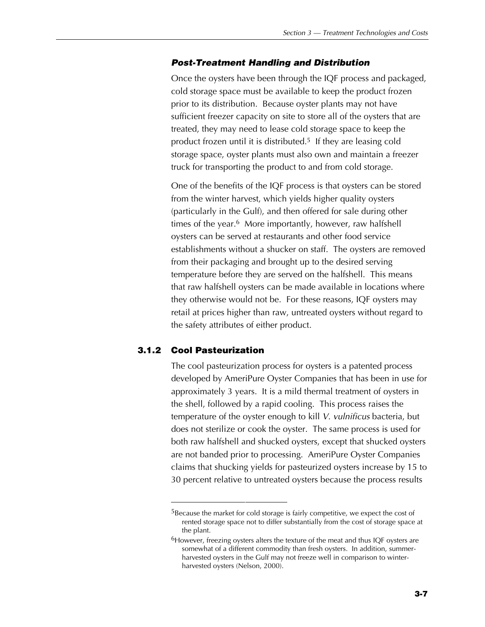# *Post-Treatment Handling and Distribution*

Once the oysters have been through the IQF process and packaged, cold storage space must be available to keep the product frozen prior to its distribution. Because oyster plants may not have sufficient freezer capacity on site to store all of the oysters that are treated, they may need to lease cold storage space to keep the product frozen until it is distributed.5 If they are leasing cold storage space, oyster plants must also own and maintain a freezer truck for transporting the product to and from cold storage.

One of the benefits of the IQF process is that oysters can be stored from the winter harvest, which yields higher quality oysters (particularly in the Gulf), and then offered for sale during other times of the year.<sup>6</sup> More importantly, however, raw halfshell oysters can be served at restaurants and other food service establishments without a shucker on staff. The oysters are removed from their packaging and brought up to the desired serving temperature before they are served on the halfshell. This means that raw halfshell oysters can be made available in locations where they otherwise would not be. For these reasons, IQF oysters may retail at prices higher than raw, untreated oysters without regard to the safety attributes of either product.

# **3.1.2 Cool Pasteurization**

The cool pasteurization process for oysters is a patented process developed by AmeriPure Oyster Companies that has been in use for approximately 3 years. It is a mild thermal treatment of oysters in the shell, followed by a rapid cooling. This process raises the temperature of the oyster enough to kill *V. vulnificus* bacteria, but does not sterilize or cook the oyster. The same process is used for both raw halfshell and shucked oysters, except that shucked oysters are not banded prior to processing. AmeriPure Oyster Companies claims that shucking yields for pasteurized oysters increase by 15 to 30 percent relative to untreated oysters because the process results

<sup>&</sup>lt;sup>5</sup>Because the market for cold storage is fairly competitive, we expect the cost of rented storage space not to differ substantially from the cost of storage space at the plant.

 $6$ However, freezing oysters alters the texture of the meat and thus IQF oysters are somewhat of a different commodity than fresh oysters. In addition, summerharvested oysters in the Gulf may not freeze well in comparison to winterharvested oysters (Nelson, 2000).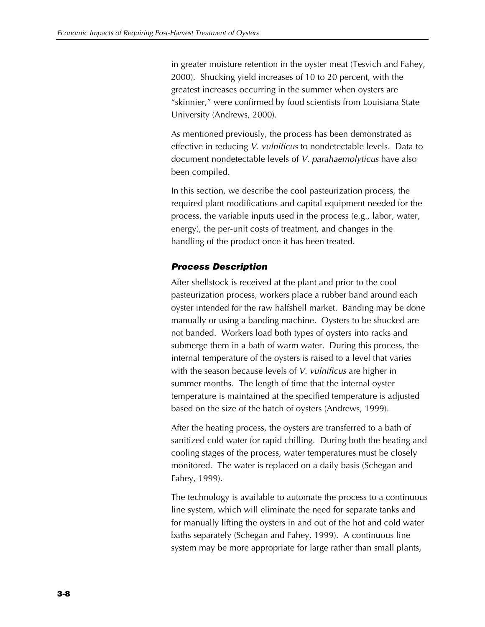in greater moisture retention in the oyster meat (Tesvich and Fahey, 2000). Shucking yield increases of 10 to 20 percent, with the greatest increases occurring in the summer when oysters are "skinnier," were confirmed by food scientists from Louisiana State University (Andrews, 2000).

As mentioned previously, the process has been demonstrated as effective in reducing *V. vulnificus* to nondetectable levels. Data to document nondetectable levels of *V. parahaemolyticus* have also been compiled.

In this section, we describe the cool pasteurization process, the required plant modifications and capital equipment needed for the process, the variable inputs used in the process (e.g., labor, water, energy), the per-unit costs of treatment, and changes in the handling of the product once it has been treated.

# *Process Description*

After shellstock is received at the plant and prior to the cool pasteurization process, workers place a rubber band around each oyster intended for the raw halfshell market. Banding may be done manually or using a banding machine. Oysters to be shucked are not banded. Workers load both types of oysters into racks and submerge them in a bath of warm water. During this process, the internal temperature of the oysters is raised to a level that varies with the season because levels of *V. vulnificus* are higher in summer months. The length of time that the internal oyster temperature is maintained at the specified temperature is adjusted based on the size of the batch of oysters (Andrews, 1999).

After the heating process, the oysters are transferred to a bath of sanitized cold water for rapid chilling. During both the heating and cooling stages of the process, water temperatures must be closely monitored. The water is replaced on a daily basis (Schegan and Fahey, 1999).

The technology is available to automate the process to a continuous line system, which will eliminate the need for separate tanks and for manually lifting the oysters in and out of the hot and cold water baths separately (Schegan and Fahey, 1999). A continuous line system may be more appropriate for large rather than small plants,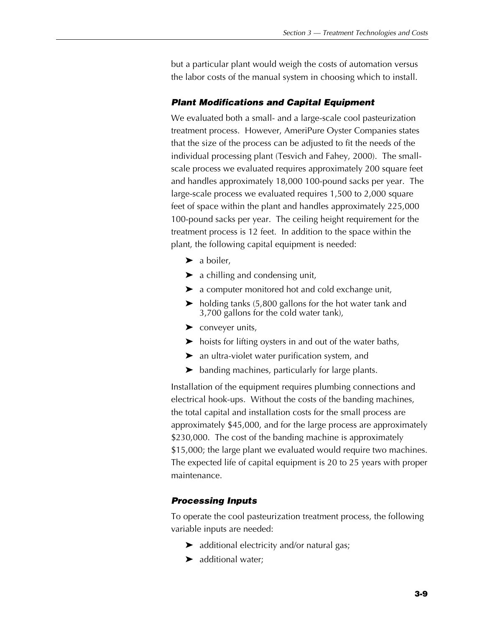but a particular plant would weigh the costs of automation versus the labor costs of the manual system in choosing which to install.

# *Plant Modifications and Capital Equipment*

We evaluated both a small- and a large-scale cool pasteurization treatment process. However, AmeriPure Oyster Companies states that the size of the process can be adjusted to fit the needs of the individual processing plant (Tesvich and Fahey, 2000). The smallscale process we evaluated requires approximately 200 square feet and handles approximately 18,000 100-pound sacks per year. The large-scale process we evaluated requires 1,500 to 2,000 square feet of space within the plant and handles approximately 225,000 100-pound sacks per year. The ceiling height requirement for the treatment process is 12 feet. In addition to the space within the plant, the following capital equipment is needed:

- $\blacktriangleright$  a boiler,
- $\blacktriangleright$  a chilling and condensing unit,
- $\blacktriangleright$  a computer monitored hot and cold exchange unit,
- $\blacktriangleright$  holding tanks (5,800 gallons for the hot water tank and 3,700 gallons for the cold water tank),
- $\blacktriangleright$  conveyer units,
- $\triangleright$  hoists for lifting oysters in and out of the water baths,
- $\blacktriangleright$  an ultra-violet water purification system, and
- $\blacktriangleright$  banding machines, particularly for large plants.

Installation of the equipment requires plumbing connections and electrical hook-ups. Without the costs of the banding machines, the total capital and installation costs for the small process are approximately \$45,000, and for the large process are approximately \$230,000. The cost of the banding machine is approximately \$15,000; the large plant we evaluated would require two machines. The expected life of capital equipment is 20 to 25 years with proper maintenance.

# *Processing Inputs*

To operate the cool pasteurization treatment process, the following variable inputs are needed:

- $\blacktriangleright$  additional electricity and/or natural gas;
- $\blacktriangleright$  additional water;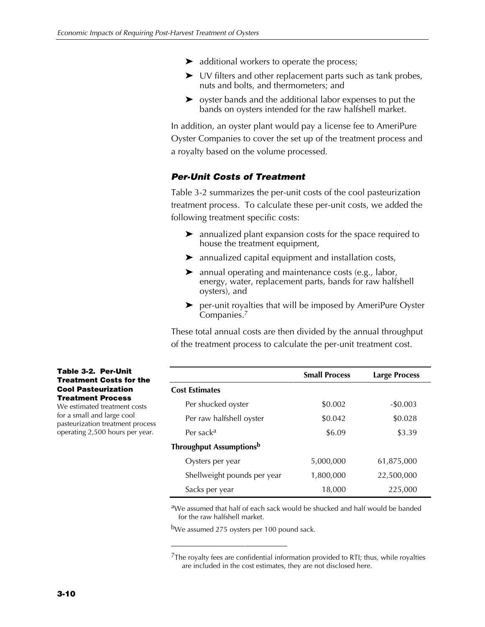- $\blacktriangleright$  additional workers to operate the process;
- $\triangleright$  UV filters and other replacement parts such as tank probes, nuts and bolts, and thermometers; and
- $\triangleright$  oyster bands and the additional labor expenses to put the bands on oysters intended for the raw halfshell market.

In addition, an oyster plant would pay a license fee to AmeriPure Oyster Companies to cover the set up of the treatment process and a royalty based on the volume processed.

# *Per-Unit Costs of Treatment*

Table 3-2 summarizes the per-unit costs of the cool pasteurization treatment process. To calculate these per-unit costs, we added the following treatment specific costs:

- $\blacktriangleright$  annualized plant expansion costs for the space required to house the treatment equipment,
- $\blacktriangleright$  annualized capital equipment and installation costs,
- $\blacktriangleright$  annual operating and maintenance costs (e.g., labor, energy, water, replacement parts, bands for raw halfshell oysters), and
- $\blacktriangleright$  per-unit royalties that will be imposed by AmeriPure Oyster Companies.7

These total annual costs are then divided by the annual throughput of the treatment process to calculate the per-unit treatment cost.

|                                | <b>Small Process</b> | <b>Large Process</b> |
|--------------------------------|----------------------|----------------------|
| <b>Cost Estimates</b>          |                      |                      |
| Per shucked oyster             | \$0.002              | $-$0.003$            |
| Per raw halfshell oyster       | \$0.042              | \$0.028              |
| Per sack <sup>a</sup>          | \$6.09               | \$3.39               |
| <b>Throughput Assumptionsb</b> |                      |                      |
| Oysters per year               | 5,000,000            | 61,875,000           |
| Shellweight pounds per year    | 1,800,000            | 22,500,000           |
| Sacks per year                 | 18,000               | 225,000              |

aWe assumed that half of each sack would be shucked and half would be banded for the raw halfshell market.

bWe assumed 275 oysters per 100 pound sack.

#### **Table 3-2. Per-Unit Treatment Costs for the Cool Pasteurization Treatment Process**

We estimated treatment costs for a small and large cool pasteurization treatment process operating 2,500 hours per year.

 $7$ The royalty fees are confidential information provided to RTI; thus, while royalties are included in the cost estimates, they are not disclosed here.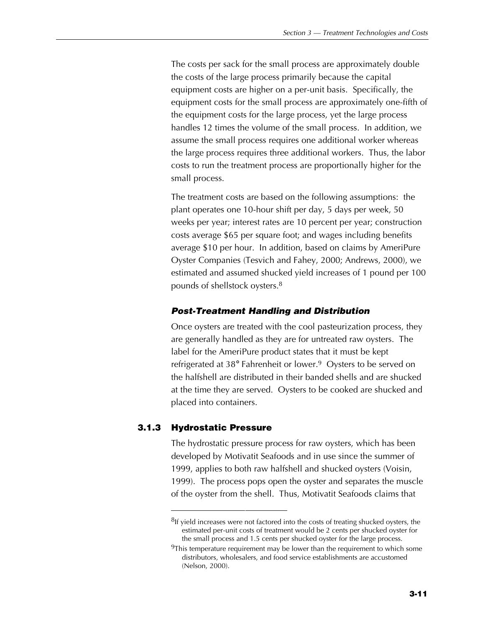The costs per sack for the small process are approximately double the costs of the large process primarily because the capital equipment costs are higher on a per-unit basis. Specifically, the equipment costs for the small process are approximately one-fifth of the equipment costs for the large process, yet the large process handles 12 times the volume of the small process. In addition, we assume the small process requires one additional worker whereas the large process requires three additional workers. Thus, the labor costs to run the treatment process are proportionally higher for the small process.

The treatment costs are based on the following assumptions: the plant operates one 10-hour shift per day, 5 days per week, 50 weeks per year; interest rates are 10 percent per year; construction costs average \$65 per square foot; and wages including benefits average \$10 per hour. In addition, based on claims by AmeriPure Oyster Companies (Tesvich and Fahey, 2000; Andrews, 2000), we estimated and assumed shucked yield increases of 1 pound per 100 pounds of shellstock oysters.8

# *Post-Treatment Handling and Distribution*

Once oysters are treated with the cool pasteurization process, they are generally handled as they are for untreated raw oysters. The label for the AmeriPure product states that it must be kept refrigerated at 38° Fahrenheit or lower.<sup>9</sup> Oysters to be served on the halfshell are distributed in their banded shells and are shucked at the time they are served. Oysters to be cooked are shucked and placed into containers.

# **3.1.3 Hydrostatic Pressure**

The hydrostatic pressure process for raw oysters, which has been developed by Motivatit Seafoods and in use since the summer of 1999, applies to both raw halfshell and shucked oysters (Voisin, 1999). The process pops open the oyster and separates the muscle of the oyster from the shell. Thus, Motivatit Seafoods claims that

 ${}^{8}$ If yield increases were not factored into the costs of treating shucked oysters, the estimated per-unit costs of treatment would be 2 cents per shucked oyster for the small process and 1.5 cents per shucked oyster for the large process.

<sup>&</sup>lt;sup>9</sup>This temperature requirement may be lower than the requirement to which some distributors, wholesalers, and food service establishments are accustomed (Nelson, 2000).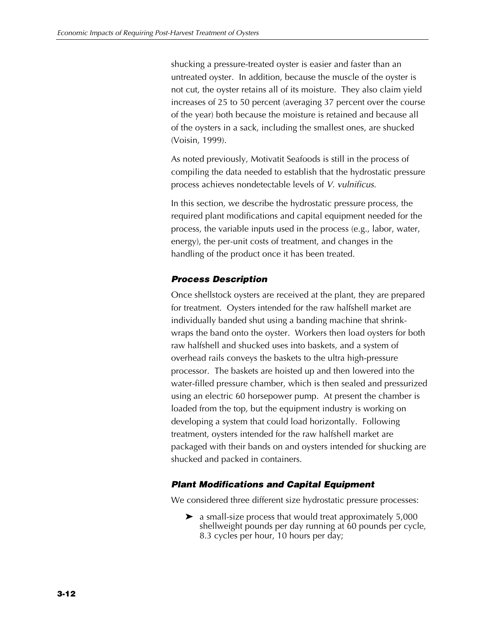shucking a pressure-treated oyster is easier and faster than an untreated oyster. In addition, because the muscle of the oyster is not cut, the oyster retains all of its moisture. They also claim yield increases of 25 to 50 percent (averaging 37 percent over the course of the year) both because the moisture is retained and because all of the oysters in a sack, including the smallest ones, are shucked (Voisin, 1999).

As noted previously, Motivatit Seafoods is still in the process of compiling the data needed to establish that the hydrostatic pressure process achieves nondetectable levels of *V. vulnificus*.

In this section, we describe the hydrostatic pressure process, the required plant modifications and capital equipment needed for the process, the variable inputs used in the process (e.g., labor, water, energy), the per-unit costs of treatment, and changes in the handling of the product once it has been treated.

# *Process Description*

Once shellstock oysters are received at the plant, they are prepared for treatment. Oysters intended for the raw halfshell market are individually banded shut using a banding machine that shrinkwraps the band onto the oyster. Workers then load oysters for both raw halfshell and shucked uses into baskets, and a system of overhead rails conveys the baskets to the ultra high-pressure processor. The baskets are hoisted up and then lowered into the water-filled pressure chamber, which is then sealed and pressurized using an electric 60 horsepower pump. At present the chamber is loaded from the top, but the equipment industry is working on developing a system that could load horizontally. Following treatment, oysters intended for the raw halfshell market are packaged with their bands on and oysters intended for shucking are shucked and packed in containers.

# *Plant Modifications and Capital Equipment*

We considered three different size hydrostatic pressure processes:

 $\blacktriangleright$  a small-size process that would treat approximately 5,000 shellweight pounds per day running at 60 pounds per cycle, 8.3 cycles per hour, 10 hours per day;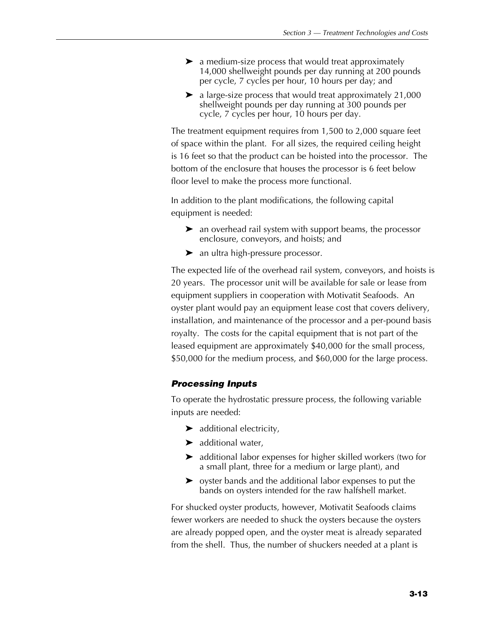- $\blacktriangleright$  a medium-size process that would treat approximately 14,000 shellweight pounds per day running at 200 pounds per cycle, 7 cycles per hour, 10 hours per day; and
- $\blacktriangleright$  a large-size process that would treat approximately 21,000 shellweight pounds per day running at 300 pounds per cycle, 7 cycles per hour, 10 hours per day.

The treatment equipment requires from 1,500 to 2,000 square feet of space within the plant. For all sizes, the required ceiling height is 16 feet so that the product can be hoisted into the processor. The bottom of the enclosure that houses the processor is 6 feet below floor level to make the process more functional.

In addition to the plant modifications, the following capital equipment is needed:

- $\blacktriangleright$  an overhead rail system with support beams, the processor enclosure, conveyors, and hoists; and
- $\blacktriangleright$  an ultra high-pressure processor.

The expected life of the overhead rail system, conveyors, and hoists is 20 years. The processor unit will be available for sale or lease from equipment suppliers in cooperation with Motivatit Seafoods. An oyster plant would pay an equipment lease cost that covers delivery, installation, and maintenance of the processor and a per-pound basis royalty. The costs for the capital equipment that is not part of the leased equipment are approximately \$40,000 for the small process, \$50,000 for the medium process, and \$60,000 for the large process.

# *Processing Inputs*

To operate the hydrostatic pressure process, the following variable inputs are needed:

- $\blacktriangleright$  additional electricity,
- $\blacktriangleright$  additional water,
- $\blacktriangleright$  additional labor expenses for higher skilled workers (two for a small plant, three for a medium or large plant), and
- $\triangleright$  oyster bands and the additional labor expenses to put the bands on oysters intended for the raw halfshell market.

For shucked oyster products, however, Motivatit Seafoods claims fewer workers are needed to shuck the oysters because the oysters are already popped open, and the oyster meat is already separated from the shell. Thus, the number of shuckers needed at a plant is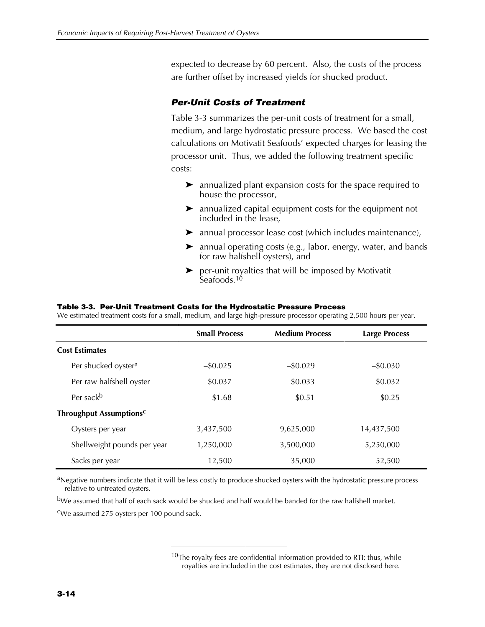expected to decrease by 60 percent. Also, the costs of the process are further offset by increased yields for shucked product.

# *Per-Unit Costs of Treatment*

Table 3-3 summarizes the per-unit costs of treatment for a small, medium, and large hydrostatic pressure process. We based the cost calculations on Motivatit Seafoods' expected charges for leasing the processor unit. Thus, we added the following treatment specific costs:

- $\blacktriangleright$  annualized plant expansion costs for the space required to house the processor,
- $\blacktriangleright$  annualized capital equipment costs for the equipment not included in the lease,
- $\blacktriangleright$  annual processor lease cost (which includes maintenance),
- $\blacktriangleright$  annual operating costs (e.g., labor, energy, water, and bands for raw halfshell oysters), and
- $\blacktriangleright$  per-unit royalties that will be imposed by Motivatit Seafoods.<sup>10</sup>

|                                 | <b>Small Process</b> | <b>Medium Process</b> | <b>Large Process</b> |
|---------------------------------|----------------------|-----------------------|----------------------|
| <b>Cost Estimates</b>           |                      |                       |                      |
| Per shucked oyster <sup>a</sup> | $-$ \$0.025          | $-$ \$0.029           | $-$ \$0.030          |
| Per raw halfshell oyster        | \$0.037              | \$0.033               | \$0.032              |
| Per sack <sup>b</sup>           | \$1.68               | \$0.51                | \$0.25               |
| <b>Throughput Assumptionsc</b>  |                      |                       |                      |
| Oysters per year                | 3,437,500            | 9,625,000             | 14,437,500           |
| Shellweight pounds per year     | 1,250,000            | 3,500,000             | 5,250,000            |
| Sacks per year                  | 12,500               | 35,000                | 52,500               |

### **Table 3-3. Per-Unit Treatment Costs for the Hydrostatic Pressure Process**

We estimated treatment costs for a small, medium, and large high-pressure processor operating 2,500 hours per year.

aNegative numbers indicate that it will be less costly to produce shucked oysters with the hydrostatic pressure process relative to untreated oysters.

bWe assumed that half of each sack would be shucked and half would be banded for the raw halfshell market.

cWe assumed 275 oysters per 100 pound sack.

 $10$ The royalty fees are confidential information provided to RTI; thus, while royalties are included in the cost estimates, they are not disclosed here.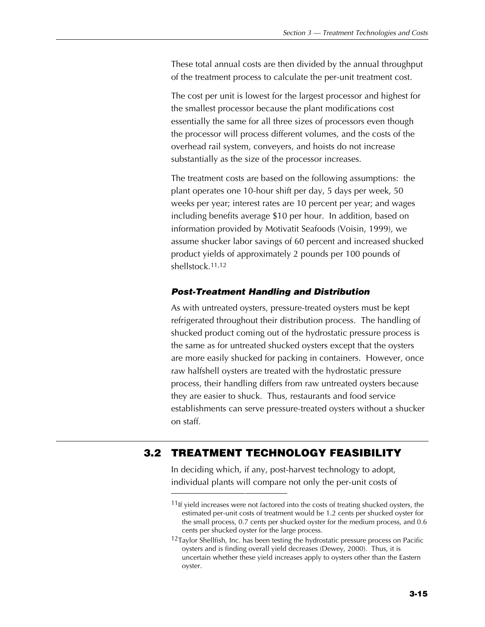These total annual costs are then divided by the annual throughput of the treatment process to calculate the per-unit treatment cost.

The cost per unit is lowest for the largest processor and highest for the smallest processor because the plant modifications cost essentially the same for all three sizes of processors even though the processor will process different volumes, and the costs of the overhead rail system, conveyers, and hoists do not increase substantially as the size of the processor increases.

The treatment costs are based on the following assumptions: the plant operates one 10-hour shift per day, 5 days per week, 50 weeks per year; interest rates are 10 percent per year; and wages including benefits average \$10 per hour. In addition, based on information provided by Motivatit Seafoods (Voisin, 1999), we assume shucker labor savings of 60 percent and increased shucked product yields of approximately 2 pounds per 100 pounds of shellstock.11,12

### *Post-Treatment Handling and Distribution*

As with untreated oysters, pressure-treated oysters must be kept refrigerated throughout their distribution process. The handling of shucked product coming out of the hydrostatic pressure process is the same as for untreated shucked oysters except that the oysters are more easily shucked for packing in containers. However, once raw halfshell oysters are treated with the hydrostatic pressure process, their handling differs from raw untreated oysters because they are easier to shuck. Thus, restaurants and food service establishments can serve pressure-treated oysters without a shucker on staff.

# **3.2 TREATMENT TECHNOLOGY FEASIBILITY**

In deciding which, if any, post-harvest technology to adopt, individual plants will compare not only the per-unit costs of

 $11$ If yield increases were not factored into the costs of treating shucked oysters, the estimated per-unit costs of treatment would be 1.2 cents per shucked oyster for the small process, 0.7 cents per shucked oyster for the medium process, and 0.6 cents per shucked oyster for the large process.

 $12$ Taylor Shellfish, Inc. has been testing the hydrostatic pressure process on Pacific oysters and is finding overall yield decreases (Dewey, 2000). Thus, it is uncertain whether these yield increases apply to oysters other than the Eastern oyster.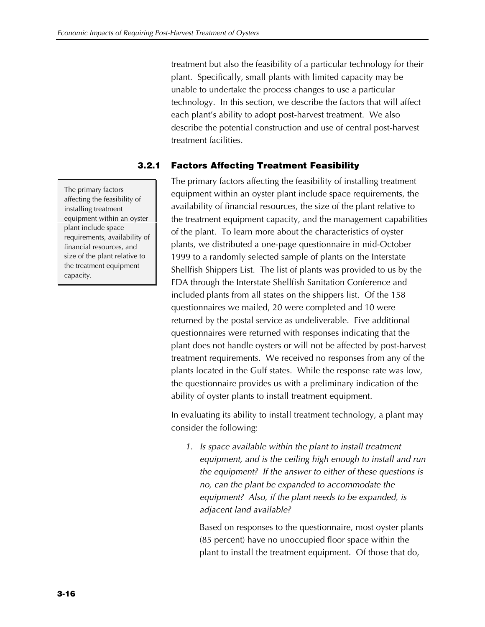treatment but also the feasibility of a particular technology for their plant. Specifically, small plants with limited capacity may be unable to undertake the process changes to use a particular technology. In this section, we describe the factors that will affect each plant's ability to adopt post-harvest treatment. We also describe the potential construction and use of central post-harvest treatment facilities.

# **3.2.1 Factors Affecting Treatment Feasibility**

The primary factors affecting the feasibility of installing treatment equipment within an oyster plant include space requirements, the availability of financial resources, the size of the plant relative to the treatment equipment capacity, and the management capabilities of the plant. To learn more about the characteristics of oyster plants, we distributed a one-page questionnaire in mid-October 1999 to a randomly selected sample of plants on the Interstate Shellfish Shippers List. The list of plants was provided to us by the FDA through the Interstate Shellfish Sanitation Conference and included plants from all states on the shippers list. Of the 158 questionnaires we mailed, 20 were completed and 10 were returned by the postal service as undeliverable. Five additional questionnaires were returned with responses indicating that the plant does not handle oysters or will not be affected by post-harvest treatment requirements. We received no responses from any of the plants located in the Gulf states. While the response rate was low, the questionnaire provides us with a preliminary indication of the ability of oyster plants to install treatment equipment.

In evaluating its ability to install treatment technology, a plant may consider the following:

*1. Is space available within the plant to install treatment equipment, and is the ceiling high enough to install and run the equipment? If the answer to either of these questions is no, can the plant be expanded to accommodate the equipment? Also, if the plant needs to be expanded, is adjacent land available?*

Based on responses to the questionnaire, most oyster plants (85 percent) have no unoccupied floor space within the plant to install the treatment equipment. Of those that do,

The primary factors affecting the feasibility of installing treatment equipment within an oyster plant include space requirements, availability of financial resources, and size of the plant relative to the treatment equipment capacity.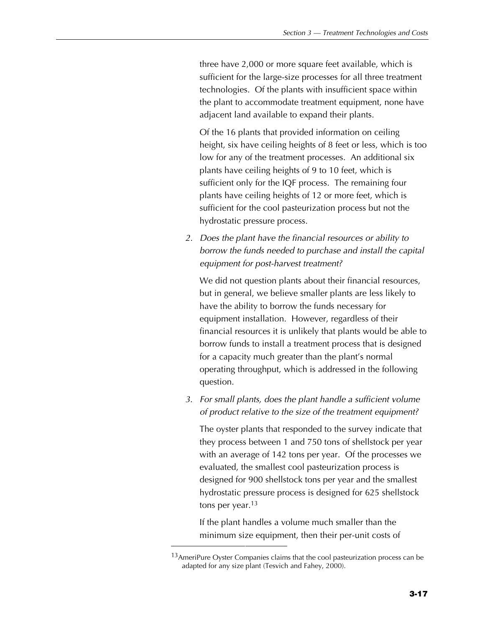three have 2,000 or more square feet available, which is sufficient for the large-size processes for all three treatment technologies. Of the plants with insufficient space within the plant to accommodate treatment equipment, none have adjacent land available to expand their plants.

Of the 16 plants that provided information on ceiling height, six have ceiling heights of 8 feet or less, which is too low for any of the treatment processes. An additional six plants have ceiling heights of 9 to 10 feet, which is sufficient only for the IQF process. The remaining four plants have ceiling heights of 12 or more feet, which is sufficient for the cool pasteurization process but not the hydrostatic pressure process.

*2. Does the plant have the financial resources or ability to borrow the funds needed to purchase and install the capital equipment for post-harvest treatment?*

We did not question plants about their financial resources, but in general, we believe smaller plants are less likely to have the ability to borrow the funds necessary for equipment installation. However, regardless of their financial resources it is unlikely that plants would be able to borrow funds to install a treatment process that is designed for a capacity much greater than the plant's normal operating throughput, which is addressed in the following question.

*3. For small plants, does the plant handle a sufficient volume of product relative to the size of the treatment equipment?*

The oyster plants that responded to the survey indicate that they process between 1 and 750 tons of shellstock per year with an average of 142 tons per year. Of the processes we evaluated, the smallest cool pasteurization process is designed for 900 shellstock tons per year and the smallest hydrostatic pressure process is designed for 625 shellstock tons per year.<sup>13</sup>

If the plant handles a volume much smaller than the minimum size equipment, then their per-unit costs of

<sup>13</sup> AmeriPure Oyster Companies claims that the cool pasteurization process can be adapted for any size plant (Tesvich and Fahey, 2000).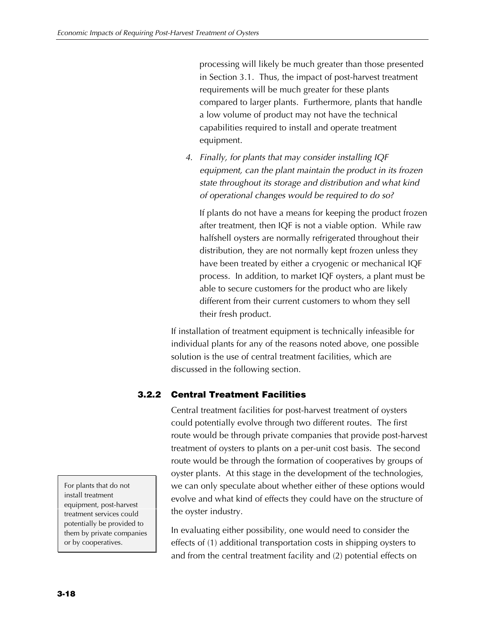processing will likely be much greater than those presented in Section 3.1. Thus, the impact of post-harvest treatment requirements will be much greater for these plants compared to larger plants. Furthermore, plants that handle a low volume of product may not have the technical capabilities required to install and operate treatment equipment.

*4. Finally, for plants that may consider installing IQF equipment, can the plant maintain the product in its frozen state throughout its storage and distribution and what kind of operational changes would be required to do so?*

If plants do not have a means for keeping the product frozen after treatment, then IQF is not a viable option. While raw halfshell oysters are normally refrigerated throughout their distribution, they are not normally kept frozen unless they have been treated by either a cryogenic or mechanical IQF process. In addition, to market IQF oysters, a plant must be able to secure customers for the product who are likely different from their current customers to whom they sell their fresh product.

If installation of treatment equipment is technically infeasible for individual plants for any of the reasons noted above, one possible solution is the use of central treatment facilities, which are discussed in the following section.

# **3.2.2 Central Treatment Facilities**

Central treatment facilities for post-harvest treatment of oysters could potentially evolve through two different routes. The first route would be through private companies that provide post-harvest treatment of oysters to plants on a per-unit cost basis. The second route would be through the formation of cooperatives by groups of oyster plants. At this stage in the development of the technologies, we can only speculate about whether either of these options would evolve and what kind of effects they could have on the structure of the oyster industry.

In evaluating either possibility, one would need to consider the effects of (1) additional transportation costs in shipping oysters to and from the central treatment facility and (2) potential effects on

For plants that do not install treatment equipment, post-harvest treatment services could potentially be provided to them by private companies or by cooperatives.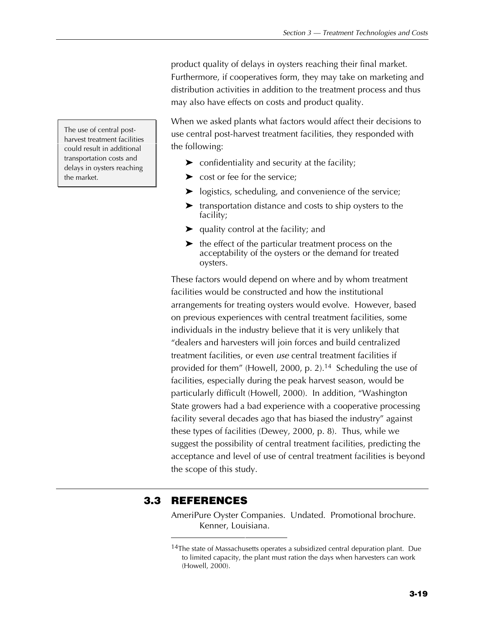product quality of delays in oysters reaching their final market. Furthermore, if cooperatives form, they may take on marketing and distribution activities in addition to the treatment process and thus may also have effects on costs and product quality.

When we asked plants what factors would affect their decisions to use central post-harvest treatment facilities, they responded with the following:

- $\triangleright$  confidentiality and security at the facility;
- $\triangleright$  cost or fee for the service;
- $\blacktriangleright$  logistics, scheduling, and convenience of the service;
- $\blacktriangleright$  transportation distance and costs to ship oysters to the facility;
- $\blacktriangleright$  quality control at the facility; and
- $\blacktriangleright$  the effect of the particular treatment process on the acceptability of the oysters or the demand for treated oysters.

These factors would depend on where and by whom treatment facilities would be constructed and how the institutional arrangements for treating oysters would evolve. However, based on previous experiences with central treatment facilities, some individuals in the industry believe that it is very unlikely that "dealers and harvesters will join forces and build centralized treatment facilities, or even *use* central treatment facilities if provided for them" (Howell, 2000, p. 2).<sup>14</sup> Scheduling the use of facilities, especially during the peak harvest season, would be particularly difficult (Howell, 2000). In addition, "Washington State growers had a bad experience with a cooperative processing facility several decades ago that has biased the industry" against these types of facilities (Dewey, 2000, p. 8). Thus, while we suggest the possibility of central treatment facilities, predicting the acceptance and level of use of central treatment facilities is beyond the scope of this study.

# **3.3 REFERENCES**

AmeriPure Oyster Companies. Undated. Promotional brochure. Kenner, Louisiana.

The use of central postharvest treatment facilities could result in additional transportation costs and delays in oysters reaching the market.

<sup>&</sup>lt;sup>14</sup>The state of Massachusetts operates a subsidized central depuration plant. Due to limited capacity, the plant must ration the days when harvesters can work (Howell, 2000).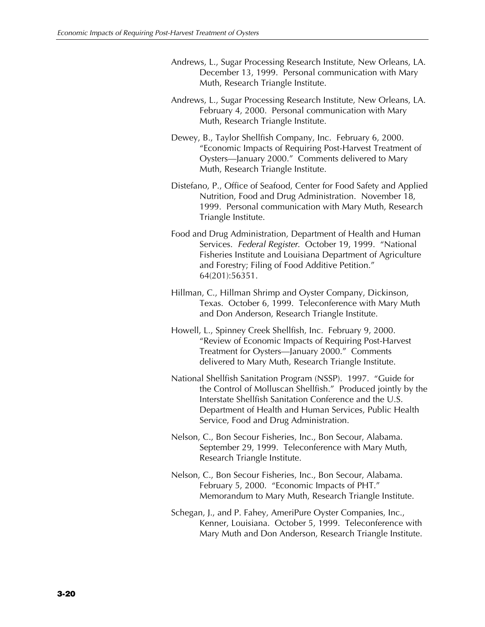- Andrews, L., Sugar Processing Research Institute, New Orleans, LA. December 13, 1999. Personal communication with Mary Muth, Research Triangle Institute.
- Andrews, L., Sugar Processing Research Institute, New Orleans, LA. February 4, 2000. Personal communication with Mary Muth, Research Triangle Institute.
- Dewey, B., Taylor Shellfish Company, Inc. February 6, 2000. "Economic Impacts of Requiring Post-Harvest Treatment of Oysters—January 2000." Comments delivered to Mary Muth, Research Triangle Institute.
- Distefano, P., Office of Seafood, Center for Food Safety and Applied Nutrition, Food and Drug Administration. November 18, 1999. Personal communication with Mary Muth, Research Triangle Institute.
- Food and Drug Administration, Department of Health and Human Services. *Federal Register*. October 19, 1999. "National Fisheries Institute and Louisiana Department of Agriculture and Forestry; Filing of Food Additive Petition." 64(201):56351.
- Hillman, C., Hillman Shrimp and Oyster Company, Dickinson, Texas. October 6, 1999. Teleconference with Mary Muth and Don Anderson, Research Triangle Institute.
- Howell, L., Spinney Creek Shellfish, Inc. February 9, 2000. "Review of Economic Impacts of Requiring Post-Harvest Treatment for Oysters—January 2000." Comments delivered to Mary Muth, Research Triangle Institute.
- National Shellfish Sanitation Program (NSSP). 1997. "Guide for the Control of Molluscan Shellfish." Produced jointly by the Interstate Shellfish Sanitation Conference and the U.S. Department of Health and Human Services, Public Health Service, Food and Drug Administration.
- Nelson, C., Bon Secour Fisheries, Inc., Bon Secour, Alabama. September 29, 1999. Teleconference with Mary Muth, Research Triangle Institute.
- Nelson, C., Bon Secour Fisheries, Inc., Bon Secour, Alabama. February 5, 2000. "Economic Impacts of PHT." Memorandum to Mary Muth, Research Triangle Institute.
- Schegan, J., and P. Fahey, AmeriPure Oyster Companies, Inc., Kenner, Louisiana. October 5, 1999. Teleconference with Mary Muth and Don Anderson, Research Triangle Institute.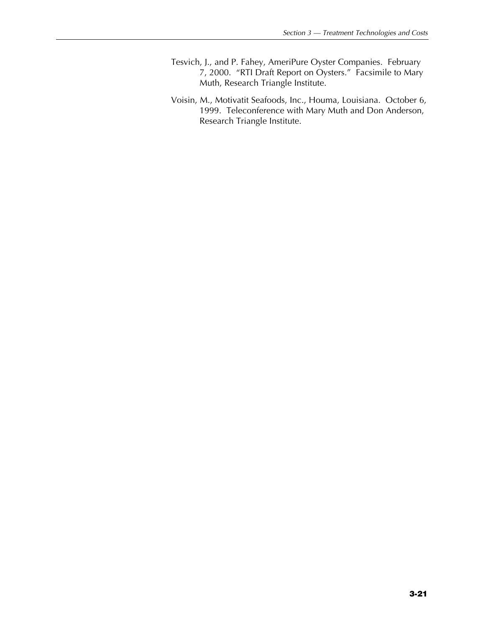- Tesvich, J., and P. Fahey, AmeriPure Oyster Companies. February 7, 2000. "RTI Draft Report on Oysters." Facsimile to Mary Muth, Research Triangle Institute.
- Voisin, M., Motivatit Seafoods, Inc., Houma, Louisiana. October 6, 1999. Teleconference with Mary Muth and Don Anderson, Research Triangle Institute.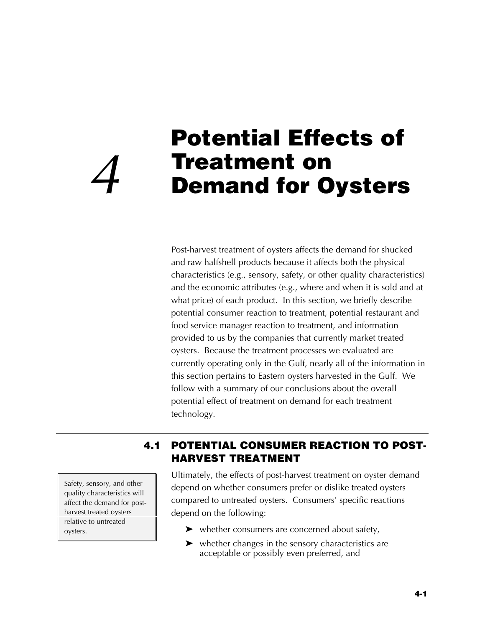# **Potential Effects of Treatment on<br>Demand for Oysters**

Post-harvest treatment of oysters affects the demand for shucked and raw halfshell products because it affects both the physical characteristics (e.g., sensory, safety, or other quality characteristics) and the economic attributes (e.g., where and when it is sold and at what price) of each product. In this section, we briefly describe potential consumer reaction to treatment, potential restaurant and food service manager reaction to treatment, and information provided to us by the companies that currently market treated oysters. Because the treatment processes we evaluated are currently operating only in the Gulf, nearly all of the information in this section pertains to Eastern oysters harvested in the Gulf. We follow with a summary of our conclusions about the overall potential effect of treatment on demand for each treatment technology.

Safety, sensory, and other quality characteristics will affect the demand for postharvest treated oysters relative to untreated oysters.

# **4.1 POTENTIAL CONSUMER REACTION TO POST-HARVEST TREATMENT**

Ultimately, the effects of post-harvest treatment on oyster demand depend on whether consumers prefer or dislike treated oysters compared to untreated oysters. Consumers' specific reactions depend on the following:

- $\blacktriangleright$  whether consumers are concerned about safety,
- $\blacktriangleright$  whether changes in the sensory characteristics are acceptable or possibly even preferred, and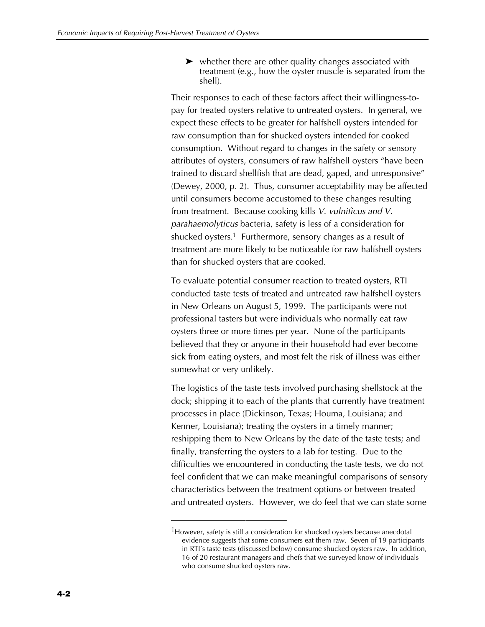$\triangleright$  whether there are other quality changes associated with treatment (e.g., how the oyster muscle is separated from the shell).

Their responses to each of these factors affect their willingness-topay for treated oysters relative to untreated oysters. In general, we expect these effects to be greater for halfshell oysters intended for raw consumption than for shucked oysters intended for cooked consumption. Without regard to changes in the safety or sensory attributes of oysters, consumers of raw halfshell oysters "have been trained to discard shellfish that are dead, gaped, and unresponsive" (Dewey, 2000, p. 2). Thus, consumer acceptability may be affected until consumers become accustomed to these changes resulting from treatment. Because cooking kills *V. vulnificus and V. parahaemolyticus* bacteria, safety is less of a consideration for shucked oysters.<sup>1</sup> Furthermore, sensory changes as a result of treatment are more likely to be noticeable for raw halfshell oysters than for shucked oysters that are cooked.

To evaluate potential consumer reaction to treated oysters, RTI conducted taste tests of treated and untreated raw halfshell oysters in New Orleans on August 5, 1999. The participants were not professional tasters but were individuals who normally eat raw oysters three or more times per year. None of the participants believed that they or anyone in their household had ever become sick from eating oysters, and most felt the risk of illness was either somewhat or very unlikely.

The logistics of the taste tests involved purchasing shellstock at the dock; shipping it to each of the plants that currently have treatment processes in place (Dickinson, Texas; Houma, Louisiana; and Kenner, Louisiana); treating the oysters in a timely manner; reshipping them to New Orleans by the date of the taste tests; and finally, transferring the oysters to a lab for testing. Due to the difficulties we encountered in conducting the taste tests, we do not feel confident that we can make meaningful comparisons of sensory characteristics between the treatment options or between treated and untreated oysters. However, we do feel that we can state some

<sup>&</sup>lt;sup>1</sup>However, safety is still a consideration for shucked oysters because anecdotal evidence suggests that some consumers eat them raw. Seven of 19 participants in RTI's taste tests (discussed below) consume shucked oysters raw. In addition, 16 of 20 restaurant managers and chefs that we surveyed know of individuals who consume shucked oysters raw.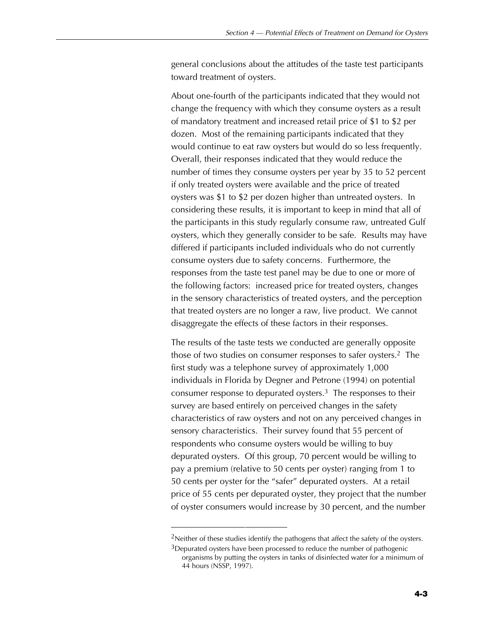general conclusions about the attitudes of the taste test participants toward treatment of oysters.

About one-fourth of the participants indicated that they would not change the frequency with which they consume oysters as a result of mandatory treatment and increased retail price of \$1 to \$2 per dozen. Most of the remaining participants indicated that they would continue to eat raw oysters but would do so less frequently. Overall, their responses indicated that they would reduce the number of times they consume oysters per year by 35 to 52 percent if only treated oysters were available and the price of treated oysters was \$1 to \$2 per dozen higher than untreated oysters. In considering these results, it is important to keep in mind that all of the participants in this study regularly consume raw, untreated Gulf oysters, which they generally consider to be safe. Results may have differed if participants included individuals who do not currently consume oysters due to safety concerns. Furthermore, the responses from the taste test panel may be due to one or more of the following factors: increased price for treated oysters, changes in the sensory characteristics of treated oysters, and the perception that treated oysters are no longer a raw, live product. We cannot disaggregate the effects of these factors in their responses.

The results of the taste tests we conducted are generally opposite those of two studies on consumer responses to safer oysters.2 The first study was a telephone survey of approximately 1,000 individuals in Florida by Degner and Petrone (1994) on potential consumer response to depurated oysters.3 The responses to their survey are based entirely on perceived changes in the safety characteristics of raw oysters and not on any perceived changes in sensory characteristics. Their survey found that 55 percent of respondents who consume oysters would be willing to buy depurated oysters. Of this group, 70 percent would be willing to pay a premium (relative to 50 cents per oyster) ranging from 1 to 50 cents per oyster for the "safer" depurated oysters. At a retail price of 55 cents per depurated oyster, they project that the number of oyster consumers would increase by 30 percent, and the number

<sup>&</sup>lt;sup>2</sup>Neither of these studies identify the pathogens that affect the safety of the oysters.

 $3$ Depurated oysters have been processed to reduce the number of pathogenic organisms by putting the oysters in tanks of disinfected water for a minimum of 44 hours (NSSP, 1997).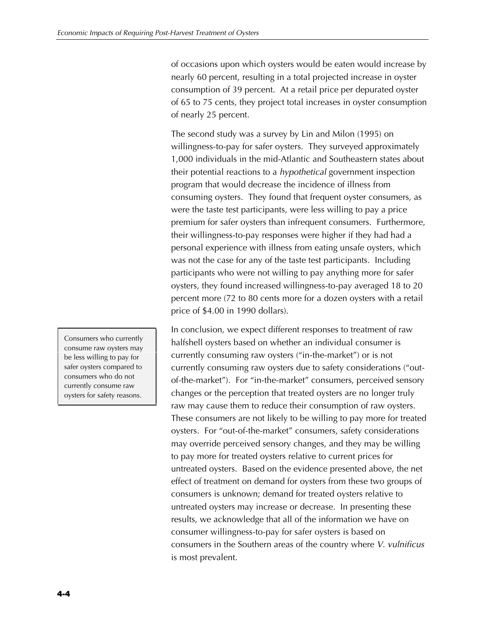of occasions upon which oysters would be eaten would increase by nearly 60 percent, resulting in a total projected increase in oyster consumption of 39 percent. At a retail price per depurated oyster of 65 to 75 cents, they project total increases in oyster consumption of nearly 25 percent.

The second study was a survey by Lin and Milon (1995) on willingness-to-pay for safer oysters. They surveyed approximately 1,000 individuals in the mid-Atlantic and Southeastern states about their potential reactions to a *hypothetical* government inspection program that would decrease the incidence of illness from consuming oysters. They found that frequent oyster consumers, as were the taste test participants, were less willing to pay a price premium for safer oysters than infrequent consumers. Furthermore, their willingness-to-pay responses were higher if they had had a personal experience with illness from eating unsafe oysters, which was not the case for any of the taste test participants. Including participants who were not willing to pay anything more for safer oysters, they found increased willingness-to-pay averaged 18 to 20 percent more (72 to 80 cents more for a dozen oysters with a retail price of \$4.00 in 1990 dollars).

In conclusion, we expect different responses to treatment of raw halfshell oysters based on whether an individual consumer is currently consuming raw oysters ("in-the-market") or is not currently consuming raw oysters due to safety considerations ("outof-the-market"). For "in-the-market" consumers, perceived sensory changes or the perception that treated oysters are no longer truly raw may cause them to reduce their consumption of raw oysters. These consumers are not likely to be willing to pay more for treated oysters. For "out-of-the-market" consumers, safety considerations may override perceived sensory changes, and they may be willing to pay more for treated oysters relative to current prices for untreated oysters. Based on the evidence presented above, the net effect of treatment on demand for oysters from these two groups of consumers is unknown; demand for treated oysters relative to untreated oysters may increase or decrease. In presenting these results, we acknowledge that all of the information we have on consumer willingness-to-pay for safer oysters is based on consumers in the Southern areas of the country where *V. vulnificus* is most prevalent.

Consumers who currently consume raw oysters may be less willing to pay for safer oysters compared to consumers who do not currently consume raw oysters for safety reasons.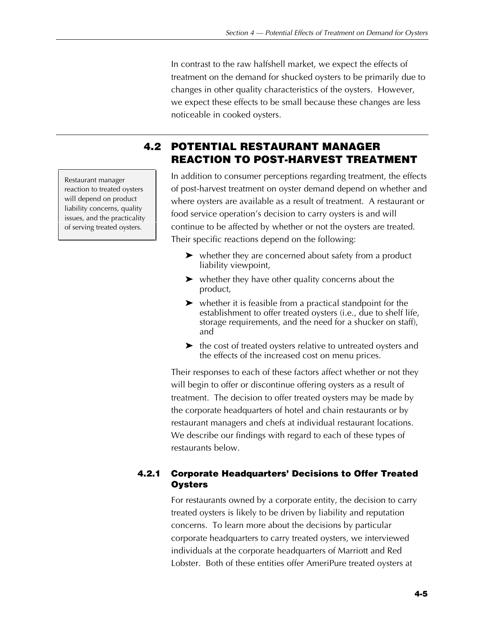In contrast to the raw halfshell market, we expect the effects of treatment on the demand for shucked oysters to be primarily due to changes in other quality characteristics of the oysters. However, we expect these effects to be small because these changes are less noticeable in cooked oysters.

# **4.2 POTENTIAL RESTAURANT MANAGER REACTION TO POST-HARVEST TREATMENT**

In addition to consumer perceptions regarding treatment, the effects of post-harvest treatment on oyster demand depend on whether and where oysters are available as a result of treatment. A restaurant or food service operation's decision to carry oysters is and will continue to be affected by whether or not the oysters are treated. Their specific reactions depend on the following:

- $\blacktriangleright$  whether they are concerned about safety from a product liability viewpoint,
- $\blacktriangleright$  whether they have other quality concerns about the product,
- $\blacktriangleright$  whether it is feasible from a practical standpoint for the establishment to offer treated oysters (i.e., due to shelf life, storage requirements, and the need for a shucker on staff), and
- $\blacktriangleright$  the cost of treated oysters relative to untreated oysters and the effects of the increased cost on menu prices.

Their responses to each of these factors affect whether or not they will begin to offer or discontinue offering oysters as a result of treatment. The decision to offer treated oysters may be made by the corporate headquarters of hotel and chain restaurants or by restaurant managers and chefs at individual restaurant locations. We describe our findings with regard to each of these types of restaurants below.

# **4.2.1 Corporate Headquarters' Decisions to Offer Treated Oysters**

For restaurants owned by a corporate entity, the decision to carry treated oysters is likely to be driven by liability and reputation concerns. To learn more about the decisions by particular corporate headquarters to carry treated oysters, we interviewed individuals at the corporate headquarters of Marriott and Red Lobster. Both of these entities offer AmeriPure treated oysters at

Restaurant manager reaction to treated oysters will depend on product liability concerns, quality issues, and the practicality of serving treated oysters.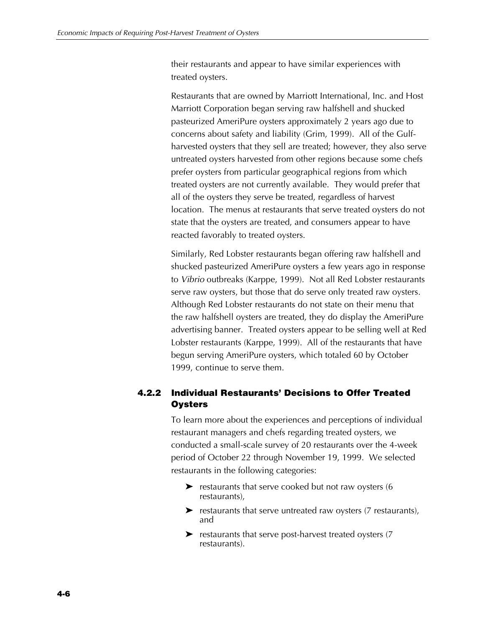their restaurants and appear to have similar experiences with treated oysters.

Restaurants that are owned by Marriott International, Inc. and Host Marriott Corporation began serving raw halfshell and shucked pasteurized AmeriPure oysters approximately 2 years ago due to concerns about safety and liability (Grim, 1999). All of the Gulfharvested oysters that they sell are treated; however, they also serve untreated oysters harvested from other regions because some chefs prefer oysters from particular geographical regions from which treated oysters are not currently available. They would prefer that all of the oysters they serve be treated, regardless of harvest location. The menus at restaurants that serve treated oysters do not state that the oysters are treated, and consumers appear to have reacted favorably to treated oysters.

Similarly, Red Lobster restaurants began offering raw halfshell and shucked pasteurized AmeriPure oysters a few years ago in response to *Vibrio* outbreaks (Karppe, 1999). Not all Red Lobster restaurants serve raw oysters, but those that do serve only treated raw oysters. Although Red Lobster restaurants do not state on their menu that the raw halfshell oysters are treated, they do display the AmeriPure advertising banner. Treated oysters appear to be selling well at Red Lobster restaurants (Karppe, 1999). All of the restaurants that have begun serving AmeriPure oysters, which totaled 60 by October 1999, continue to serve them.

# **4.2.2 Individual Restaurants' Decisions to Offer Treated Oysters**

To learn more about the experiences and perceptions of individual restaurant managers and chefs regarding treated oysters, we conducted a small-scale survey of 20 restaurants over the 4-week period of October 22 through November 19, 1999. We selected restaurants in the following categories:

- $\blacktriangleright$  restaurants that serve cooked but not raw oysters (6 restaurants),
- $\blacktriangleright$  restaurants that serve untreated raw oysters (7 restaurants), and
- $\blacktriangleright$  restaurants that serve post-harvest treated oysters (7) restaurants).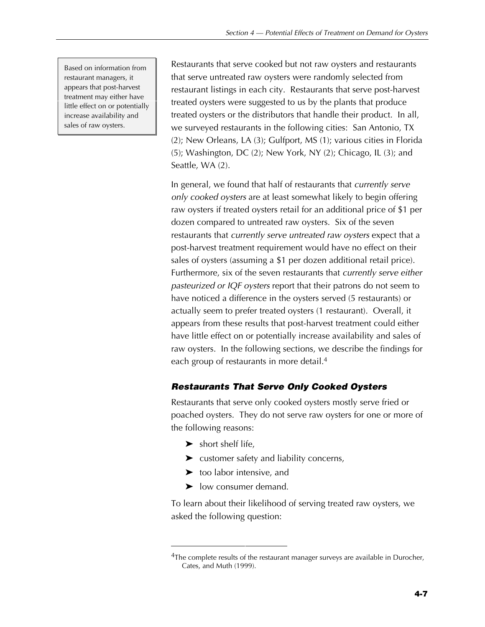Based on information from restaurant managers, it appears that post-harvest treatment may either have little effect on or potentially increase availability and sales of raw oysters.

Restaurants that serve cooked but not raw oysters and restaurants that serve untreated raw oysters were randomly selected from restaurant listings in each city. Restaurants that serve post-harvest treated oysters were suggested to us by the plants that produce treated oysters or the distributors that handle their product. In all, we surveyed restaurants in the following cities: San Antonio, TX (2); New Orleans, LA (3); Gulfport, MS (1); various cities in Florida  $(5)$ ; Washington, DC $(2)$ ; New York, NY $(2)$ ; Chicago, IL $(3)$ ; and Seattle, WA (2).

In general, we found that half of restaurants that *currently serve only cooked oysters* are at least somewhat likely to begin offering raw oysters if treated oysters retail for an additional price of \$1 per dozen compared to untreated raw oysters. Six of the seven restaurants that *currently serve untreated raw oysters* expect that a post-harvest treatment requirement would have no effect on their sales of oysters (assuming a \$1 per dozen additional retail price). Furthermore, six of the seven restaurants that *currently serve either pasteurized or IQF oysters* report that their patrons do not seem to have noticed a difference in the oysters served (5 restaurants) or actually seem to prefer treated oysters (1 restaurant). Overall, it appears from these results that post-harvest treatment could either have little effect on or potentially increase availability and sales of raw oysters. In the following sections, we describe the findings for each group of restaurants in more detail.<sup>4</sup>

## *Restaurants That Serve Only Cooked Oysters*

Restaurants that serve only cooked oysters mostly serve fried or poached oysters. They do not serve raw oysters for one or more of the following reasons:

- $\blacktriangleright$  short shelf life,
- $\blacktriangleright$  customer safety and liability concerns,
- $\blacktriangleright$  too labor intensive, and
- $\blacktriangleright$  low consumer demand.

To learn about their likelihood of serving treated raw oysters, we asked the following question:

<sup>&</sup>lt;sup>4</sup>The complete results of the restaurant manager surveys are available in Durocher, Cates, and Muth (1999).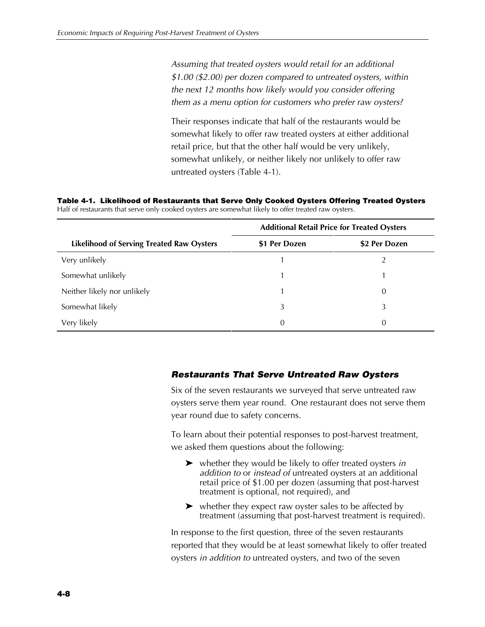*Assuming that treated oysters would retail for an additional \$1.00 (\$2.00) per dozen compared to untreated oysters, within the next 12 months how likely would you consider offering them as a menu option for customers who prefer raw oysters?*

Their responses indicate that half of the restaurants would be somewhat likely to offer raw treated oysters at either additional retail price, but that the other half would be very unlikely, somewhat unlikely, or neither likely nor unlikely to offer raw untreated oysters (Table 4-1).

**Table 4-1. Likelihood of Restaurants that Serve Only Cooked Oysters Offering Treated Oysters** Half of restaurants that serve only cooked oysters are somewhat likely to offer treated raw oysters.

|                                                  | <b>Additional Retail Price for Treated Oysters</b> |               |  |
|--------------------------------------------------|----------------------------------------------------|---------------|--|
| <b>Likelihood of Serving Treated Raw Oysters</b> | \$1 Per Dozen                                      | \$2 Per Dozen |  |
| Very unlikely                                    |                                                    |               |  |
| Somewhat unlikely                                |                                                    |               |  |
| Neither likely nor unlikely                      |                                                    | 0             |  |
| Somewhat likely                                  | 3                                                  | 3             |  |
| Very likely                                      | 0                                                  | 0             |  |

#### *Restaurants That Serve Untreated Raw Oysters*

Six of the seven restaurants we surveyed that serve untreated raw oysters serve them year round. One restaurant does not serve them year round due to safety concerns.

To learn about their potential responses to post-harvest treatment, we asked them questions about the following:

- ► whether they would be likely to offer treated oysters *in addition to* or *instead of* untreated oysters at an additional retail price of \$1.00 per dozen (assuming that post-harvest treatment is optional, not required), and
- $\triangleright$  whether they expect raw oyster sales to be affected by treatment (assuming that post-harvest treatment is required).

In response to the first question, three of the seven restaurants reported that they would be at least somewhat likely to offer treated oysters *in addition to* untreated oysters, and two of the seven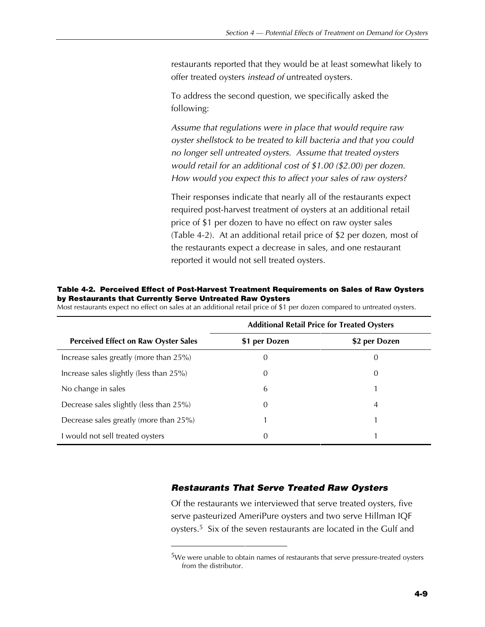restaurants reported that they would be at least somewhat likely to offer treated oysters *instead of* untreated oysters.

To address the second question, we specifically asked the following:

*Assume that regulations were in place that would require raw oyster shellstock to be treated to kill bacteria and that you could no longer sell untreated oysters. Assume that treated oysters would retail for an additional cost of \$1.00 (\$2.00) per dozen. How would you expect this to affect your sales of raw oysters?*

Their responses indicate that nearly all of the restaurants expect required post-harvest treatment of oysters at an additional retail price of \$1 per dozen to have no effect on raw oyster sales (Table 4-2). At an additional retail price of \$2 per dozen, most of the restaurants expect a decrease in sales, and one restaurant reported it would not sell treated oysters.

|                                             | <b>Additional Retail Price for Treated Oysters</b> |               |  |
|---------------------------------------------|----------------------------------------------------|---------------|--|
| <b>Perceived Effect on Raw Oyster Sales</b> | \$1 per Dozen                                      | \$2 per Dozen |  |
| Increase sales greatly (more than 25%)      | 0                                                  | 0             |  |
| Increase sales slightly (less than 25%)     | 0                                                  | 0             |  |
| No change in sales                          | 6                                                  |               |  |
| Decrease sales slightly (less than 25%)     | 0                                                  | 4             |  |
| Decrease sales greatly (more than 25%)      |                                                    |               |  |
| I would not sell treated oysters            | 0                                                  |               |  |

**Table 4-2. Perceived Effect of Post-Harvest Treatment Requirements on Sales of Raw Oysters by Restaurants that Currently Serve Untreated Raw Oysters** Most restaurants expect no effect on sales at an additional retail price of \$1 per dozen compared to untreated oysters.

#### *Restaurants That Serve Treated Raw Oysters*

Of the restaurants we interviewed that serve treated oysters, five serve pasteurized AmeriPure oysters and two serve Hillman IQF oysters.<sup>5</sup> Six of the seven restaurants are located in the Gulf and

<sup>&</sup>lt;sup>5</sup>We were unable to obtain names of restaurants that serve pressure-treated oysters from the distributor.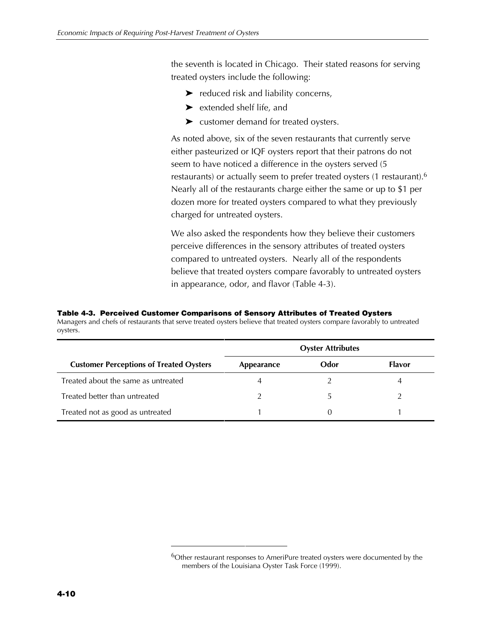the seventh is located in Chicago. Their stated reasons for serving treated oysters include the following:

- $\blacktriangleright$  reduced risk and liability concerns,
- $\blacktriangleright$  extended shelf life, and
- $\blacktriangleright$  customer demand for treated oysters.

As noted above, six of the seven restaurants that currently serve either pasteurized or IQF oysters report that their patrons do not seem to have noticed a difference in the oysters served (5 restaurants) or actually seem to prefer treated oysters (1 restaurant).6 Nearly all of the restaurants charge either the same or up to \$1 per dozen more for treated oysters compared to what they previously charged for untreated oysters.

We also asked the respondents how they believe their customers perceive differences in the sensory attributes of treated oysters compared to untreated oysters. Nearly all of the respondents believe that treated oysters compare favorably to untreated oysters in appearance, odor, and flavor (Table 4-3).

**Table 4-3. Perceived Customer Comparisons of Sensory Attributes of Treated Oysters**

Managers and chefs of restaurants that serve treated oysters believe that treated oysters compare favorably to untreated oysters.

|                                                | <b>Oyster Attributes</b> |      |               |
|------------------------------------------------|--------------------------|------|---------------|
| <b>Customer Perceptions of Treated Oysters</b> | Appearance               | Odor | <b>Flavor</b> |
| Treated about the same as untreated            |                          |      |               |
| Treated better than untreated                  |                          |      |               |
| Treated not as good as untreated               |                          |      |               |

 <sup>6</sup>Other restaurant responses to AmeriPure treated oysters were documented by the members of the Louisiana Oyster Task Force (1999).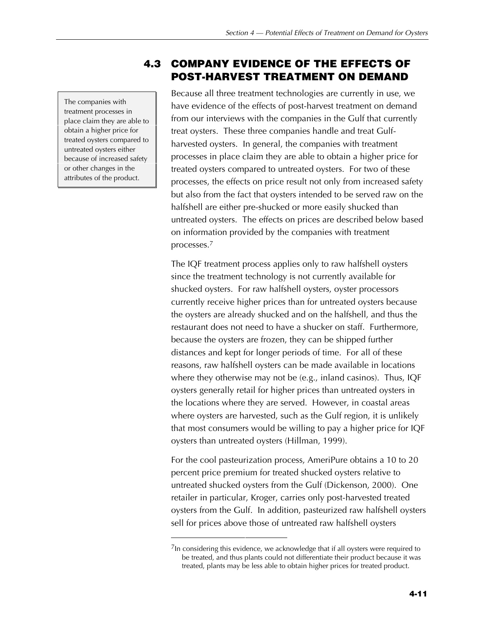The companies with treatment processes in place claim they are able to obtain a higher price for treated oysters compared to untreated oysters either because of increased safety or other changes in the attributes of the product.

## **4.3 COMPANY EVIDENCE OF THE EFFECTS OF POST-HARVEST TREATMENT ON DEMAND**

Because all three treatment technologies are currently in use, we have evidence of the effects of post-harvest treatment on demand from our interviews with the companies in the Gulf that currently treat oysters. These three companies handle and treat Gulfharvested oysters. In general, the companies with treatment processes in place claim they are able to obtain a higher price for treated oysters compared to untreated oysters. For two of these processes, the effects on price result not only from increased safety but also from the fact that oysters intended to be served raw on the halfshell are either pre-shucked or more easily shucked than untreated oysters. The effects on prices are described below based on information provided by the companies with treatment processes.7

The IQF treatment process applies only to raw halfshell oysters since the treatment technology is not currently available for shucked oysters. For raw halfshell oysters, oyster processors currently receive higher prices than for untreated oysters because the oysters are already shucked and on the halfshell, and thus the restaurant does not need to have a shucker on staff. Furthermore, because the oysters are frozen, they can be shipped further distances and kept for longer periods of time. For all of these reasons, raw halfshell oysters can be made available in locations where they otherwise may not be (e.g., inland casinos). Thus, IQF oysters generally retail for higher prices than untreated oysters in the locations where they are served. However, in coastal areas where oysters are harvested, such as the Gulf region, it is unlikely that most consumers would be willing to pay a higher price for IQF oysters than untreated oysters (Hillman, 1999).

For the cool pasteurization process, AmeriPure obtains a 10 to 20 percent price premium for treated shucked oysters relative to untreated shucked oysters from the Gulf (Dickenson, 2000). One retailer in particular, Kroger, carries only post-harvested treated oysters from the Gulf. In addition, pasteurized raw halfshell oysters sell for prices above those of untreated raw halfshell oysters

 $7$ In considering this evidence, we acknowledge that if all oysters were required to be treated, and thus plants could not differentiate their product because it was treated, plants may be less able to obtain higher prices for treated product.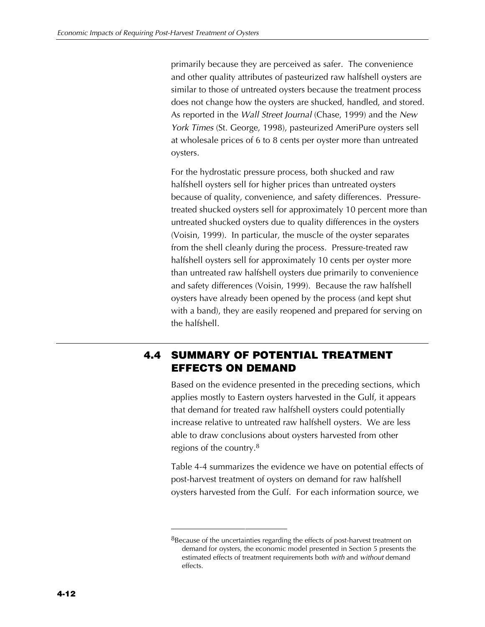primarily because they are perceived as safer. The convenience and other quality attributes of pasteurized raw halfshell oysters are similar to those of untreated oysters because the treatment process does not change how the oysters are shucked, handled, and stored. As reported in the *Wall Street Journal* (Chase, 1999) and the *New York Times* (St. George, 1998), pasteurized AmeriPure oysters sell at wholesale prices of 6 to 8 cents per oyster more than untreated oysters.

For the hydrostatic pressure process, both shucked and raw halfshell oysters sell for higher prices than untreated oysters because of quality, convenience, and safety differences. Pressuretreated shucked oysters sell for approximately 10 percent more than untreated shucked oysters due to quality differences in the oysters (Voisin, 1999). In particular, the muscle of the oyster separates from the shell cleanly during the process. Pressure-treated raw halfshell oysters sell for approximately 10 cents per oyster more than untreated raw halfshell oysters due primarily to convenience and safety differences (Voisin, 1999). Because the raw halfshell oysters have already been opened by the process (and kept shut with a band), they are easily reopened and prepared for serving on the halfshell.

## **4.4 SUMMARY OF POTENTIAL TREATMENT EFFECTS ON DEMAND**

Based on the evidence presented in the preceding sections, which applies mostly to Eastern oysters harvested in the Gulf, it appears that demand for treated raw halfshell oysters could potentially increase relative to untreated raw halfshell oysters. We are less able to draw conclusions about oysters harvested from other regions of the country. $8$ 

Table 4-4 summarizes the evidence we have on potential effects of post-harvest treatment of oysters on demand for raw halfshell oysters harvested from the Gulf. For each information source, we

 $8B$  Because of the uncertainties regarding the effects of post-harvest treatment on demand for oysters, the economic model presented in Section 5 presents the estimated effects of treatment requirements both *with* and *without* demand effects.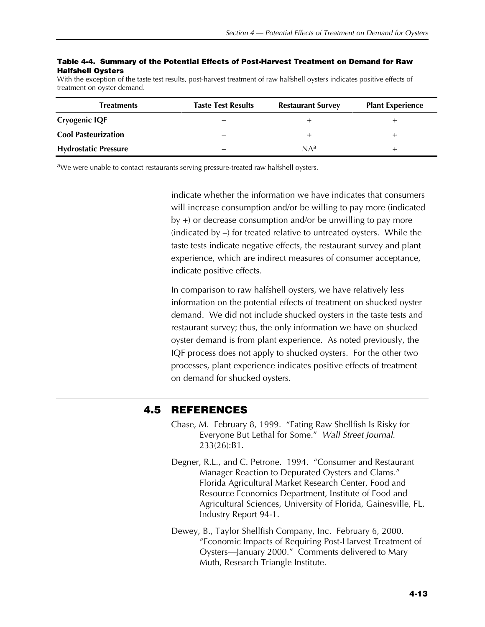#### **Table 4-4. Summary of the Potential Effects of Post-Harvest Treatment on Demand for Raw Halfshell Oysters**

With the exception of the taste test results, post-harvest treatment of raw halfshell oysters indicates positive effects of treatment on oyster demand.

| <b>Treatments</b>           | <b>Taste Test Results</b> | <b>Restaurant Survey</b> | <b>Plant Experience</b> |
|-----------------------------|---------------------------|--------------------------|-------------------------|
| <b>Cryogenic IQF</b>        | -                         |                          |                         |
| <b>Cool Pasteurization</b>  |                           |                          |                         |
| <b>Hydrostatic Pressure</b> |                           | $NA^a$                   |                         |

<sup>a</sup>We were unable to contact restaurants serving pressure-treated raw halfshell oysters.

indicate whether the information we have indicates that consumers will increase consumption and/or be willing to pay more (indicated by +) or decrease consumption and/or be unwilling to pay more (indicated by –) for treated relative to untreated oysters. While the taste tests indicate negative effects, the restaurant survey and plant experience, which are indirect measures of consumer acceptance, indicate positive effects.

In comparison to raw halfshell oysters, we have relatively less information on the potential effects of treatment on shucked oyster demand. We did not include shucked oysters in the taste tests and restaurant survey; thus, the only information we have on shucked oyster demand is from plant experience. As noted previously, the IQF process does not apply to shucked oysters. For the other two processes, plant experience indicates positive effects of treatment on demand for shucked oysters.

### **4.5 REFERENCES**

- Chase, M. February 8, 1999. "Eating Raw Shellfish Is Risky for Everyone But Lethal for Some." *Wall Street Journal*. 233(26):B1.
- Degner, R.L., and C. Petrone. 1994. "Consumer and Restaurant Manager Reaction to Depurated Oysters and Clams." Florida Agricultural Market Research Center, Food and Resource Economics Department, Institute of Food and Agricultural Sciences, University of Florida, Gainesville, FL, Industry Report 94-1.
- Dewey, B., Taylor Shellfish Company, Inc. February 6, 2000. "Economic Impacts of Requiring Post-Harvest Treatment of Oysters—January 2000." Comments delivered to Mary Muth, Research Triangle Institute.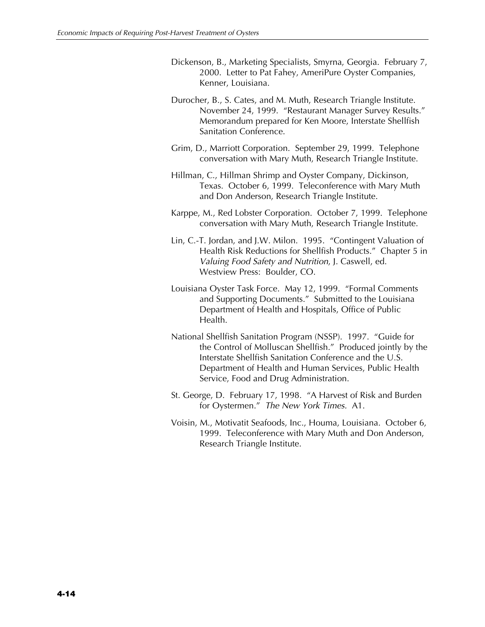- Dickenson, B., Marketing Specialists, Smyrna, Georgia. February 7, 2000. Letter to Pat Fahey, AmeriPure Oyster Companies, Kenner, Louisiana.
- Durocher, B., S. Cates, and M. Muth, Research Triangle Institute. November 24, 1999. "Restaurant Manager Survey Results." Memorandum prepared for Ken Moore, Interstate Shellfish Sanitation Conference.
- Grim, D., Marriott Corporation. September 29, 1999. Telephone conversation with Mary Muth, Research Triangle Institute.
- Hillman, C., Hillman Shrimp and Oyster Company, Dickinson, Texas. October 6, 1999. Teleconference with Mary Muth and Don Anderson, Research Triangle Institute.
- Karppe, M., Red Lobster Corporation. October 7, 1999. Telephone conversation with Mary Muth, Research Triangle Institute.
- Lin, C.-T. Jordan, and J.W. Milon. 1995. "Contingent Valuation of Health Risk Reductions for Shellfish Products." Chapter 5 in *Valuing Food Safety and Nutrition*, J. Caswell, ed. Westview Press: Boulder, CO.
- Louisiana Oyster Task Force. May 12, 1999. "Formal Comments and Supporting Documents." Submitted to the Louisiana Department of Health and Hospitals, Office of Public Health.
- National Shellfish Sanitation Program (NSSP). 1997. "Guide for the Control of Molluscan Shellfish." Produced jointly by the Interstate Shellfish Sanitation Conference and the U.S. Department of Health and Human Services, Public Health Service, Food and Drug Administration.
- St. George, D. February 17, 1998. "A Harvest of Risk and Burden for Oystermen." *The New York Times.* A1.
- Voisin, M., Motivatit Seafoods, Inc., Houma, Louisiana. October 6, 1999. Teleconference with Mary Muth and Don Anderson, Research Triangle Institute.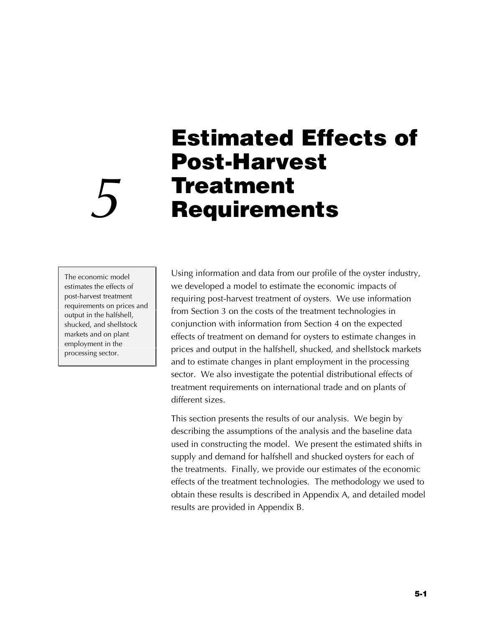# **Estimated Effects of Post-Harvest Treatment** *5* **Requirements**

The economic model estimates the effects of post-harvest treatment requirements on prices and output in the halfshell, shucked, and shellstock markets and on plant employment in the processing sector.

Using information and data from our profile of the oyster industry, we developed a model to estimate the economic impacts of requiring post-harvest treatment of oysters. We use information from Section 3 on the costs of the treatment technologies in conjunction with information from Section 4 on the expected effects of treatment on demand for oysters to estimate changes in prices and output in the halfshell, shucked, and shellstock markets and to estimate changes in plant employment in the processing sector. We also investigate the potential distributional effects of treatment requirements on international trade and on plants of different sizes.

This section presents the results of our analysis. We begin by describing the assumptions of the analysis and the baseline data used in constructing the model. We present the estimated shifts in supply and demand for halfshell and shucked oysters for each of the treatments. Finally, we provide our estimates of the economic effects of the treatment technologies. The methodology we used to obtain these results is described in Appendix A, and detailed model results are provided in Appendix B.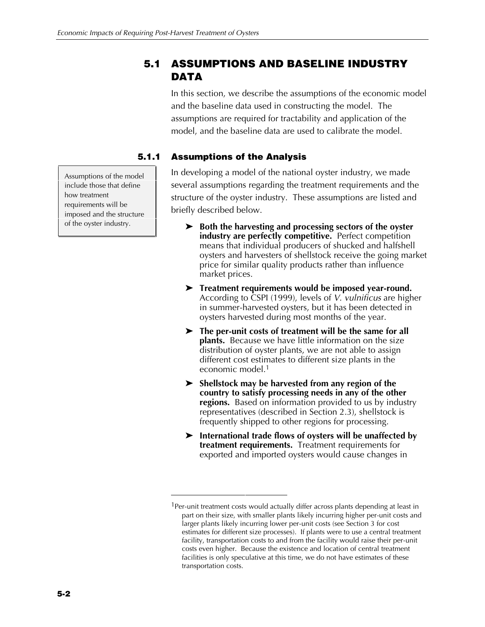## **5.1 ASSUMPTIONS AND BASELINE INDUSTRY DATA**

In this section, we describe the assumptions of the economic model and the baseline data used in constructing the model. The assumptions are required for tractability and application of the model, and the baseline data are used to calibrate the model.

## **5.1.1 Assumptions of the Analysis**

In developing a model of the national oyster industry, we made several assumptions regarding the treatment requirements and the structure of the oyster industry. These assumptions are listed and briefly described below.

- **EXECUTE:** Both the harvesting and processing sectors of the oyster **industry are perfectly competitive.** Perfect competition means that individual producers of shucked and halfshell oysters and harvesters of shellstock receive the going market price for similar quality products rather than influence market prices.
- **EXECUTE:** Treatment requirements would be imposed year-round. According to CSPI (1999), levels of *V. vulnificus* are higher in summer-harvested oysters, but it has been detected in oysters harvested during most months of the year.
- $\blacktriangleright$  The per-unit costs of treatment will be the same for all **plants.** Because we have little information on the size distribution of oyster plants, we are not able to assign different cost estimates to different size plants in the economic model.1
- **EXECUTE:** Shellstock may be harvested from any region of the **country to satisfy processing needs in any of the other regions.** Based on information provided to us by industry representatives (described in Section 2.3), shellstock is frequently shipped to other regions for processing.
- **EXECUTE:** International trade flows of oysters will be unaffected by **treatment requirements.** Treatment requirements for exported and imported oysters would cause changes in

Assumptions of the model include those that define how treatment requirements will be imposed and the structure of the oyster industry.

<sup>&</sup>lt;sup>1</sup>Per-unit treatment costs would actually differ across plants depending at least in part on their size, with smaller plants likely incurring higher per-unit costs and larger plants likely incurring lower per-unit costs (see Section 3 for cost estimates for different size processes). If plants were to use a central treatment facility, transportation costs to and from the facility would raise their per-unit costs even higher. Because the existence and location of central treatment facilities is only speculative at this time, we do not have estimates of these transportation costs.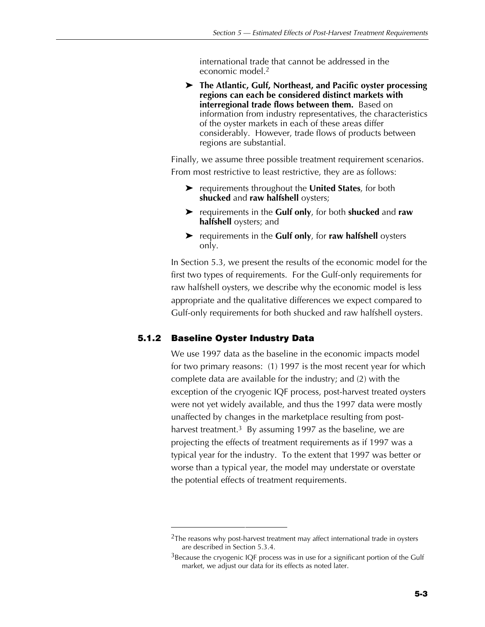international trade that cannot be addressed in the economic model.2

**EXECUTE:** The Atlantic, Gulf, Northeast, and Pacific oyster processing **regions can each be considered distinct markets with interregional trade flows between them.** Based on information from industry representatives, the characteristics of the oyster markets in each of these areas differ considerably. However, trade flows of products between regions are substantial.

Finally, we assume three possible treatment requirement scenarios. From most restrictive to least restrictive, they are as follows:

- **EX** requirements throughout the **United States**, for both **shucked** and **raw halfshell** oysters;
- $\triangleright$  requirements in the **Gulf only**, for both **shucked** and **raw halfshell** oysters; and
- ▶ requirements in the **Gulf only**, for **raw halfshell** oysters only.

In Section 5.3, we present the results of the economic model for the first two types of requirements. For the Gulf-only requirements for raw halfshell oysters, we describe why the economic model is less appropriate and the qualitative differences we expect compared to Gulf-only requirements for both shucked and raw halfshell oysters.

### **5.1.2 Baseline Oyster Industry Data**

We use 1997 data as the baseline in the economic impacts model for two primary reasons: (1) 1997 is the most recent year for which complete data are available for the industry; and (2) with the exception of the cryogenic IQF process, post-harvest treated oysters were not yet widely available, and thus the 1997 data were mostly unaffected by changes in the marketplace resulting from postharvest treatment.<sup>3</sup> By assuming 1997 as the baseline, we are projecting the effects of treatment requirements as if 1997 was a typical year for the industry. To the extent that 1997 was better or worse than a typical year, the model may understate or overstate the potential effects of treatment requirements.

 $2$ The reasons why post-harvest treatment may affect international trade in oysters are described in Section 5.3.4.

 $3B$  Because the cryogenic IQF process was in use for a significant portion of the Gulf market, we adjust our data for its effects as noted later.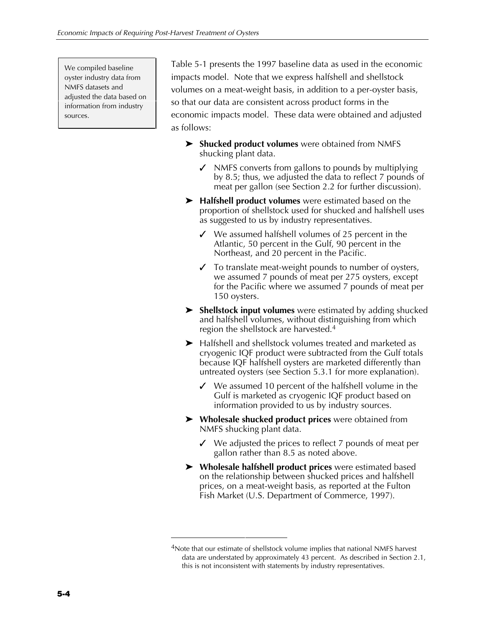We compiled baseline oyster industry data from NMFS datasets and adjusted the data based on information from industry sources.

Table 5-1 presents the 1997 baseline data as used in the economic impacts model. Note that we express halfshell and shellstock volumes on a meat-weight basis, in addition to a per-oyster basis, so that our data are consistent across product forms in the economic impacts model. These data were obtained and adjusted as follows:

- **EX Shucked product volumes** were obtained from NMFS shucking plant data.
	- $\checkmark$  NMFS converts from gallons to pounds by multiplying by 8.5; thus, we adjusted the data to reflect 7 pounds of meat per gallon (see Section 2.2 for further discussion).
- ▶ Halfshell product volumes were estimated based on the proportion of shellstock used for shucked and halfshell uses as suggested to us by industry representatives.
	- $\checkmark$  We assumed halfshell volumes of 25 percent in the Atlantic, 50 percent in the Gulf, 90 percent in the Northeast, and 20 percent in the Pacific.
	- $\checkmark$  To translate meat-weight pounds to number of oysters, we assumed 7 pounds of meat per 275 oysters, except for the Pacific where we assumed 7 pounds of meat per 150 oysters.
- **EX Shellstock input volumes** were estimated by adding shucked and halfshell volumes, without distinguishing from which region the shellstock are harvested.4
- $\blacktriangleright$  Halfshell and shellstock volumes treated and marketed as cryogenic IQF product were subtracted from the Gulf totals because IQF halfshell oysters are marketed differently than untreated oysters (see Section 5.3.1 for more explanation).
	- $\checkmark$  We assumed 10 percent of the halfshell volume in the Gulf is marketed as cryogenic IQF product based on information provided to us by industry sources.
- **►** Wholesale shucked product prices were obtained from NMFS shucking plant data.
	- $\checkmark$  We adjusted the prices to reflect 7 pounds of meat per gallon rather than 8.5 as noted above.
- Z **Wholesale halfshell product prices** were estimated based on the relationship between shucked prices and halfshell prices, on a meat-weight basis, as reported at the Fulton Fish Market (U.S. Department of Commerce, 1997).

<sup>&</sup>lt;sup>4</sup>Note that our estimate of shellstock volume implies that national NMFS harvest data are understated by approximately 43 percent. As described in Section 2.1, this is not inconsistent with statements by industry representatives.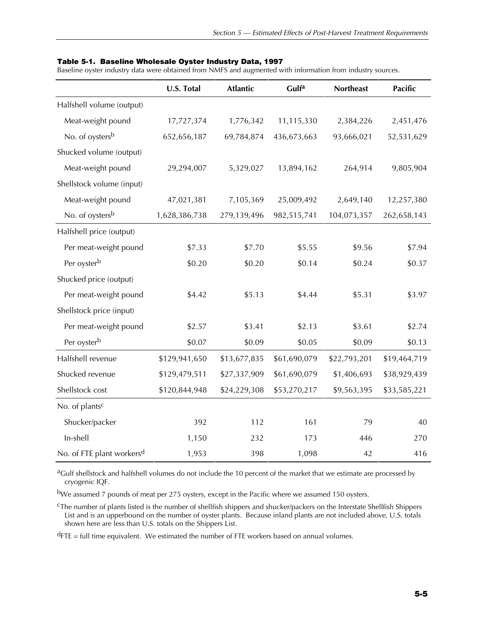#### **Table 5-1. Baseline Wholesale Oyster Industry Data, 1997**

Baseline oyster industry data were obtained from NMFS and augmented with information from industry sources.

|                                       | U.S. Total    | <b>Atlantic</b> | Gulfa        | <b>Northeast</b> | <b>Pacific</b> |
|---------------------------------------|---------------|-----------------|--------------|------------------|----------------|
| Halfshell volume (output)             |               |                 |              |                  |                |
| Meat-weight pound                     | 17,727,374    | 1,776,342       | 11,115,330   | 2,384,226        | 2,451,476      |
| No. of oysters <sup>b</sup>           | 652,656,187   | 69,784,874      | 436,673,663  | 93,666,021       | 52,531,629     |
| Shucked volume (output)               |               |                 |              |                  |                |
| Meat-weight pound                     | 29,294,007    | 5,329,027       | 13,894,162   | 264,914          | 9,805,904      |
| Shellstock volume (input)             |               |                 |              |                  |                |
| Meat-weight pound                     | 47,021,381    | 7,105,369       | 25,009,492   | 2,649,140        | 12,257,380     |
| No. of oysters <sup>b</sup>           | 1,628,386,738 | 279,139,496     | 982,515,741  | 104,073,357      | 262,658,143    |
| Halfshell price (output)              |               |                 |              |                  |                |
| Per meat-weight pound                 | \$7.33        | \$7.70          | \$5.55       | \$9.56           | \$7.94         |
| Per oyster <sup>b</sup>               | \$0.20        | \$0.20          | \$0.14       | \$0.24           | \$0.37         |
| Shucked price (output)                |               |                 |              |                  |                |
| Per meat-weight pound                 | \$4.42        | \$5.13          | \$4.44       | \$5.31           | \$3.97         |
| Shellstock price (input)              |               |                 |              |                  |                |
| Per meat-weight pound                 | \$2.57        | \$3.41          | \$2.13       | \$3.61           | \$2.74         |
| Per oyster <sup>b</sup>               | \$0.07        | \$0.09          | \$0.05       | \$0.09           | \$0.13         |
| Halfshell revenue                     | \$129,941,650 | \$13,677,835    | \$61,690,079 | \$22,793,201     | \$19,464,719   |
| Shucked revenue                       | \$129,479,511 | \$27,337,909    | \$61,690,079 | \$1,406,693      | \$38,929,439   |
| Shellstock cost                       | \$120,844,948 | \$24,229,308    | \$53,270,217 | \$9,563,395      | \$33,585,221   |
| No. of plants <sup>c</sup>            |               |                 |              |                  |                |
| Shucker/packer                        | 392           | 112             | 161          | 79               | 40             |
| In-shell                              | 1,150         | 232             | 173          | 446              | 270            |
| No. of FTE plant workers <sup>d</sup> | 1,953         | 398             | 1,098        | 42               | 416            |

<sup>a</sup>Gulf shellstock and halfshell volumes do not include the 10 percent of the market that we estimate are processed by cryogenic IQF.

bWe assumed 7 pounds of meat per 275 oysters, except in the Pacific where we assumed 150 oysters.

cThe number of plants listed is the number of shellfish shippers and shucker/packers on the Interstate Shellfish Shippers List and is an upperbound on the number of oyster plants. Because inland plants are not included above, U.S. totals shown here are less than U.S. totals on the Shippers List.

 $d$ FTE = full time equivalent. We estimated the number of FTE workers based on annual volumes.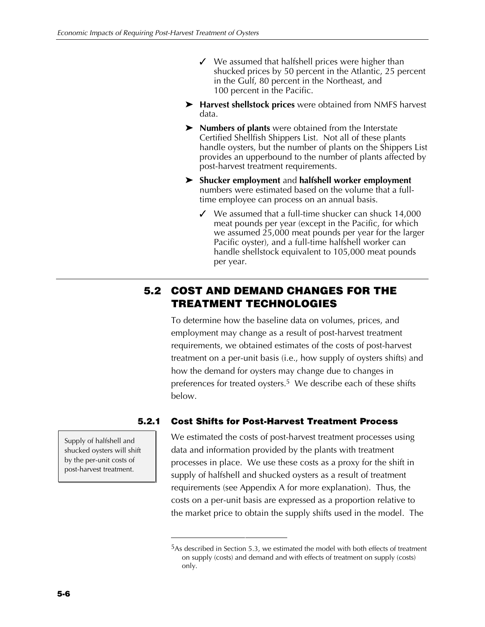- $\checkmark$  We assumed that halfshell prices were higher than shucked prices by 50 percent in the Atlantic, 25 percent in the Gulf, 80 percent in the Northeast, and 100 percent in the Pacific.
- ▶ Harvest shellstock prices were obtained from NMFS harvest data.
- > **Numbers of plants** were obtained from the Interstate Certified Shellfish Shippers List.Not all of these plants handle oysters, but the number of plants on the Shippers List provides an upperbound to the number of plants affected by post-harvest treatment requirements.
- Z **Shucker employment** and **halfshell worker employment** numbers were estimated based on the volume that a fulltime employee can process on an annual basis.
	- $\checkmark$  We assumed that a full-time shucker can shuck 14,000 meat pounds per year (except in the Pacific, for which we assumed 25,000 meat pounds per year for the larger Pacific oyster), and a full-time halfshell worker can handle shellstock equivalent to 105,000 meat pounds per year.

## **5.2 COST AND DEMAND CHANGES FOR THE TREATMENT TECHNOLOGIES**

To determine how the baseline data on volumes, prices, and employment may change as a result of post-harvest treatment requirements, we obtained estimates of the costs of post-harvest treatment on a per-unit basis (i.e., how supply of oysters shifts) and how the demand for oysters may change due to changes in preferences for treated oysters.5 We describe each of these shifts below.

## **5.2.1 Cost Shifts for Post-Harvest Treatment Process**

We estimated the costs of post-harvest treatment processes using data and information provided by the plants with treatment processes in place. We use these costs as a proxy for the shift in supply of halfshell and shucked oysters as a result of treatment requirements (see Appendix A for more explanation). Thus, the costs on a per-unit basis are expressed as a proportion relative to the market price to obtain the supply shifts used in the model. The

Supply of halfshell and shucked oysters will shift by the per-unit costs of post-harvest treatment.

<sup>&</sup>lt;sup>5</sup>As described in Section 5.3, we estimated the model with both effects of treatment on supply (costs) and demand and with effects of treatment on supply (costs) only.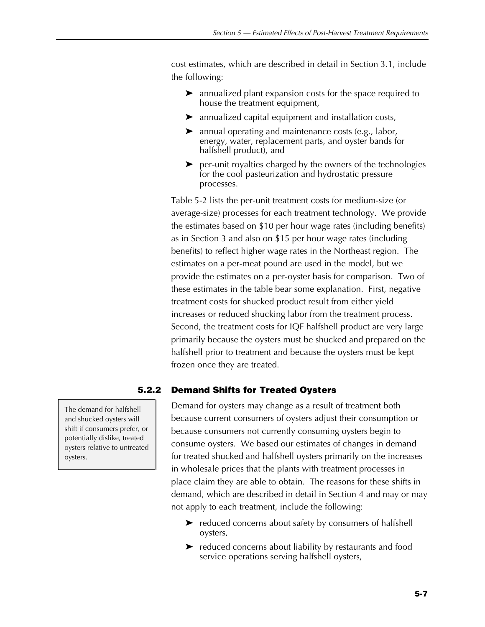cost estimates, which are described in detail in Section 3.1, include the following:

- $\blacktriangleright$  annualized plant expansion costs for the space required to house the treatment equipment,
- $\blacktriangleright$  annualized capital equipment and installation costs,
- $\blacktriangleright$  annual operating and maintenance costs (e.g., labor, energy, water, replacement parts, and oyster bands for halfshell product), and
- $\triangleright$  per-unit royalties charged by the owners of the technologies for the cool pasteurization and hydrostatic pressure processes.

Table 5-2 lists the per-unit treatment costs for medium-size (or average-size) processes for each treatment technology. We provide the estimates based on \$10 per hour wage rates (including benefits) as in Section 3 and also on \$15 per hour wage rates (including benefits) to reflect higher wage rates in the Northeast region. The estimates on a per-meat pound are used in the model, but we provide the estimates on a per-oyster basis for comparison. Two of these estimates in the table bear some explanation. First, negative treatment costs for shucked product result from either yield increases or reduced shucking labor from the treatment process. Second, the treatment costs for IQF halfshell product are very large primarily because the oysters must be shucked and prepared on the halfshell prior to treatment and because the oysters must be kept frozen once they are treated.

## **5.2.2 Demand Shifts for Treated Oysters**

Demand for oysters may change as a result of treatment both because current consumers of oysters adjust their consumption or because consumers not currently consuming oysters begin to consume oysters. We based our estimates of changes in demand for treated shucked and halfshell oysters primarily on the increases in wholesale prices that the plants with treatment processes in place claim they are able to obtain. The reasons for these shifts in demand, which are described in detail in Section 4 and may or may not apply to each treatment, include the following:

- $\blacktriangleright$  reduced concerns about safety by consumers of halfshell oysters,
- $\blacktriangleright$  reduced concerns about liability by restaurants and food service operations serving halfshell oysters,

The demand for halfshell and shucked oysters will shift if consumers prefer, or potentially dislike, treated oysters relative to untreated oysters.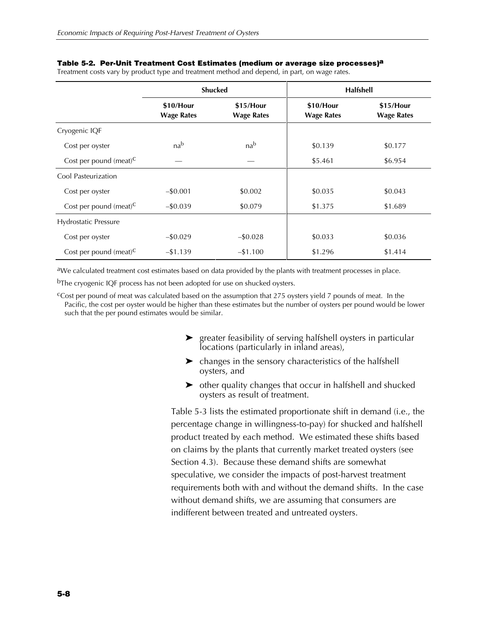|                                    | <b>Shucked</b>                 |                                |                                | <b>Halfshell</b>               |
|------------------------------------|--------------------------------|--------------------------------|--------------------------------|--------------------------------|
|                                    | \$10/Hour<br><b>Wage Rates</b> | \$15/Hour<br><b>Wage Rates</b> | \$10/Hour<br><b>Wage Rates</b> | \$15/Hour<br><b>Wage Rates</b> |
| Cryogenic IQF                      |                                |                                |                                |                                |
| Cost per oyster                    | nab                            | nab                            | \$0.139                        | \$0.177                        |
| Cost per pound (meat) $C$          |                                |                                | \$5.461                        | \$6.954                        |
| Cool Pasteurization                |                                |                                |                                |                                |
| Cost per oyster                    | $-$0.001$                      | \$0.002                        | \$0.035                        | \$0.043                        |
| Cost per pound (meat) <sup>C</sup> | $-$ \$0.039                    | \$0.079                        | \$1.375                        | \$1.689                        |
| Hydrostatic Pressure               |                                |                                |                                |                                |
| Cost per oyster                    | $-$ \$0.029                    | $-$ \$0.028                    | \$0.033                        | \$0.036                        |
| Cost per pound (meat) $^C$         | $-1.139$                       | $-1.100$                       | \$1.296                        | \$1.414                        |

#### **Table 5-2. Per-Unit Treatment Cost Estimates (medium or average size processes)a**

Treatment costs vary by product type and treatment method and depend, in part, on wage rates.

aWe calculated treatment cost estimates based on data provided by the plants with treatment processes in place.

b<sub>The cryogenic IQF process has not been adopted for use on shucked oysters.</sub>

cCost per pound of meat was calculated based on the assumption that 275 oysters yield 7 pounds of meat. In the Pacific, the cost per oyster would be higher than these estimates but the number of oysters per pound would be lower such that the per pound estimates would be similar.

- $\blacktriangleright$  greater feasibility of serving halfshell oysters in particular locations (particularly in inland areas),
- $\blacktriangleright$  changes in the sensory characteristics of the halfshell oysters, and
- $\triangleright$  other quality changes that occur in halfshell and shucked oysters as result of treatment.

Table 5-3 lists the estimated proportionate shift in demand (i.e., the percentage change in willingness-to-pay) for shucked and halfshell product treated by each method. We estimated these shifts based on claims by the plants that currently market treated oysters (see Section 4.3). Because these demand shifts are somewhat speculative, we consider the impacts of post-harvest treatment requirements both with and without the demand shifts. In the case without demand shifts, we are assuming that consumers are indifferent between treated and untreated oysters.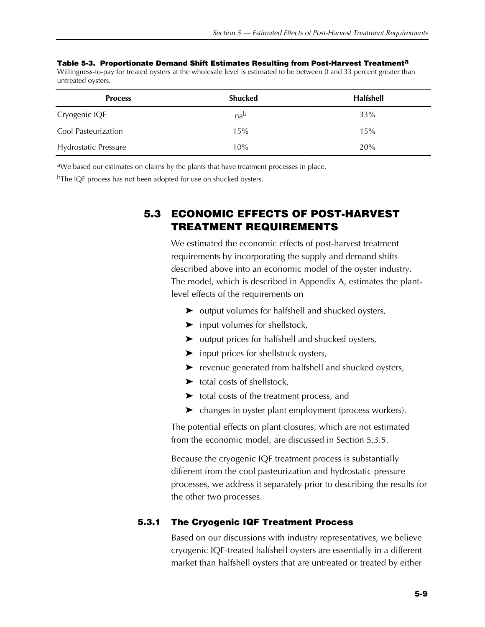|                    | Table 5-3. Proportionate Demand Shift Estimates Resulting from Post-Harvest Treatment <sup>a</sup>                     |  |  |  |
|--------------------|------------------------------------------------------------------------------------------------------------------------|--|--|--|
|                    | Willingness-to-pay for treated oysters at the wholesale level is estimated to be between 0 and 33 percent greater than |  |  |  |
| untreated ovsters. |                                                                                                                        |  |  |  |

| <b>Process</b>              | <b>Shucked</b> | Halfshell |
|-----------------------------|----------------|-----------|
| Cryogenic IQF               | nab            | 33%       |
| Cool Pasteurization         | 15%            | 15%       |
| <b>Hydrostatic Pressure</b> | 10%            | 20%       |

aWe based our estimates on claims by the plants that have treatment processes in place.

<sup>b</sup>The IQF process has not been adopted for use on shucked oysters.

## **5.3 ECONOMIC EFFECTS OF POST-HARVEST TREATMENT REQUIREMENTS**

We estimated the economic effects of post-harvest treatment requirements by incorporating the supply and demand shifts described above into an economic model of the oyster industry. The model, which is described in Appendix A, estimates the plantlevel effects of the requirements on

- $\triangleright$  output volumes for halfshell and shucked oysters,
- $\blacktriangleright$  input volumes for shellstock,
- $\blacktriangleright$  output prices for halfshell and shucked oysters,
- $\blacktriangleright$  input prices for shellstock oysters,
- $\blacktriangleright$  revenue generated from halfshell and shucked oysters,
- $\blacktriangleright$  total costs of shellstock,
- $\blacktriangleright$  total costs of the treatment process, and
- $\blacktriangleright$  changes in oyster plant employment (process workers).

The potential effects on plant closures, which are not estimated from the economic model, are discussed in Section 5.3.5.

Because the cryogenic IQF treatment process is substantially different from the cool pasteurization and hydrostatic pressure processes, we address it separately prior to describing the results for the other two processes.

## **5.3.1 The Cryogenic IQF Treatment Process**

Based on our discussions with industry representatives, we believe cryogenic IQF-treated halfshell oysters are essentially in a different market than halfshell oysters that are untreated or treated by either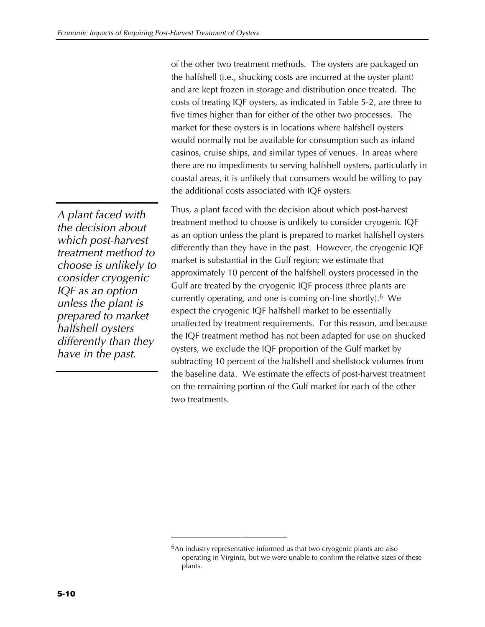of the other two treatment methods. The oysters are packaged on the halfshell (i.e., shucking costs are incurred at the oyster plant) and are kept frozen in storage and distribution once treated. The costs of treating IQF oysters, as indicated in Table 5-2, are three to five times higher than for either of the other two processes. The market for these oysters is in locations where halfshell oysters would normally not be available for consumption such as inland casinos, cruise ships, and similar types of venues. In areas where there are no impediments to serving halfshell oysters, particularly in coastal areas, it is unlikely that consumers would be willing to pay the additional costs associated with IQF oysters.

*A plant faced with the decision about which post-harvest treatment method to choose is unlikely to consider cryogenic IQF as an option unless the plant is prepared to market halfshell oysters differently than they have in the past.*

Thus, a plant faced with the decision about which post-harvest treatment method to choose is unlikely to consider cryogenic IQF as an option unless the plant is prepared to market halfshell oysters differently than they have in the past. However, the cryogenic IQF market is substantial in the Gulf region; we estimate that approximately 10 percent of the halfshell oysters processed in the Gulf are treated by the cryogenic IQF process (three plants are currently operating, and one is coming on-line shortly).6 We expect the cryogenic IQF halfshell market to be essentially unaffected by treatment requirements. For this reason, and because the IQF treatment method has not been adapted for use on shucked oysters, we exclude the IQF proportion of the Gulf market by subtracting 10 percent of the halfshell and shellstock volumes from the baseline data. We estimate the effects of post-harvest treatment on the remaining portion of the Gulf market for each of the other two treatments.

<sup>&</sup>lt;sup>6</sup>An industry representative informed us that two cryogenic plants are also operating in Virginia, but we were unable to confirm the relative sizes of these plants.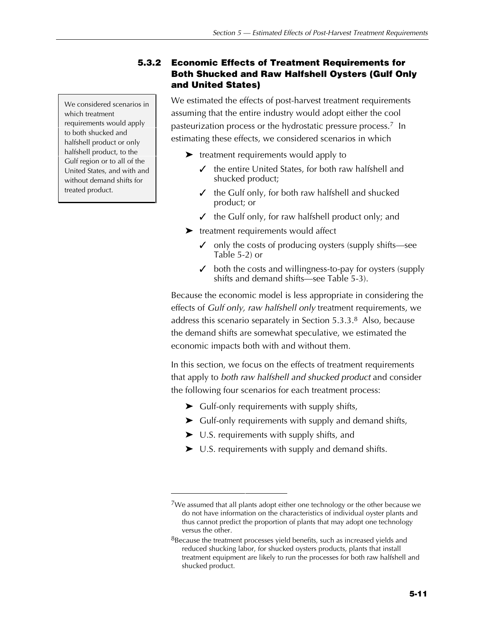We considered scenarios in which treatment requirements would apply to both shucked and halfshell product or only halfshell product, to the Gulf region or to all of the United States, and with and without demand shifts for treated product.

## **5.3.2 Economic Effects of Treatment Requirements for Both Shucked and Raw Halfshell Oysters (Gulf Only and United States)**

We estimated the effects of post-harvest treatment requirements assuming that the entire industry would adopt either the cool pasteurization process or the hydrostatic pressure process.<sup>7</sup> In estimating these effects, we considered scenarios in which

- $\blacktriangleright$  treatment requirements would apply to
	- the entire United States, for both raw halfshell and shucked product;
	- $\checkmark$  the Gulf only, for both raw halfshell and shucked product; or
	- $\checkmark$  the Gulf only, for raw halfshell product only; and
- $\blacktriangleright$  treatment requirements would affect
	- $\checkmark$  only the costs of producing oysters (supply shifts—see Table 5-2) or
	- $\triangledown$  both the costs and willingness-to-pay for oysters (supply shifts and demand shifts—see Table 5-3).

Because the economic model is less appropriate in considering the effects of *Gulf only, raw halfshell only* treatment requirements, we address this scenario separately in Section 5.3.3.8 Also, because the demand shifts are somewhat speculative, we estimated the economic impacts both with and without them.

In this section, we focus on the effects of treatment requirements that apply to *both raw halfshell and shucked product* and consider the following four scenarios for each treatment process:

- $\blacktriangleright$  Gulf-only requirements with supply shifts,
- $\blacktriangleright$  Gulf-only requirements with supply and demand shifts,
- $\blacktriangleright$  U.S. requirements with supply shifts, and
- $\blacktriangleright$  U.S. requirements with supply and demand shifts.

 $7$ We assumed that all plants adopt either one technology or the other because we do not have information on the characteristics of individual oyster plants and thus cannot predict the proportion of plants that may adopt one technology versus the other.

 $8B$  Because the treatment processes yield benefits, such as increased yields and reduced shucking labor, for shucked oysters products, plants that install treatment equipment are likely to run the processes for both raw halfshell and shucked product.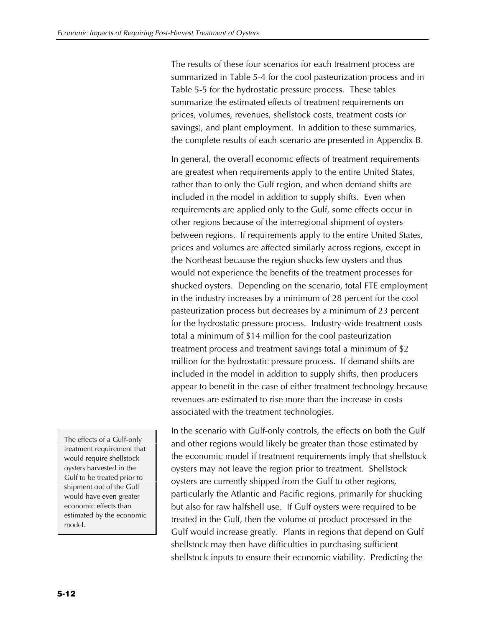The results of these four scenarios for each treatment process are summarized in Table 5-4 for the cool pasteurization process and in Table 5-5 for the hydrostatic pressure process. These tables summarize the estimated effects of treatment requirements on prices, volumes, revenues, shellstock costs, treatment costs (or savings), and plant employment. In addition to these summaries, the complete results of each scenario are presented in Appendix B.

In general, the overall economic effects of treatment requirements are greatest when requirements apply to the entire United States, rather than to only the Gulf region, and when demand shifts are included in the model in addition to supply shifts. Even when requirements are applied only to the Gulf, some effects occur in other regions because of the interregional shipment of oysters between regions. If requirements apply to the entire United States, prices and volumes are affected similarly across regions, except in the Northeast because the region shucks few oysters and thus would not experience the benefits of the treatment processes for shucked oysters. Depending on the scenario, total FTE employment in the industry increases by a minimum of 28 percent for the cool pasteurization process but decreases by a minimum of 23 percent for the hydrostatic pressure process. Industry-wide treatment costs total a minimum of \$14 million for the cool pasteurization treatment process and treatment savings total a minimum of \$2 million for the hydrostatic pressure process. If demand shifts are included in the model in addition to supply shifts, then producers appear to benefit in the case of either treatment technology because revenues are estimated to rise more than the increase in costs associated with the treatment technologies.

The effects of a Gulf-only treatment requirement that would require shellstock oysters harvested in the Gulf to be treated prior to shipment out of the Gulf would have even greater economic effects than estimated by the economic model.

In the scenario with Gulf-only controls, the effects on both the Gulf and other regions would likely be greater than those estimated by the economic model if treatment requirements imply that shellstock oysters may not leave the region prior to treatment. Shellstock oysters are currently shipped from the Gulf to other regions, particularly the Atlantic and Pacific regions, primarily for shucking but also for raw halfshell use. If Gulf oysters were required to be treated in the Gulf, then the volume of product processed in the Gulf would increase greatly. Plants in regions that depend on Gulf shellstock may then have difficulties in purchasing sufficient shellstock inputs to ensure their economic viability. Predicting the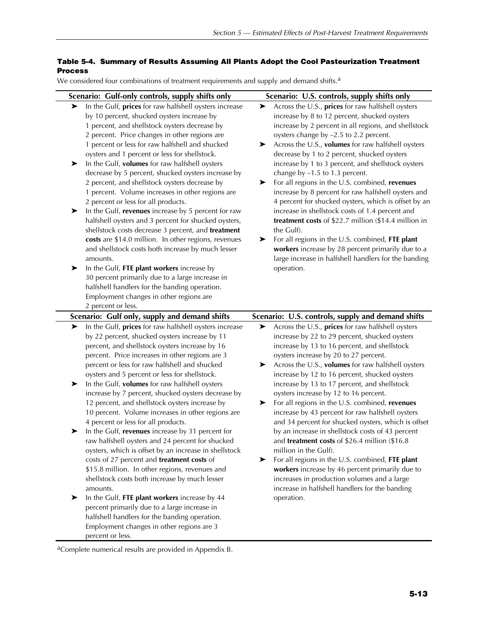#### **Table 5-4. Summary of Results Assuming All Plants Adopt the Cool Pasteurization Treatment Process**

We considered four combinations of treatment requirements and supply and demand shifts.<sup>a</sup>

| Scenario: Gulf-only controls, supply shifts only                                                                                                                                                                                                                                                                                                                                                                                                                                                                                                                                                                                                                                                                                                                                                                                                                                                                                                                                                                                                                                                                                          | Scenario: U.S. controls, supply shifts only                                                                                                                                                                                                                                                                                                                                                                                                                                                                                                                                                                                                                                                                                                                                                                                                                                                                                      |
|-------------------------------------------------------------------------------------------------------------------------------------------------------------------------------------------------------------------------------------------------------------------------------------------------------------------------------------------------------------------------------------------------------------------------------------------------------------------------------------------------------------------------------------------------------------------------------------------------------------------------------------------------------------------------------------------------------------------------------------------------------------------------------------------------------------------------------------------------------------------------------------------------------------------------------------------------------------------------------------------------------------------------------------------------------------------------------------------------------------------------------------------|----------------------------------------------------------------------------------------------------------------------------------------------------------------------------------------------------------------------------------------------------------------------------------------------------------------------------------------------------------------------------------------------------------------------------------------------------------------------------------------------------------------------------------------------------------------------------------------------------------------------------------------------------------------------------------------------------------------------------------------------------------------------------------------------------------------------------------------------------------------------------------------------------------------------------------|
| In the Gulf, prices for raw halfshell oysters increase<br>➤<br>by 10 percent, shucked oysters increase by<br>1 percent, and shellstock oysters decrease by<br>2 percent. Price changes in other regions are<br>1 percent or less for raw halfshell and shucked<br>oysters and 1 percent or less for shellstock.<br>In the Gulf, volumes for raw halfshell oysters<br>➤<br>decrease by 5 percent, shucked oysters increase by<br>2 percent, and shellstock oysters decrease by<br>1 percent. Volume increases in other regions are<br>2 percent or less for all products.<br>In the Gulf, revenues increase by 5 percent for raw<br>➤<br>halfshell oysters and 3 percent for shucked oysters,<br>shellstock costs decrease 3 percent, and treatment<br>costs are \$14.0 million. In other regions, revenues<br>and shellstock costs both increase by much lesser<br>amounts.<br>In the Gulf, FTE plant workers increase by<br>➤<br>30 percent primarily due to a large increase in                                                                                                                                                         | Across the U.S., prices for raw halfshell oysters<br>➤<br>increase by 8 to 12 percent, shucked oysters<br>increase by 2 percent in all regions, and shellstock<br>oysters change by -2.5 to 2.2 percent.<br>Across the U.S., volumes for raw halfshell oysters<br>➤<br>decrease by 1 to 2 percent, shucked oysters<br>increase by 1 to 3 percent, and shellstock oysters<br>change by $-1.5$ to 1.3 percent.<br>For all regions in the U.S. combined, revenues<br>➤<br>increase by 8 percent for raw halfshell oysters and<br>4 percent for shucked oysters, which is offset by an<br>increase in shellstock costs of 1.4 percent and<br>treatment costs of \$22.7 million (\$14.4 million in<br>the Gulf).<br>For all regions in the U.S. combined, FTE plant<br>➤<br>workers increase by 28 percent primarily due to a<br>large increase in halfshell handlers for the banding<br>operation.                                   |
| halfshell handlers for the banding operation.                                                                                                                                                                                                                                                                                                                                                                                                                                                                                                                                                                                                                                                                                                                                                                                                                                                                                                                                                                                                                                                                                             |                                                                                                                                                                                                                                                                                                                                                                                                                                                                                                                                                                                                                                                                                                                                                                                                                                                                                                                                  |
| Employment changes in other regions are                                                                                                                                                                                                                                                                                                                                                                                                                                                                                                                                                                                                                                                                                                                                                                                                                                                                                                                                                                                                                                                                                                   |                                                                                                                                                                                                                                                                                                                                                                                                                                                                                                                                                                                                                                                                                                                                                                                                                                                                                                                                  |
| 2 percent or less.                                                                                                                                                                                                                                                                                                                                                                                                                                                                                                                                                                                                                                                                                                                                                                                                                                                                                                                                                                                                                                                                                                                        |                                                                                                                                                                                                                                                                                                                                                                                                                                                                                                                                                                                                                                                                                                                                                                                                                                                                                                                                  |
| Scenario: Gulf only, supply and demand shifts                                                                                                                                                                                                                                                                                                                                                                                                                                                                                                                                                                                                                                                                                                                                                                                                                                                                                                                                                                                                                                                                                             | Scenario: U.S. controls, supply and demand shifts                                                                                                                                                                                                                                                                                                                                                                                                                                                                                                                                                                                                                                                                                                                                                                                                                                                                                |
| In the Gulf, prices for raw halfshell oysters increase<br>➤<br>by 22 percent, shucked oysters increase by 11<br>percent, and shellstock oysters increase by 16<br>percent. Price increases in other regions are 3<br>percent or less for raw halfshell and shucked<br>oysters and 5 percent or less for shellstock.<br>In the Gulf, volumes for raw halfshell oysters<br>➤<br>increase by 7 percent, shucked oysters decrease by<br>12 percent, and shellstock oysters increase by<br>10 percent. Volume increases in other regions are<br>4 percent or less for all products.<br>In the Gulf, revenues increase by 31 percent for<br>➤<br>raw halfshell oysters and 24 percent for shucked<br>oysters, which is offset by an increase in shellstock<br>costs of 27 percent and treatment costs of<br>\$15.8 million. In other regions, revenues and<br>shellstock costs both increase by much lesser<br>amounts.<br>In the Gulf, FTE plant workers increase by 44<br>➤<br>percent primarily due to a large increase in<br>halfshell handlers for the banding operation.<br>Employment changes in other regions are 3<br>percent or less. | Across the U.S., prices for raw halfshell oysters<br>➤<br>increase by 22 to 29 percent, shucked oysters<br>increase by 13 to 16 percent, and shellstock<br>oysters increase by 20 to 27 percent.<br>Across the U.S., volumes for raw halfshell oysters<br>➤<br>increase by 12 to 16 percent, shucked oysters<br>increase by 13 to 17 percent, and shellstock<br>oysters increase by 12 to 16 percent.<br>For all regions in the U.S. combined, revenues<br>➤<br>increase by 43 percent for raw halfshell oysters<br>and 34 percent for shucked oysters, which is offset<br>by an increase in shellstock costs of 43 percent<br>and treatment costs of \$26.4 million (\$16.8)<br>million in the Gulf).<br>For all regions in the U.S. combined, FTE plant<br>➤<br>workers increase by 46 percent primarily due to<br>increases in production volumes and a large<br>increase in halfshell handlers for the banding<br>operation. |

aComplete numerical results are provided in Appendix B.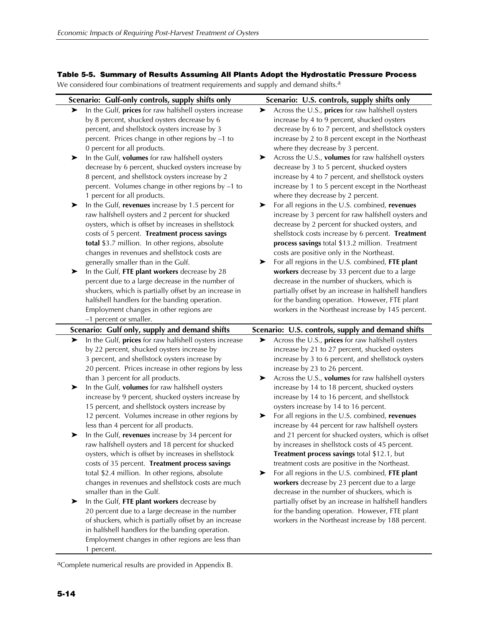#### **Table 5-5. Summary of Results Assuming All Plants Adopt the Hydrostatic Pressure Process**

We considered four combinations of treatment requirements and supply and demand shifts.<sup>a</sup>

|                  | Scenario: Gulf-only controls, supply shifts only                                                                                                                                                                                                                                                                                                                                                                                                                                                                                                                                                                                                                                                                                                                                                                                                                                                                                                                                                                                                                                                             | Scenario: U.S. controls, supply shifts only                                                                                                                                                                                                                                                                                                                                                                                                                                                                                                                                                                                                                                                                                                                                                                                                                                                                                                                                                                                                                                                                                                                           |  |
|------------------|--------------------------------------------------------------------------------------------------------------------------------------------------------------------------------------------------------------------------------------------------------------------------------------------------------------------------------------------------------------------------------------------------------------------------------------------------------------------------------------------------------------------------------------------------------------------------------------------------------------------------------------------------------------------------------------------------------------------------------------------------------------------------------------------------------------------------------------------------------------------------------------------------------------------------------------------------------------------------------------------------------------------------------------------------------------------------------------------------------------|-----------------------------------------------------------------------------------------------------------------------------------------------------------------------------------------------------------------------------------------------------------------------------------------------------------------------------------------------------------------------------------------------------------------------------------------------------------------------------------------------------------------------------------------------------------------------------------------------------------------------------------------------------------------------------------------------------------------------------------------------------------------------------------------------------------------------------------------------------------------------------------------------------------------------------------------------------------------------------------------------------------------------------------------------------------------------------------------------------------------------------------------------------------------------|--|
| ➤<br>➤<br>➤<br>➤ | In the Gulf, prices for raw halfshell oysters increase<br>by 8 percent, shucked oysters decrease by 6<br>percent, and shellstock oysters increase by 3<br>percent. Prices change in other regions by -1 to<br>0 percent for all products.<br>In the Gulf, volumes for raw halfshell oysters<br>decrease by 6 percent, shucked oysters increase by<br>8 percent, and shellstock oysters increase by 2<br>percent. Volumes change in other regions by -1 to<br>1 percent for all products.<br>In the Gulf, revenues increase by 1.5 percent for<br>raw halfshell oysters and 2 percent for shucked<br>oysters, which is offset by increases in shellstock<br>costs of 5 percent. Treatment process savings<br>total \$3.7 million. In other regions, absolute<br>changes in revenues and shellstock costs are<br>generally smaller than in the Gulf.<br>In the Gulf, FTE plant workers decrease by 28<br>percent due to a large decrease in the number of<br>shuckers, which is partially offset by an increase in<br>halfshell handlers for the banding operation.<br>Employment changes in other regions are | Across the U.S., <b>prices</b> for raw halfshell oysters<br>➤<br>increase by 4 to 9 percent, shucked oysters<br>decrease by 6 to 7 percent, and shellstock oysters<br>increase by 2 to 8 percent except in the Northeast<br>where they decrease by 3 percent.<br>Across the U.S., volumes for raw halfshell oysters<br>➤<br>decrease by 3 to 5 percent, shucked oysters<br>increase by 4 to 7 percent, and shellstock oysters<br>increase by 1 to 5 percent except in the Northeast<br>where they decrease by 2 percent.<br>For all regions in the U.S. combined, revenues<br>➤<br>increase by 3 percent for raw halfshell oysters and<br>decrease by 2 percent for shucked oysters, and<br>shellstock costs increase by 6 percent. Treatment<br>process savings total \$13.2 million. Treatment<br>costs are positive only in the Northeast.<br>For all regions in the U.S. combined, FTE plant<br>➤<br>workers decrease by 33 percent due to a large<br>decrease in the number of shuckers, which is<br>partially offset by an increase in halfshell handlers<br>for the banding operation. However, FTE plant<br>workers in the Northeast increase by 145 percent. |  |
|                  | -1 percent or smaller.                                                                                                                                                                                                                                                                                                                                                                                                                                                                                                                                                                                                                                                                                                                                                                                                                                                                                                                                                                                                                                                                                       |                                                                                                                                                                                                                                                                                                                                                                                                                                                                                                                                                                                                                                                                                                                                                                                                                                                                                                                                                                                                                                                                                                                                                                       |  |
| ➤                | Scenario: Gulf only, supply and demand shifts<br>In the Gulf, prices for raw halfshell oysters increase                                                                                                                                                                                                                                                                                                                                                                                                                                                                                                                                                                                                                                                                                                                                                                                                                                                                                                                                                                                                      | Scenario: U.S. controls, supply and demand shifts<br>Across the U.S., prices for raw halfshell oysters<br>➤                                                                                                                                                                                                                                                                                                                                                                                                                                                                                                                                                                                                                                                                                                                                                                                                                                                                                                                                                                                                                                                           |  |
| ➤<br>➤<br>➤      | by 22 percent, shucked oysters increase by<br>3 percent, and shellstock oysters increase by<br>20 percent. Prices increase in other regions by less<br>than 3 percent for all products.<br>In the Gulf, volumes for raw halfshell oysters<br>increase by 9 percent, shucked oysters increase by<br>15 percent, and shellstock oysters increase by<br>12 percent. Volumes increase in other regions by<br>less than 4 percent for all products.<br>In the Gulf, revenues increase by 34 percent for<br>raw halfshell oysters and 18 percent for shucked<br>oysters, which is offset by increases in shellstock<br>costs of 35 percent. Treatment process savings<br>total \$2.4 million. In other regions, absolute<br>changes in revenues and shellstock costs are much<br>smaller than in the Gulf.<br>In the Gulf, FTE plant workers decrease by<br>20 percent due to a large decrease in the number<br>of shuckers, which is partially offset by an increase<br>in halfshell handlers for the banding operation.<br>Employment changes in other regions are less than                                     | increase by 21 to 27 percent, shucked oysters<br>increase by 3 to 6 percent, and shellstock oysters<br>increase by 23 to 26 percent.<br>Across the U.S., volumes for raw halfshell oysters<br>➤<br>increase by 14 to 18 percent, shucked oysters<br>increase by 14 to 16 percent, and shellstock<br>oysters increase by 14 to 16 percent.<br>For all regions in the U.S. combined, revenues<br>➤<br>increase by 44 percent for raw halfshell oysters<br>and 21 percent for shucked oysters, which is offset<br>by increases in shellstock costs of 45 percent.<br>Treatment process savings total \$12.1, but<br>treatment costs are positive in the Northeast.<br>For all regions in the U.S. combined, FTE plant<br>➤<br>workers decrease by 23 percent due to a large<br>decrease in the number of shuckers, which is<br>partially offset by an increase in halfshell handlers<br>for the banding operation. However, FTE plant<br>workers in the Northeast increase by 188 percent.                                                                                                                                                                               |  |

aComplete numerical results are provided in Appendix B.

1 percent.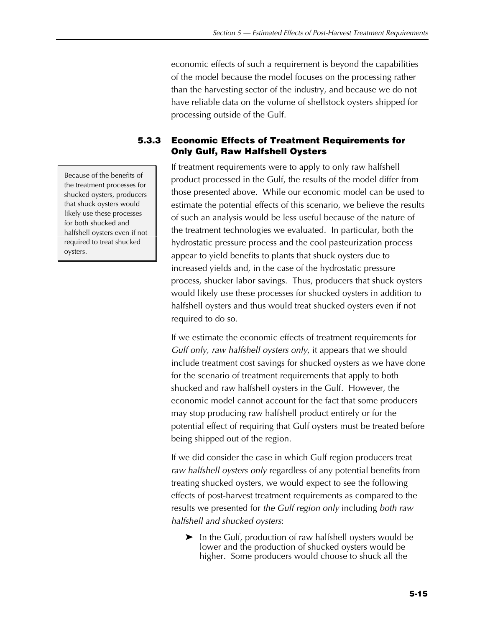economic effects of such a requirement is beyond the capabilities of the model because the model focuses on the processing rather than the harvesting sector of the industry, and because we do not have reliable data on the volume of shellstock oysters shipped for processing outside of the Gulf.

## **5.3.3 Economic Effects of Treatment Requirements for Only Gulf, Raw Halfshell Oysters**

If treatment requirements were to apply to only raw halfshell product processed in the Gulf, the results of the model differ from those presented above. While our economic model can be used to estimate the potential effects of this scenario, we believe the results of such an analysis would be less useful because of the nature of the treatment technologies we evaluated. In particular, both the hydrostatic pressure process and the cool pasteurization process appear to yield benefits to plants that shuck oysters due to increased yields and, in the case of the hydrostatic pressure process, shucker labor savings. Thus, producers that shuck oysters would likely use these processes for shucked oysters in addition to halfshell oysters and thus would treat shucked oysters even if not required to do so.

If we estimate the economic effects of treatment requirements for *Gulf only, raw halfshell oysters only*, it appears that we should include treatment cost savings for shucked oysters as we have done for the scenario of treatment requirements that apply to both shucked and raw halfshell oysters in the Gulf. However, the economic model cannot account for the fact that some producers may stop producing raw halfshell product entirely or for the potential effect of requiring that Gulf oysters must be treated before being shipped out of the region.

If we did consider the case in which Gulf region producers treat *raw halfshell oysters only* regardless of any potential benefits from treating shucked oysters, we would expect to see the following effects of post-harvest treatment requirements as compared to the results we presented for *the Gulf region only* including *both raw halfshell and shucked oysters*:

 $\blacktriangleright$  In the Gulf, production of raw halfshell oysters would be lower and the production of shucked oysters would be higher. Some producers would choose to shuck all the

Because of the benefits of the treatment processes for shucked oysters, producers that shuck oysters would likely use these processes for both shucked and halfshell oysters even if not required to treat shucked oysters.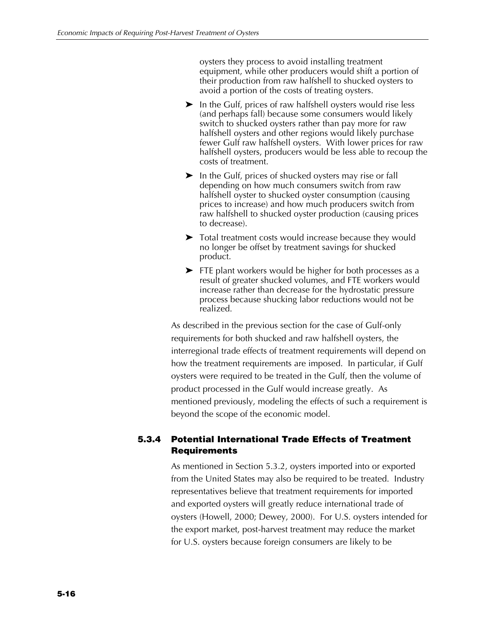oysters they process to avoid installing treatment equipment, while other producers would shift a portion of their production from raw halfshell to shucked oysters to avoid a portion of the costs of treating oysters.

- $\blacktriangleright$  In the Gulf, prices of raw halfshell oysters would rise less (and perhaps fall) because some consumers would likely switch to shucked oysters rather than pay more for raw halfshell oysters and other regions would likely purchase fewer Gulf raw halfshell oysters. With lower prices for raw halfshell oysters, producers would be less able to recoup the costs of treatment.
- $\blacktriangleright$  In the Gulf, prices of shucked oysters may rise or fall depending on how much consumers switch from raw halfshell oyster to shucked oyster consumption (causing prices to increase) and how much producers switch from raw halfshell to shucked oyster production (causing prices to decrease).
- $\triangleright$  Total treatment costs would increase because they would no longer be offset by treatment savings for shucked product.
- $\blacktriangleright$  FTE plant workers would be higher for both processes as a result of greater shucked volumes, and FTE workers would increase rather than decrease for the hydrostatic pressure process because shucking labor reductions would not be realized.

As described in the previous section for the case of Gulf-only requirements for both shucked and raw halfshell oysters, the interregional trade effects of treatment requirements will depend on how the treatment requirements are imposed. In particular, if Gulf oysters were required to be treated in the Gulf, then the volume of product processed in the Gulf would increase greatly. As mentioned previously, modeling the effects of such a requirement is beyond the scope of the economic model.

## **5.3.4 Potential International Trade Effects of Treatment Requirements**

As mentioned in Section 5.3.2, oysters imported into or exported from the United States may also be required to be treated. Industry representatives believe that treatment requirements for imported and exported oysters will greatly reduce international trade of oysters (Howell, 2000; Dewey, 2000). For U.S. oysters intended for the export market, post-harvest treatment may reduce the market for U.S. oysters because foreign consumers are likely to be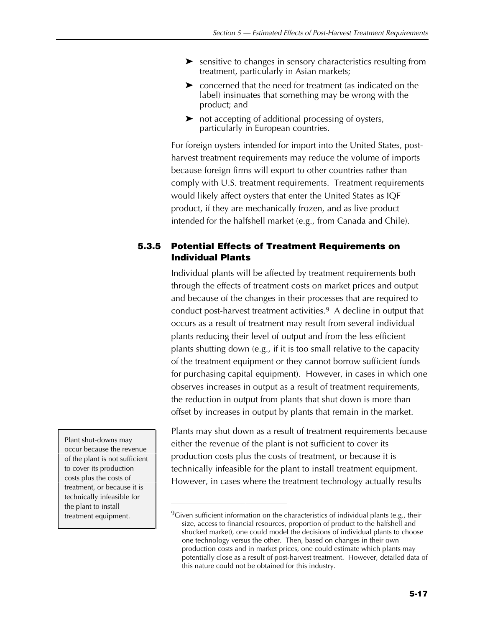- $\blacktriangleright$  sensitive to changes in sensory characteristics resulting from treatment, particularly in Asian markets;
- $\triangleright$  concerned that the need for treatment (as indicated on the label) insinuates that something may be wrong with the product; and
- $\triangleright$  not accepting of additional processing of oysters, particularly in European countries.

For foreign oysters intended for import into the United States, postharvest treatment requirements may reduce the volume of imports because foreign firms will export to other countries rather than comply with U.S. treatment requirements. Treatment requirements would likely affect oysters that enter the United States as IQF product, if they are mechanically frozen, and as live product intended for the halfshell market (e.g., from Canada and Chile).

## **5.3.5 Potential Effects of Treatment Requirements on Individual Plants**

Individual plants will be affected by treatment requirements both through the effects of treatment costs on market prices and output and because of the changes in their processes that are required to conduct post-harvest treatment activities.9 A decline in output that occurs as a result of treatment may result from several individual plants reducing their level of output and from the less efficient plants shutting down (e.g., if it is too small relative to the capacity of the treatment equipment or they cannot borrow sufficient funds for purchasing capital equipment). However, in cases in which one observes increases in output as a result of treatment requirements, the reduction in output from plants that shut down is more than offset by increases in output by plants that remain in the market.

Plants may shut down as a result of treatment requirements because either the revenue of the plant is not sufficient to cover its production costs plus the costs of treatment, or because it is technically infeasible for the plant to install treatment equipment. However, in cases where the treatment technology actually results

Plant shut-downs may occur because the revenue of the plant is not sufficient to cover its production costs plus the costs of treatment, or because it is technically infeasible for the plant to install treatment equipment.

 $9$ Given sufficient information on the characteristics of individual plants (e.g., their size, access to financial resources, proportion of product to the halfshell and shucked market), one could model the decisions of individual plants to choose one technology versus the other. Then, based on changes in their own production costs and in market prices, one could estimate which plants may potentially close as a result of post-harvest treatment. However, detailed data of this nature could not be obtained for this industry.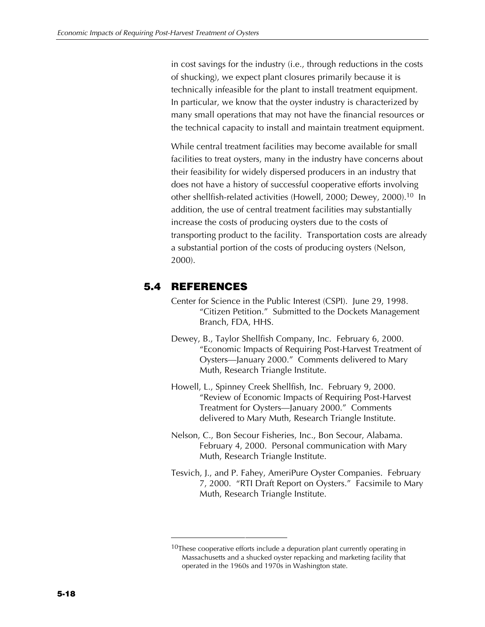in cost savings for the industry (i.e., through reductions in the costs of shucking), we expect plant closures primarily because it is technically infeasible for the plant to install treatment equipment. In particular, we know that the oyster industry is characterized by many small operations that may not have the financial resources or the technical capacity to install and maintain treatment equipment.

While central treatment facilities may become available for small facilities to treat oysters, many in the industry have concerns about their feasibility for widely dispersed producers in an industry that does not have a history of successful cooperative efforts involving other shellfish-related activities (Howell, 2000; Dewey, 2000).10 In addition, the use of central treatment facilities may substantially increase the costs of producing oysters due to the costs of transporting product to the facility. Transportation costs are already a substantial portion of the costs of producing oysters (Nelson, 2000).

## **5.4 REFERENCES**

- Center for Science in the Public Interest (CSPI). June 29, 1998. "Citizen Petition." Submitted to the Dockets Management Branch, FDA, HHS.
- Dewey, B., Taylor Shellfish Company, Inc. February 6, 2000. "Economic Impacts of Requiring Post-Harvest Treatment of Oysters—January 2000." Comments delivered to Mary Muth, Research Triangle Institute.
- Howell, L., Spinney Creek Shellfish, Inc. February 9, 2000. "Review of Economic Impacts of Requiring Post-Harvest Treatment for Oysters—January 2000." Comments delivered to Mary Muth, Research Triangle Institute.
- Nelson, C., Bon Secour Fisheries, Inc., Bon Secour, Alabama. February 4, 2000. Personal communication with Mary Muth, Research Triangle Institute.
- Tesvich, J., and P. Fahey, AmeriPure Oyster Companies. February 7, 2000. "RTI Draft Report on Oysters." Facsimile to Mary Muth, Research Triangle Institute.

 $10$ These cooperative efforts include a depuration plant currently operating in Massachusetts and a shucked oyster repacking and marketing facility that operated in the 1960s and 1970s in Washington state.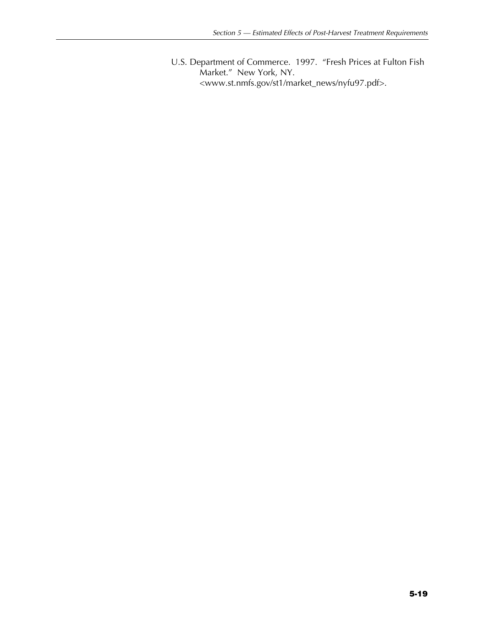U.S. Department of Commerce. 1997. "Fresh Prices at Fulton Fish Market." New York, NY. <www.st.nmfs.gov/st1/market\_news/nyfu97.pdf>.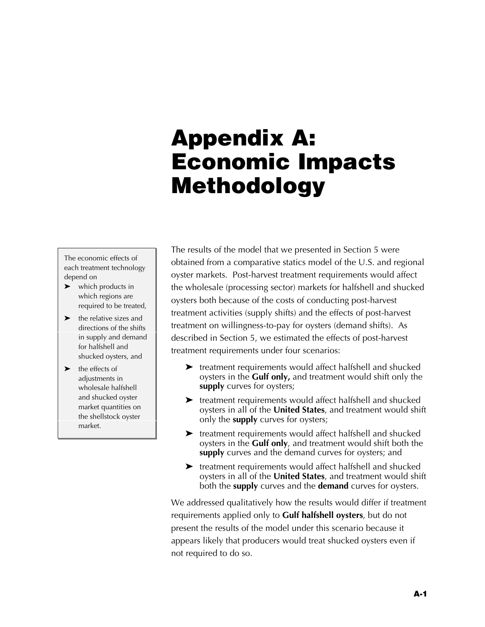## **Appendix A: Economic Impacts Methodology**

The economic effects of each treatment technology depend on

- $\blacktriangleright$  which products in which regions are required to be treated,
- $\blacktriangleright$  the relative sizes and directions of the shifts in supply and demand for halfshell and shucked oysters, and
- $\blacktriangleright$  the effects of adjustments in wholesale halfshell and shucked oyster market quantities on the shellstock oyster market.

The results of the model that we presented in Section 5 were obtained from a comparative statics model of the U.S. and regional oyster markets. Post-harvest treatment requirements would affect the wholesale (processing sector) markets for halfshell and shucked oysters both because of the costs of conducting post-harvest treatment activities (supply shifts) and the effects of post-harvest treatment on willingness-to-pay for oysters (demand shifts). As described in Section 5, we estimated the effects of post-harvest treatment requirements under four scenarios:

- $\blacktriangleright$  treatment requirements would affect halfshell and shucked oysters in the **Gulf only,** and treatment would shift only the **supply** curves for oysters;
- $\blacktriangleright$  treatment requirements would affect halfshell and shucked oysters in all of the **United States**, and treatment would shift only the **supply** curves for oysters;
- $\blacktriangleright$  treatment requirements would affect halfshell and shucked oysters in the **Gulf only**, and treatment would shift both the **supply** curves and the demand curves for oysters; and
- $\blacktriangleright$  treatment requirements would affect halfshell and shucked oysters in all of the **United States**, and treatment would shift both the **supply** curves and the **demand** curves for oysters.

We addressed qualitatively how the results would differ if treatment requirements applied only to **Gulf halfshell oysters**, but do not present the results of the model under this scenario because it appears likely that producers would treat shucked oysters even if not required to do so.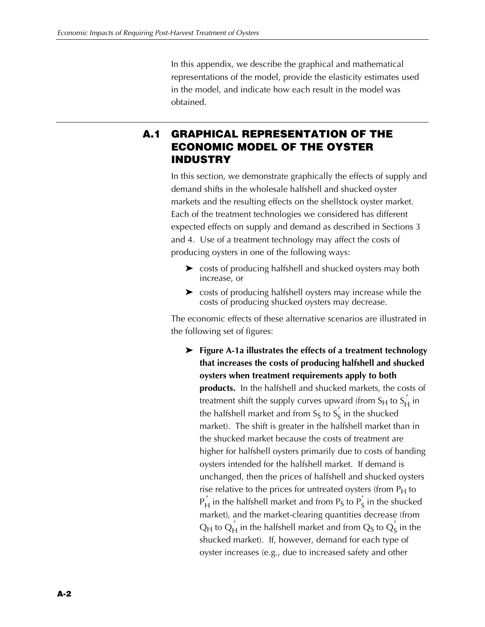In this appendix, we describe the graphical and mathematical representations of the model, provide the elasticity estimates used in the model, and indicate how each result in the model was obtained.

## **A.1 GRAPHICAL REPRESENTATION OF THE ECONOMIC MODEL OF THE OYSTER INDUSTRY**

In this section, we demonstrate graphically the effects of supply and demand shifts in the wholesale halfshell and shucked oyster markets and the resulting effects on the shellstock oyster market. Each of the treatment technologies we considered has different expected effects on supply and demand as described in Sections 3 and 4. Use of a treatment technology may affect the costs of producing oysters in one of the following ways:

- $\triangleright$  costs of producing halfshell and shucked oysters may both increase, or
- $\triangleright$  costs of producing halfshell oysters may increase while the costs of producing shucked oysters may decrease.

The economic effects of these alternative scenarios are illustrated in the following set of figures:

Z **Figure A-1a illustrates the effects of a treatment technology that increases the costs of producing halfshell and shucked oysters when treatment requirements apply to both products.** In the halfshell and shucked markets, the costs of treatment shift the supply curves upward (from S<sub>H</sub> to S<sub>H</sub> in the halfshell market and from S<sub>S</sub> to  $S_{\mathsf{S}}^{'}$  in the shucked market). The shift is greater in the halfshell market than in the shucked market because the costs of treatment are higher for halfshell oysters primarily due to costs of banding oysters intended for the halfshell market. If demand is unchanged, then the prices of halfshell and shucked oysters rise relative to the prices for untreated oysters (from  $P_H$  to  $P_H^{'}$  in the halfshell market and from P<sub>S</sub> to  $P_S^{'}$  in the shucked market), and the market-clearing quantities decrease (from Q<sub>H</sub> to Q<sub>H</sub> in the halfshell market and from Q<sub>S</sub> to Q<sub>S</sub> in the shucked market). If, however, demand for each type of oyster increases (e.g., due to increased safety and other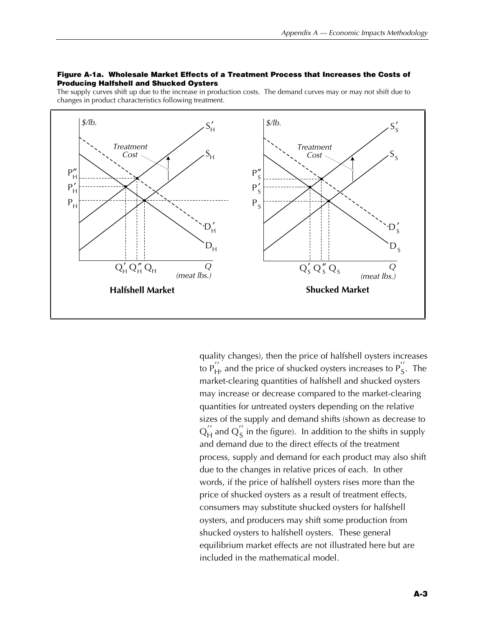#### **Figure A-1a. Wholesale Market Effects of a Treatment Process that Increases the Costs of Producing Halfshell and Shucked Oysters**

The supply curves shift up due to the increase in production costs. The demand curves may or may not shift due to changes in product characteristics following treatment.



quality changes), then the price of halfshell oysters increases to  $P_{H'}^{''}$  and the price of shucked oysters increases to  $P_S^{''}$ . The market-clearing quantities of halfshell and shucked oysters may increase or decrease compared to the market-clearing quantities for untreated oysters depending on the relative sizes of the supply and demand shifts (shown as decrease to  $Q_{\mathsf{H}}^{''}$  and  $Q_{\mathsf{S}}^{''}$  in the figure). In addition to the shifts in supply and demand due to the direct effects of the treatment process, supply and demand for each product may also shift due to the changes in relative prices of each. In other words, if the price of halfshell oysters rises more than the price of shucked oysters as a result of treatment effects, consumers may substitute shucked oysters for halfshell oysters, and producers may shift some production from shucked oysters to halfshell oysters. These general equilibrium market effects are not illustrated here but are included in the mathematical model.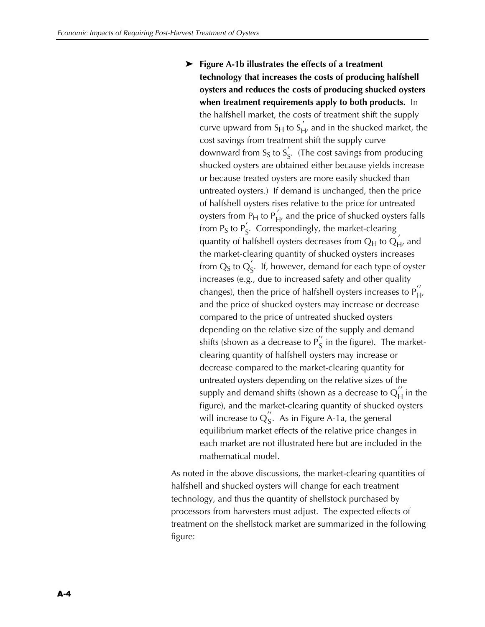**Example 2-18 Figure A-1b illustrates the effects of a treatment technology that increases the costs of producing halfshell oysters and reduces the costs of producing shucked oysters when treatment requirements apply to both products.** In the halfshell market, the costs of treatment shift the supply curve upward from S<sub>H</sub> to S<sub>H</sub>, and in the shucked market, the cost savings from treatment shift the supply curve downward from S<sub>S</sub> to S<sub>S</sub>. (The cost savings from producing shucked oysters are obtained either because yields increase or because treated oysters are more easily shucked than untreated oysters.) If demand is unchanged, then the price of halfshell oysters rises relative to the price for untreated oysters from  $P_H$  to  $P'_H$ , and the price of shucked oysters falls from P<sub>S</sub> to P<sup>'</sup><sub>S</sub>. Correspondingly, the market-clearing quantity of halfshell oysters decreases from  $Q_H$  to  $Q_{H'}^{'}$  and the market-clearing quantity of shucked oysters increases from  $\mathrm{Q}_\mathrm{S}$  to  $\mathrm{Q}_\mathrm{S}^{'}$ . If, however, demand for each type of oyster increases (e.g., due to increased safety and other quality changes), then the price of halfshell oysters increases to  $P''_{H'}$ and the price of shucked oysters may increase or decrease compared to the price of untreated shucked oysters depending on the relative size of the supply and demand shifts (shown as a decrease to  $P_S^{''}$  in the figure). The marketclearing quantity of halfshell oysters may increase or decrease compared to the market-clearing quantity for untreated oysters depending on the relative sizes of the supply and demand shifts (shown as a decrease to  $\operatorname{Q}\nolimits'^{'}_H$  in the figure), and the market-clearing quantity of shucked oysters will increase to  $Q_{S}^{''}$ . As in Figure A-1a, the general equilibrium market effects of the relative price changes in each market are not illustrated here but are included in the mathematical model.

As noted in the above discussions, the market-clearing quantities of halfshell and shucked oysters will change for each treatment technology, and thus the quantity of shellstock purchased by processors from harvesters must adjust. The expected effects of treatment on the shellstock market are summarized in the following figure: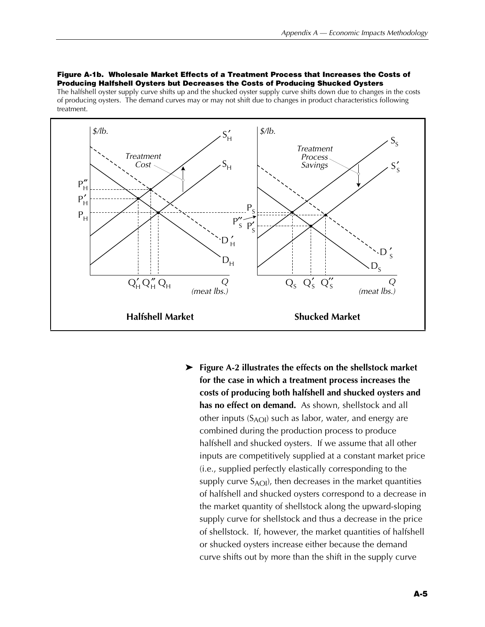#### **Figure A-1b. Wholesale Market Effects of a Treatment Process that Increases the Costs of Producing Halfshell Oysters but Decreases the Costs of Producing Shucked Oysters**

The halfshell oyster supply curve shifts up and the shucked oyster supply curve shifts down due to changes in the costs of producing oysters. The demand curves may or may not shift due to changes in product characteristics following treatment.



Z **Figure A-2 illustrates the effects on the shellstock market for the case in which a treatment process increases the costs of producing both halfshell and shucked oysters and has no effect on demand.** As shown, shellstock and all other inputs  $(S_{AOI})$  such as labor, water, and energy are combined during the production process to produce halfshell and shucked oysters. If we assume that all other inputs are competitively supplied at a constant market price (i.e., supplied perfectly elastically corresponding to the supply curve  $S_{\text{AOI}}$ , then decreases in the market quantities of halfshell and shucked oysters correspond to a decrease in the market quantity of shellstock along the upward-sloping supply curve for shellstock and thus a decrease in the price of shellstock. If, however, the market quantities of halfshell or shucked oysters increase either because the demand curve shifts out by more than the shift in the supply curve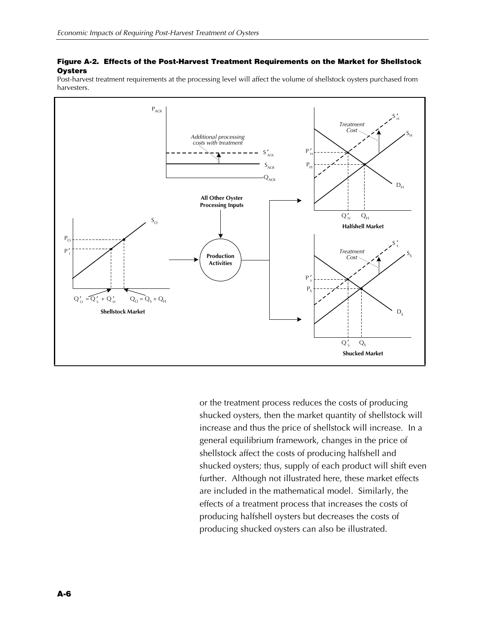#### **Figure A-2. Effects of the Post-Harvest Treatment Requirements on the Market for Shellstock Oysters**

Post-harvest treatment requirements at the processing level will affect the volume of shellstock oysters purchased from harvesters.



or the treatment process reduces the costs of producing shucked oysters, then the market quantity of shellstock will increase and thus the price of shellstock will increase. In a general equilibrium framework, changes in the price of shellstock affect the costs of producing halfshell and shucked oysters; thus, supply of each product will shift even further. Although not illustrated here, these market effects are included in the mathematical model. Similarly, the effects of a treatment process that increases the costs of producing halfshell oysters but decreases the costs of producing shucked oysters can also be illustrated.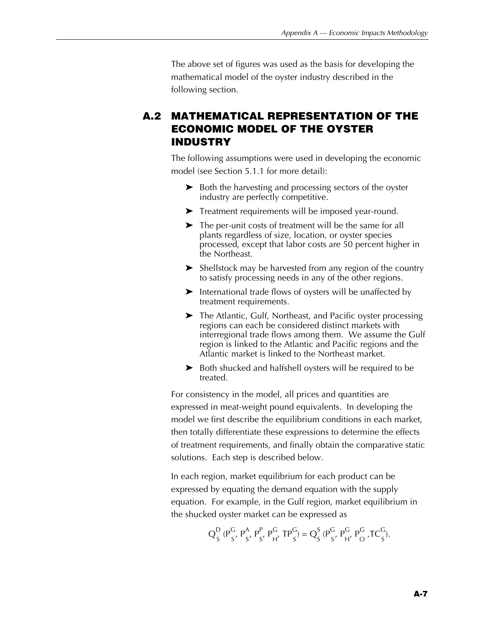The above set of figures was used as the basis for developing the mathematical model of the oyster industry described in the following section.

## **A.2 MATHEMATICAL REPRESENTATION OF THE ECONOMIC MODEL OF THE OYSTER INDUSTRY**

The following assumptions were used in developing the economic model (see Section 5.1.1 for more detail):

- $\triangleright$  Both the harvesting and processing sectors of the oyster industry are perfectly competitive.
- $\blacktriangleright$  Treatment requirements will be imposed year-round.
- $\blacktriangleright$  The per-unit costs of treatment will be the same for all plants regardless of size, location, or oyster species processed, except that labor costs are 50 percent higher in the Northeast.
- $\blacktriangleright$  Shellstock may be harvested from any region of the country to satisfy processing needs in any of the other regions.
- $\blacktriangleright$  International trade flows of oysters will be unaffected by treatment requirements.
- $\blacktriangleright$  The Atlantic, Gulf, Northeast, and Pacific oyster processing regions can each be considered distinct markets with interregional trade flows among them. We assume the Gulf region is linked to the Atlantic and Pacific regions and the Atlantic market is linked to the Northeast market.
- $\triangleright$  Both shucked and halfshell oysters will be required to be treated.

For consistency in the model, all prices and quantities are expressed in meat-weight pound equivalents. In developing the model we first describe the equilibrium conditions in each market, then totally differentiate these expressions to determine the effects of treatment requirements, and finally obtain the comparative static solutions. Each step is described below.

In each region, market equilibrium for each product can be expressed by equating the demand equation with the supply equation. For example, in the Gulf region, market equilibrium in the shucked oyster market can be expressed as

$$
Q_S^D (P_S^G, P_{S'}^A, P_{S'}^P, P_{H'}^G, TP_S^G) = Q_S^S (P_{S'}^G, P_{H'}^G, P_{O}^G, TC_S^G).
$$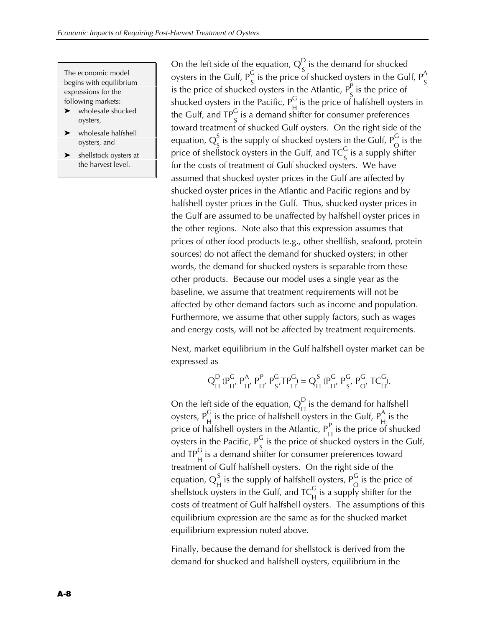The economic model begins with equilibrium expressions for the following markets:

- wholesale shucked oysters,
- wholesale halfshell oysters, and
- $\blacktriangleright$  shellstock oysters at the harvest level.

On the left side of the equation,  $Q_{c}^{D}$  is the demand for shucked by the contract of the Gulf,  $P_S^G$  is the price of shucked oysters in the Gulf,  $P_S^A$  is the price of shucked oysters in the Atlantic,  $P_S^P$  is the price of shucked oysters in the Pacific,  $P_H^G$  is the price of halfshell oysters in the Gulf, and TP $_S^G$  is a demand shifter for consumer preferences toward treatment of shucked Gulf oysters. On the right side of the equation,  $\overline{Q}_{c}^{S}$  is the supply of shucked oysters in the Gulf,  $\overline{P}_{C}^{G}$  is the price of shellstock oysters in the Gulf, and  $TC_S^G$  is a supply shifter for the costs of treatment of Gulf shucked oysters. We have assumed that shucked oyster prices in the Gulf are affected by shucked oyster prices in the Atlantic and Pacific regions and by halfshell oyster prices in the Gulf. Thus, shucked oyster prices in the Gulf are assumed to be unaffected by halfshell oyster prices in the other regions. Note also that this expression assumes that prices of other food products (e.g., other shellfish, seafood, protein sources) do not affect the demand for shucked oysters; in other words, the demand for shucked oysters is separable from these other products. Because our model uses a single year as the baseline, we assume that treatment requirements will not be affected by other demand factors such as income and population. Furthermore, we assume that other supply factors, such as wages and energy costs, will not be affected by treatment requirements.

Next, market equilibrium in the Gulf halfshell oyster market can be expressed as

$$
Q_{H}^{D} (P_{H'}^{G} P_{H'}^{A} P_{H'}^{P} P_{S'}^{G} T P_{H}^{G}) = Q_{H}^{S} (P_{H'}^{G} P_{S'}^{G} P_{O'}^{G} T C_{H'}^{G}).
$$

On the left side of the equation,  $Q_{H}^{D}$  is the demand for halfshell oysters,  $P_{H}^{G}$  is the price of halfshell oysters in the Gulf,  $P_{H}^{A}$  is the price of halfshell oysters in the Atlantic,  $P_H^P$  is the price of shucked oysters in the Pacific,  $P_S^G$  is the price of shucked oysters in the Gulf, and TP $_{\rm H}^{\rm G}$  is a demand shifter for consumer preferences toward treatment of Gulf halfshell oysters. On the right side of the equation,  $Q_H^S$  is the supply of halfshell oysters,  $P_O^G$  is the price of shellstock oysters in the Gulf, and  $TC_{H}^{G}$  is a supply shifter for the costs of treatment of Gulf halfshell oysters. The assumptions of this equilibrium expression are the same as for the shucked market equilibrium expression noted above.

Finally, because the demand for shellstock is derived from the demand for shucked and halfshell oysters, equilibrium in the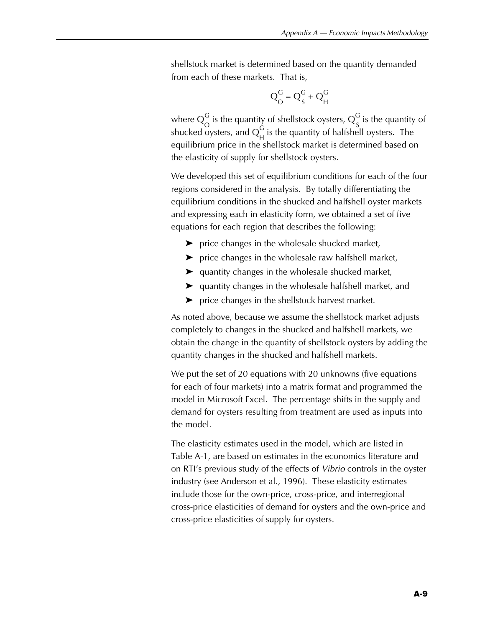shellstock market is determined based on the quantity demanded from each of these markets. That is,

$$
Q_O^G = Q_S^G + Q_H^G
$$

where  $Q_\mathrm{O}^\mathrm{G}$  is the quantity of shellstock oysters,  $Q_\mathrm{S}^\mathrm{G}$  is the quantity of shucked oysters, and  $Q_H^G$  is the quantity of halfshell oysters. The equilibrium price in the shellstock market is determined based on the elasticity of supply for shellstock oysters.

We developed this set of equilibrium conditions for each of the four regions considered in the analysis. By totally differentiating the equilibrium conditions in the shucked and halfshell oyster markets and expressing each in elasticity form, we obtained a set of five equations for each region that describes the following:

- $\blacktriangleright$  price changes in the wholesale shucked market,
- $\blacktriangleright$  price changes in the wholesale raw halfshell market,
- $\blacktriangleright$  quantity changes in the wholesale shucked market,
- $\blacktriangleright$  quantity changes in the wholesale halfshell market, and
- $\blacktriangleright$  price changes in the shellstock harvest market.

As noted above, because we assume the shellstock market adjusts completely to changes in the shucked and halfshell markets, we obtain the change in the quantity of shellstock oysters by adding the quantity changes in the shucked and halfshell markets.

We put the set of 20 equations with 20 unknowns (five equations for each of four markets) into a matrix format and programmed the model in Microsoft Excel. The percentage shifts in the supply and demand for oysters resulting from treatment are used as inputs into the model.

The elasticity estimates used in the model, which are listed in Table A-1, are based on estimates in the economics literature and on RTI's previous study of the effects of *Vibrio* controls in the oyster industry (see Anderson et al., 1996). These elasticity estimates include those for the own-price, cross-price, and interregional cross-price elasticities of demand for oysters and the own-price and cross-price elasticities of supply for oysters.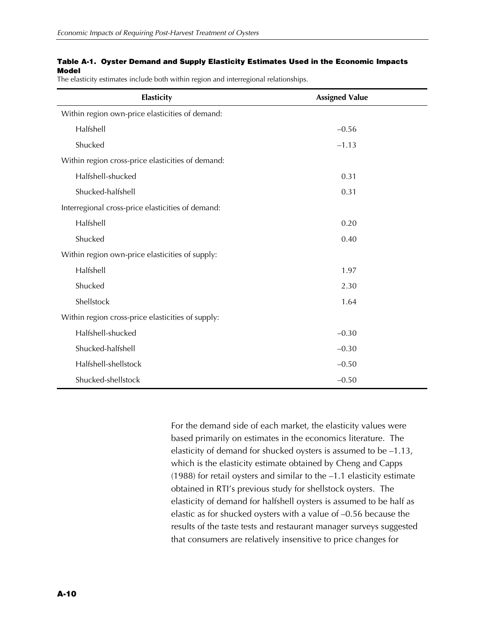### **Table A-1. Oyster Demand and Supply Elasticity Estimates Used in the Economic Impacts Model**

The elasticity estimates include both within region and interregional relationships.

| Elasticity                                        | <b>Assigned Value</b> |
|---------------------------------------------------|-----------------------|
| Within region own-price elasticities of demand:   |                       |
| Halfshell                                         | $-0.56$               |
| Shucked                                           | $-1.13$               |
| Within region cross-price elasticities of demand: |                       |
| Halfshell-shucked                                 | 0.31                  |
| Shucked-halfshell                                 | 0.31                  |
| Interregional cross-price elasticities of demand: |                       |
| Halfshell                                         | 0.20                  |
| Shucked                                           | 0.40                  |
| Within region own-price elasticities of supply:   |                       |
| Halfshell                                         | 1.97                  |
| Shucked                                           | 2.30                  |
| Shellstock                                        | 1.64                  |
| Within region cross-price elasticities of supply: |                       |
| Halfshell-shucked                                 | $-0.30$               |
| Shucked-halfshell                                 | $-0.30$               |
| Halfshell-shellstock                              | $-0.50$               |
| Shucked-shellstock                                | $-0.50$               |

For the demand side of each market, the elasticity values were based primarily on estimates in the economics literature. The elasticity of demand for shucked oysters is assumed to be –1.13, which is the elasticity estimate obtained by Cheng and Capps (1988) for retail oysters and similar to the –1.1 elasticity estimate obtained in RTI's previous study for shellstock oysters. The elasticity of demand for halfshell oysters is assumed to be half as elastic as for shucked oysters with a value of –0.56 because the results of the taste tests and restaurant manager surveys suggested that consumers are relatively insensitive to price changes for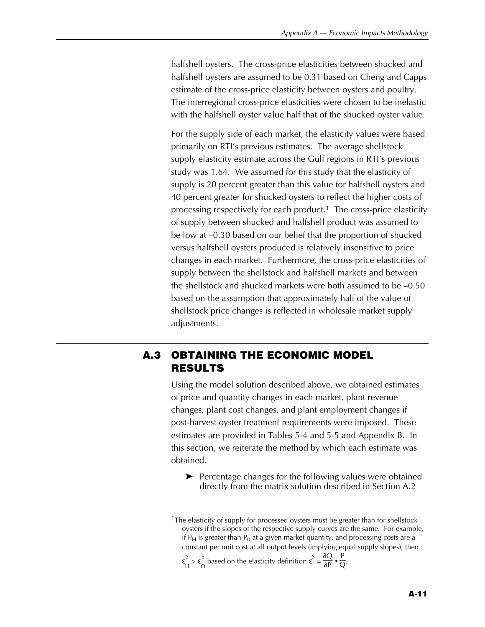halfshell oysters. The cross-price elasticities between shucked and halfshell oysters are assumed to be 0.31 based on Cheng and Capps estimate of the cross-price elasticity between oysters and poultry. The interregional cross-price elasticities were chosen to be inelastic with the halfshell oyster value half that of the shucked oyster value.

For the supply side of each market, the elasticity values were based primarily on RTI's previous estimates. The average shellstock supply elasticity estimate across the Gulf regions in RTI's previous study was 1.64. We assumed for this study that the elasticity of supply is 20 percent greater than this value for halfshell oysters and 40 percent greater for shucked oysters to reflect the higher costs of processing respectively for each product.<sup>1</sup> The cross-price elasticity of supply between shucked and halfshell product was assumed to be low at –0.30 based on our belief that the proportion of shucked versus halfshell oysters produced is relatively insensitive to price changes in each market. Furthermore, the cross-price elasticities of supply between the shellstock and halfshell markets and between the shellstock and shucked markets were both assumed to be –0.50 based on the assumption that approximately half of the value of shellstock price changes is reflected in wholesale market supply adjustments.

# **A.3 OBTAINING THE ECONOMIC MODEL RESULTS**

Using the model solution described above, we obtained estimates of price and quantity changes in each market, plant revenue changes, plant cost changes, and plant employment changes if post-harvest oyster treatment requirements were imposed. These estimates are provided in Tables 5-4 and 5-5 and Appendix B. In this section, we reiterate the method by which each estimate was obtained.

 $\blacktriangleright$  Percentage changes for the following values were obtained directly from the matrix solution described in Section A.2

ε S S  $\underset{H}{\sim}$  > ε<sub>C</sub> S based on the elasticity definition  $\epsilon^S = \frac{\partial Q}{\partial P} \bullet \frac{P}{Q}$ .

<sup>&</sup>lt;sup>1</sup>The elasticity of supply for processed oysters must be greater than for shellstock oysters if the slopes of the respective supply curves are the same. For example, if  $P_H$  is greater than  $P_0$  at a given market quantity, and processing costs are a constant per unit cost at all output levels (implying equal supply slopes), then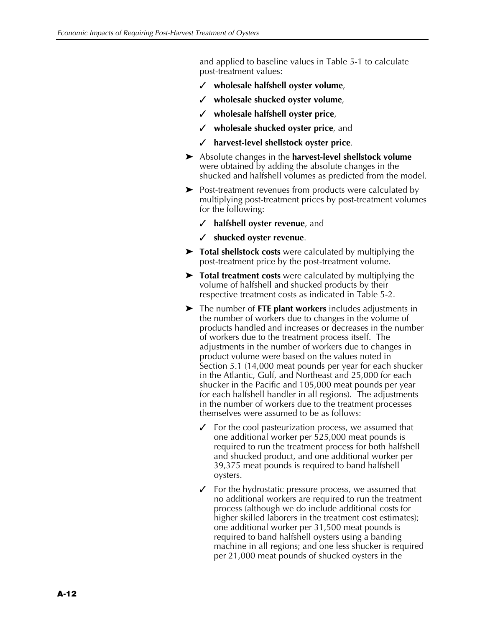and applied to baseline values in Table 5-1 to calculate post-treatment values:

- X **wholesale halfshell oyster volume**,
- X **wholesale shucked oyster volume**,
- X **wholesale halfshell oyster price**,
- X **wholesale shucked oyster price**, and
- X **harvest-level shellstock oyster price**.
- Absolute changes in the **harvest-level shellstock volume** were obtained by adding the absolute changes in the shucked and halfshell volumes as predicted from the model.
- $\triangleright$  Post-treatment revenues from products were calculated by multiplying post-treatment prices by post-treatment volumes for the following:
	- X **halfshell oyster revenue**, and
	- X **shucked oyster revenue**.
- **EX Total shellstock costs** were calculated by multiplying the post-treatment price by the post-treatment volume.
- $\triangleright$  **Total treatment costs** were calculated by multiplying the volume of halfshell and shucked products by their respective treatment costs as indicated in Table 5-2.
- $\blacktriangleright$  The number of **FTE plant workers** includes adjustments in the number of workers due to changes in the volume of products handled and increases or decreases in the number of workers due to the treatment process itself. The adjustments in the number of workers due to changes in product volume were based on the values noted in Section 5.1 (14,000 meat pounds per year for each shucker in the Atlantic, Gulf, and Northeast and 25,000 for each shucker in the Pacific and 105,000 meat pounds per year for each halfshell handler in all regions). The adjustments in the number of workers due to the treatment processes themselves were assumed to be as follows:
	- For the cool pasteurization process, we assumed that one additional worker per 525,000 meat pounds is required to run the treatment process for both halfshell and shucked product, and one additional worker per 39,375 meat pounds is required to band halfshell oysters.
	- $\checkmark$  For the hydrostatic pressure process, we assumed that no additional workers are required to run the treatment process (although we do include additional costs for higher skilled laborers in the treatment cost estimates); one additional worker per 31,500 meat pounds is required to band halfshell oysters using a banding machine in all regions; and one less shucker is required per 21,000 meat pounds of shucked oysters in the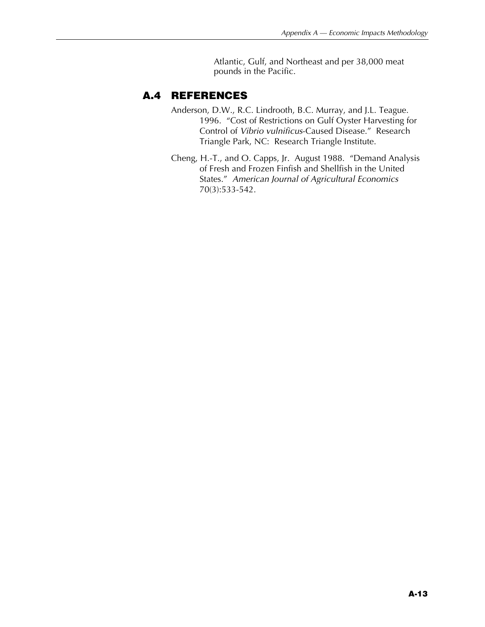Atlantic, Gulf, and Northeast and per 38,000 meat pounds in the Pacific.

## **A.4 REFERENCES**

- Anderson, D.W., R.C. Lindrooth, B.C. Murray, and J.L. Teague. 1996. "Cost of Restrictions on Gulf Oyster Harvesting for Control of *Vibrio vulnificus*-Caused Disease." Research Triangle Park, NC: Research Triangle Institute.
- Cheng, H.-T., and O. Capps, Jr. August 1988. "Demand Analysis of Fresh and Frozen Finfish and Shellfish in the United States." *American Journal of Agricultural Economics* 70(3):533-542.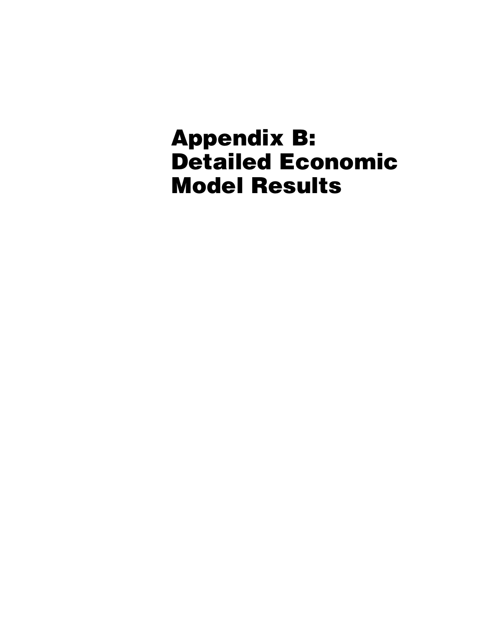# **Appendix B: Detailed Economic Model Results**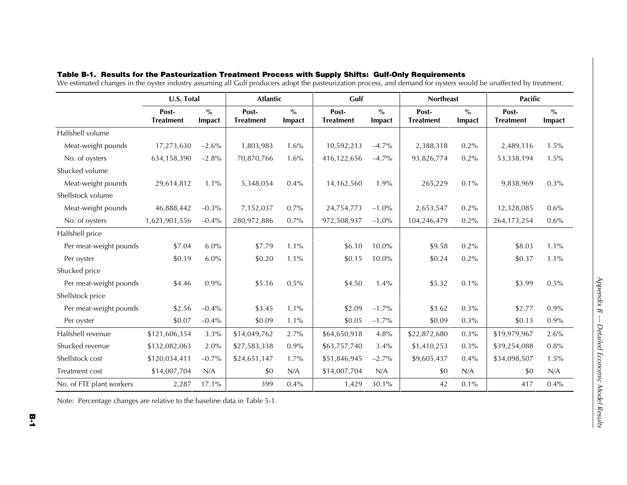|                          | <b>U.S. Total</b>         |                         | <b>Atlantic</b>           |                         | Gulf                      |                         | <b>Northeast</b>          |                         | <b>Pacific</b>            |                         |
|--------------------------|---------------------------|-------------------------|---------------------------|-------------------------|---------------------------|-------------------------|---------------------------|-------------------------|---------------------------|-------------------------|
|                          | Post-<br><b>Treatment</b> | $\frac{0}{0}$<br>Impact | Post-<br><b>Treatment</b> | $\frac{0}{0}$<br>Impact | Post-<br><b>Treatment</b> | $\frac{0}{0}$<br>Impact | Post-<br><b>Treatment</b> | $\frac{0}{0}$<br>Impact | Post-<br><b>Treatment</b> | $\frac{0}{0}$<br>Impact |
| Halfshell volume         |                           |                         |                           |                         |                           |                         |                           |                         |                           |                         |
| Meat-weight pounds       | 17,273,630                | $-2.6\%$                | 1,803,983                 | 1.6%                    | 10,592,213                | $-4.7\%$                | 2,388,318                 | $0.2\%$                 | 2,489,116                 | 1.5%                    |
| No. of oysters           | 634,158,390               | $-2.8%$                 | 70,870,766                | 1.6%                    | 416,122,656               | $-4.7\%$                | 93,826,774                | 0.2%                    | 53,338,194                | 1.5%                    |
| Shucked volume           |                           |                         |                           |                         |                           |                         |                           |                         |                           |                         |
| Meat-weight pounds       | 29,614,812                | $1.1\%$                 | 5,348,054                 | 0.4%                    | 14,162,560                | 1.9%                    | 265,229                   | $0.1\%$                 | 9,838,969                 | 0.3%                    |
| Shellstock volume        |                           |                         |                           |                         |                           |                         |                           |                         |                           |                         |
| Meat-weight pounds       | 46,888,442                | $-0.3\%$                | 7,152,037                 | 0.7%                    | 24,754,773                | $-1.0\%$                | 2,653,547                 | $0.2\%$                 | 12,328,085                | $0.6\%$                 |
| No. of oysters           | 1,621,901,556             | $-0.4%$                 | 280,972,886               | $0.7\%$                 | 972,508,937               | $-1.0\%$                | 104,246,479               | $0.2\%$                 | 264, 173, 254             | 0.6%                    |
| Halfshell price          |                           |                         |                           |                         |                           |                         |                           |                         |                           |                         |
| Per meat-weight pounds   | \$7.04                    | 6.0%                    | \$7.79                    | 1.1%                    | \$6.10                    | 10.0%                   | \$9.58                    | $0.2\%$                 | \$8.03                    | $1.1\%$                 |
| Per oyster               | \$0.19                    | 6.0%                    | \$0.20                    | $1.1\%$                 | \$0.15                    | 10.0%                   | \$0.24                    | 0.2%                    | \$0.37                    | 1.1%                    |
| Shucked price            |                           |                         |                           |                         |                           |                         |                           |                         |                           |                         |
| Per meat-weight pounds   | \$4.46                    | 0.9%                    | \$5.16                    | 0.5%                    | \$4.50                    | 1.4%                    | \$5.32                    | $0.1\%$                 | \$3.99                    | 0.5%                    |
| Shellstock price         |                           |                         |                           |                         |                           |                         |                           |                         |                           |                         |
| Per meat-weight pounds   | \$2.56                    | $-0.4%$                 | \$3.45                    | 1.1%                    | \$2.09                    | $-1.7\%$                | \$3.62                    | $0.3\%$                 | \$2.77                    | $0.9\%$                 |
| Per oyster               | \$0.07                    | $-0.4%$                 | \$0.09                    | $1.1\%$                 | \$0.05                    | $-1.7%$                 | \$0.09                    | 0.3%                    | \$0.13                    | 0.9%                    |
| Halfshell revenue        | \$121,606,354             | 3.3%                    | \$14,049,762              | $2.7\%$                 | \$64,650,918              | 4.8%                    | \$22,872,680              | $0.3\%$                 | \$19,979,967              | 2.6%                    |
| Shucked revenue          | \$132,082,063             | 2.0%                    | \$27,583,338              | 0.9%                    | \$63,757,740              | 3.4%                    | \$1,410,253               | $0.3\%$                 | \$39,254,088              | 0.8%                    |
| Shellstock cost          | \$120,034,411             | $-0.7%$                 | \$24,651,147              | 1.7%                    | \$51,846,945              | $-2.7%$                 | \$9,605,437               | 0.4%                    | \$34,098,507              | 1.5%                    |
| Treatment cost           | \$14,007,704              | N/A                     | \$0                       | N/A                     | \$14,007,704              | N/A                     | \$0                       | N/A                     | \$0                       | N/A                     |
| No. of FTE plant workers | 2,287                     | 17.1%                   | 399                       | 0.4%                    | 1,429                     | 30.1%                   | 42                        | 0.1%                    | 417                       | 0.4%                    |

### **Table B-1. Results for the Pasteurization Treatment Process with Supply Shifts: Gulf-Only Requirements**

We estimated changes in the oyster industry assuming all Gulf producers adopt the pasteurization process, and demand for oysters would be unaffected by treatment.

Note: Percentage changes are relative to the baseline data in Table 5-1.

*Appendix B — Detailed Economic Model Results*

Appendix B - Detailed Economic Model Results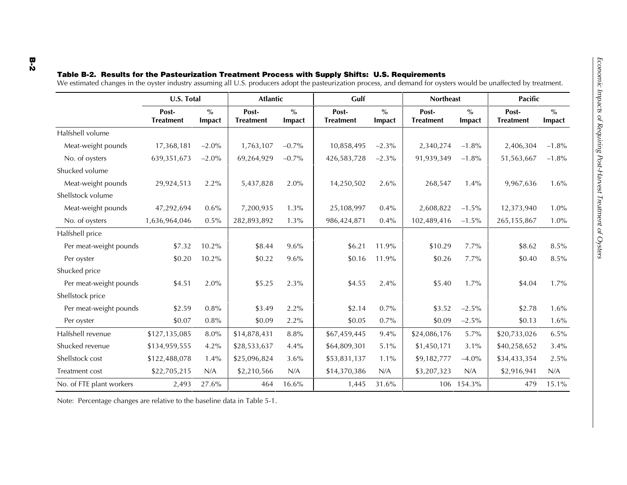|                          | U.S. Total                |                         | <b>Atlantic</b>           |                                              | Gulf                      |                         | <b>Northeast</b>          |                         | <b>Pacific</b>            |                                              |
|--------------------------|---------------------------|-------------------------|---------------------------|----------------------------------------------|---------------------------|-------------------------|---------------------------|-------------------------|---------------------------|----------------------------------------------|
|                          | Post-<br><b>Treatment</b> | $\frac{0}{0}$<br>Impact | Post-<br><b>Treatment</b> | $\mathbf{0}_{\mathbf{0}}^{\prime}$<br>Impact | Post-<br><b>Treatment</b> | $\frac{0}{0}$<br>Impact | Post-<br><b>Treatment</b> | $\frac{0}{0}$<br>Impact | Post-<br><b>Treatment</b> | $\mathbf{0}_{\mathbf{0}}^{\prime}$<br>Impact |
| Halfshell volume         |                           |                         |                           |                                              |                           |                         |                           |                         |                           |                                              |
| Meat-weight pounds       | 17,368,181                | $-2.0\%$                | 1,763,107                 | $-0.7\%$                                     | 10,858,495                | $-2.3\%$                | 2,340,274                 | $-1.8\%$                | 2,406,304                 | $-1.8%$                                      |
| No. of oysters           | 639,351,673               | $-2.0\%$                | 69,264,929                | $-0.7%$                                      | 426,583,728               | $-2.3\%$                | 91,939,349                | $-1.8\%$                | 51,563,667                | $-1.8%$                                      |
| Shucked volume           |                           |                         |                           |                                              |                           |                         |                           |                         |                           |                                              |
| Meat-weight pounds       | 29,924,513                | $2.2\%$                 | 5,437,828                 | 2.0%                                         | 14,250,502                | 2.6%                    | 268,547                   | $1.4\%$                 | 9,967,636                 | $1.6\%$                                      |
| Shellstock volume        |                           |                         |                           |                                              |                           |                         |                           |                         |                           |                                              |
| Meat-weight pounds       | 47,292,694                | $0.6\%$                 | 7,200,935                 | 1.3%                                         | 25,108,997                | $0.4\%$                 | 2,608,822                 | $-1.5\%$                | 12,373,940                | $1.0\%$                                      |
| No. of oysters           | 1,636,964,046             | 0.5%                    | 282,893,892               | 1.3%                                         | 986,424,871               | 0.4%                    | 102,489,416               | $-1.5\%$                | 265, 155, 867             | $1.0\%$                                      |
| Halfshell price          |                           |                         |                           |                                              |                           |                         |                           |                         |                           |                                              |
| Per meat-weight pounds   | \$7.32                    | $10.2\%$                | \$8.44                    | $9.6\%$                                      | \$6.21                    | 11.9%                   | \$10.29                   | $7.7\%$                 | \$8.62                    | 8.5%                                         |
| Per ovster               | \$0.20                    | 10.2%                   | \$0.22                    | 9.6%                                         | \$0.16                    | 11.9%                   | \$0.26                    | $7.7\%$                 | \$0.40                    | 8.5%                                         |
| Shucked price            |                           |                         |                           |                                              |                           |                         |                           |                         |                           |                                              |
| Per meat-weight pounds   | \$4.51                    | 2.0%                    | \$5.25                    | 2.3%                                         | \$4.55                    | 2.4%                    | \$5.40                    | 1.7%                    | \$4.04                    | $1.7\%$                                      |
| Shellstock price         |                           |                         |                           |                                              |                           |                         |                           |                         |                           |                                              |
| Per meat-weight pounds   | \$2.59                    | 0.8%                    | \$3.49                    | 2.2%                                         | \$2.14                    | $0.7\%$                 | \$3.52                    | $-2.5\%$                | \$2.78                    | $1.6\%$                                      |
| Per oyster               | \$0.07                    | 0.8%                    | \$0.09                    | 2.2%                                         | \$0.05                    | 0.7%                    | \$0.09                    | $-2.5\%$                | \$0.13                    | $1.6\%$                                      |
| Halfshell revenue        | \$127,135,085             | $8.0\%$                 | \$14,878,431              | 8.8%                                         | \$67,459,445              | 9.4%                    | \$24,086,176              | 5.7%                    | \$20,733,026              | $6.5\%$                                      |
| Shucked revenue          | \$134,959,555             | $4.2\%$                 | \$28,533,637              | 4.4%                                         | \$64,809,301              | 5.1%                    | \$1,450,171               | $3.1\%$                 | \$40,258,652              | 3.4%                                         |
| Shellstock cost          | \$122,488,078             | 1.4%                    | \$25,096,824              | 3.6%                                         | \$53,831,137              | $1.1\%$                 | \$9,182,777               | $-4.0\%$                | \$34,433,354              | 2.5%                                         |
| Treatment cost           | \$22,705,215              | N/A                     | \$2,210,566               | N/A                                          | \$14,370,386              | N/A                     | \$3,207,323               | N/A                     | \$2,916,941               | N/A                                          |
| No. of FTE plant workers | 2,493                     | 27.6%                   | 464                       | 16.6%                                        | 1,445                     | 31.6%                   |                           | 106 154.3%              | 479                       | 15.1%                                        |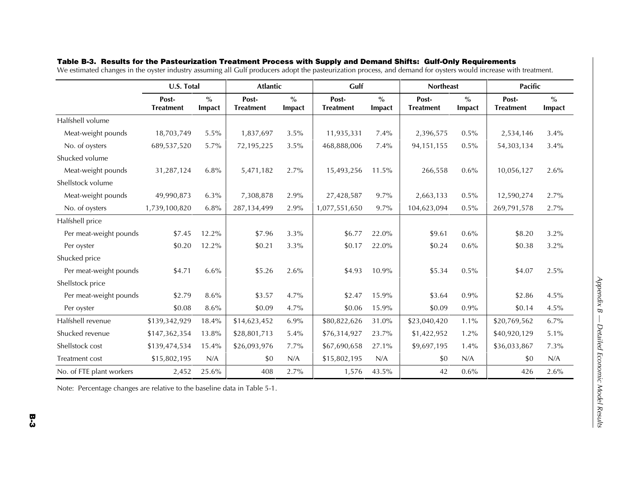|                          | <b>U.S. Total</b>         |                         | <b>Atlantic</b>           |                         | Gulf                      |                         | <b>Northeast</b>          |                         | <b>Pacific</b>            |                         |
|--------------------------|---------------------------|-------------------------|---------------------------|-------------------------|---------------------------|-------------------------|---------------------------|-------------------------|---------------------------|-------------------------|
|                          | Post-<br><b>Treatment</b> | $\frac{0}{0}$<br>Impact | Post-<br><b>Treatment</b> | $\frac{0}{0}$<br>Impact | Post-<br><b>Treatment</b> | $\frac{0}{0}$<br>Impact | Post-<br><b>Treatment</b> | $\frac{0}{0}$<br>Impact | Post-<br><b>Treatment</b> | $\frac{0}{0}$<br>Impact |
| Halfshell volume         |                           |                         |                           |                         |                           |                         |                           |                         |                           |                         |
| Meat-weight pounds       | 18,703,749                | $5.5\%$                 | 1,837,697                 | 3.5%                    | 11,935,331                | $7.4\%$                 | 2,396,575                 | $0.5\%$                 | 2,534,146                 | 3.4%                    |
| No. of oysters           | 689,537,520               | $5.7\%$                 | 72,195,225                | 3.5%                    | 468,888,006               | $7.4\%$                 | 94, 151, 155              | $0.5\%$                 | 54,303,134                | 3.4%                    |
| Shucked volume           |                           |                         |                           |                         |                           |                         |                           |                         |                           |                         |
| Meat-weight pounds       | 31,287,124                | 6.8%                    | 5,471,182                 | 2.7%                    | 15,493,256                | 11.5%                   | 266,558                   | 0.6%                    | 10,056,127                | 2.6%                    |
| Shellstock volume        |                           |                         |                           |                         |                           |                         |                           |                         |                           |                         |
| Meat-weight pounds       | 49,990,873                | $6.3\%$                 | 7,308,878                 | 2.9%                    | 27,428,587                | 9.7%                    | 2,663,133                 | $0.5\%$                 | 12,590,274                | 2.7%                    |
| No. of oysters           | 1,739,100,820             | 6.8%                    | 287,134,499               | 2.9%                    | 1,077,551,650             | 9.7%                    | 104,623,094               | 0.5%                    | 269,791,578               | 2.7%                    |
| Halfshell price          |                           |                         |                           |                         |                           |                         |                           |                         |                           |                         |
| Per meat-weight pounds   | \$7.45                    | 12.2%                   | \$7.96                    | 3.3%                    | \$6.77                    | 22.0%                   | \$9.61                    | $0.6\%$                 | \$8.20                    | 3.2%                    |
| Per oyster               | \$0.20                    | 12.2%                   | \$0.21                    | 3.3%                    | \$0.17                    | 22.0%                   | \$0.24                    | $0.6\%$                 | \$0.38                    | 3.2%                    |
| Shucked price            |                           |                         |                           |                         |                           |                         |                           |                         |                           |                         |
| Per meat-weight pounds   | \$4.71                    | 6.6%                    | \$5.26                    | 2.6%                    | \$4.93                    | 10.9%                   | \$5.34                    | 0.5%                    | \$4.07                    | 2.5%                    |
| Shellstock price         |                           |                         |                           |                         |                           |                         |                           |                         |                           |                         |
| Per meat-weight pounds   | \$2.79                    | 8.6%                    | \$3.57                    | 4.7%                    | \$2.47                    | 15.9%                   | \$3.64                    | $0.9\%$                 | \$2.86                    | 4.5%                    |
| Per oyster               | \$0.08                    | 8.6%                    | \$0.09                    | 4.7%                    | \$0.06                    | 15.9%                   | \$0.09                    | 0.9%                    | \$0.14                    | 4.5%                    |
| Halfshell revenue        | \$139,342,929             | 18.4%                   | \$14,623,452              | $6.9\%$                 | \$80,822,626              | 31.0%                   | \$23,040,420              | 1.1%                    | \$20,769,562              | 6.7%                    |
| Shucked revenue          | \$147,362,354             | 13.8%                   | \$28,801,713              | 5.4%                    | \$76,314,927              | 23.7%                   | \$1,422,952               | 1.2%                    | \$40,920,129              | 5.1%                    |
| Shellstock cost          | \$139,474,534             | 15.4%                   | \$26,093,976              | 7.7%                    | \$67,690,658              | 27.1%                   | \$9,697,195               | 1.4%                    | \$36,033,867              | 7.3%                    |
| Treatment cost           | \$15,802,195              | N/A                     | \$0                       | N/A                     | \$15,802,195              | N/A                     | \$0                       | N/A                     | \$0                       | N/A                     |
| No. of FTE plant workers | 2,452                     | 25.6%                   | 408                       | 2.7%                    | 1,576                     | 43.5%                   | 42                        | 0.6%                    | 426                       | 2.6%                    |

### **Table B-3. Results for the Pasteurization Treatment Process with Supply and Demand Shifts: Gulf-Only Requirements**

We estimated changes in the oyster industry assuming all Gulf producers adopt the pasteurization process, and demand for oysters would increase with treatment.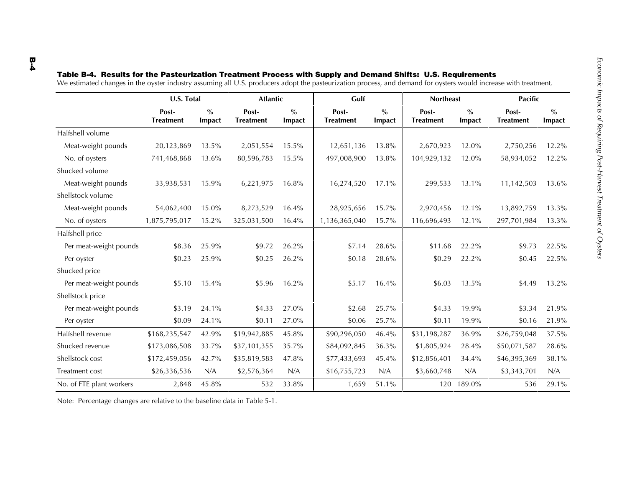|                          | U.S. Total                |                         | <b>Atlantic</b>           |                                              | Gulf                      |                         | <b>Northeast</b>          |                         | <b>Pacific</b>            |                         |
|--------------------------|---------------------------|-------------------------|---------------------------|----------------------------------------------|---------------------------|-------------------------|---------------------------|-------------------------|---------------------------|-------------------------|
|                          | Post-<br><b>Treatment</b> | $\frac{0}{0}$<br>Impact | Post-<br><b>Treatment</b> | $\mathbf{0}_{\mathbf{0}}^{\prime}$<br>Impact | Post-<br><b>Treatment</b> | $\frac{0}{0}$<br>Impact | Post-<br><b>Treatment</b> | $\frac{0}{0}$<br>Impact | Post-<br><b>Treatment</b> | $\frac{0}{0}$<br>Impact |
| Halfshell volume         |                           |                         |                           |                                              |                           |                         |                           |                         |                           |                         |
| Meat-weight pounds       | 20,123,869                | 13.5%                   | 2,051,554                 | 15.5%                                        | 12,651,136                | 13.8%                   | 2,670,923                 | 12.0%                   | 2,750,256                 | 12.2%                   |
| No. of oysters           | 741,468,868               | 13.6%                   | 80,596,783                | 15.5%                                        | 497,008,900               | 13.8%                   | 104,929,132               | 12.0%                   | 58,934,052                | 12.2%                   |
| Shucked volume           |                           |                         |                           |                                              |                           |                         |                           |                         |                           |                         |
| Meat-weight pounds       | 33,938,531                | 15.9%                   | 6,221,975                 | 16.8%                                        | 16,274,520                | $17.1\%$                | 299,533                   | 13.1%                   | 11,142,503                | 13.6%                   |
| Shellstock volume        |                           |                         |                           |                                              |                           |                         |                           |                         |                           |                         |
| Meat-weight pounds       | 54,062,400                | $15.0\%$                | 8,273,529                 | 16.4%                                        | 28,925,656                | 15.7%                   | 2,970,456                 | 12.1%                   | 13,892,759                | 13.3%                   |
| No. of oysters           | 1,875,795,017             | 15.2%                   | 325,031,500               | 16.4%                                        | 1,136,365,040             | 15.7%                   | 116,696,493               | 12.1%                   | 297,701,984               | 13.3%                   |
| Halfshell price          |                           |                         |                           |                                              |                           |                         |                           |                         |                           |                         |
| Per meat-weight pounds   | \$8.36                    | 25.9%                   | \$9.72                    | 26.2%                                        | \$7.14                    | 28.6%                   | \$11.68                   | 22.2%                   | \$9.73                    | 22.5%                   |
| Per oyster               | \$0.23                    | 25.9%                   | \$0.25                    | 26.2%                                        | \$0.18                    | 28.6%                   | \$0.29                    | 22.2%                   | \$0.45                    | 22.5%                   |
| Shucked price            |                           |                         |                           |                                              |                           |                         |                           |                         |                           |                         |
| Per meat-weight pounds   | \$5.10                    | 15.4%                   | \$5.96                    | 16.2%                                        | \$5.17                    | 16.4%                   | \$6.03                    | 13.5%                   | \$4.49                    | 13.2%                   |
| Shellstock price         |                           |                         |                           |                                              |                           |                         |                           |                         |                           |                         |
| Per meat-weight pounds   | \$3.19                    | 24.1%                   | \$4.33                    | 27.0%                                        | \$2.68                    | 25.7%                   | \$4.33                    | 19.9%                   | \$3.34                    | 21.9%                   |
| Per oyster               | \$0.09                    | 24.1%                   | \$0.11                    | 27.0%                                        | \$0.06                    | 25.7%                   | \$0.11                    | 19.9%                   | \$0.16                    | 21.9%                   |
| Halfshell revenue        | \$168,235,547             | 42.9%                   | \$19,942,885              | 45.8%                                        | \$90,296,050              | 46.4%                   | \$31,198,287              | 36.9%                   | \$26,759,048              | 37.5%                   |
| Shucked revenue          | \$173,086,508             | 33.7%                   | \$37,101,355              | 35.7%                                        | \$84,092,845              | 36.3%                   | \$1,805,924               | 28.4%                   | \$50,071,587              | 28.6%                   |
| Shellstock cost          | \$172,459,056             | 42.7%                   | \$35,819,583              | 47.8%                                        | \$77,433,693              | 45.4%                   | \$12,856,401              | 34.4%                   | \$46,395,369              | 38.1%                   |
| Treatment cost           | \$26,336,536              | N/A                     | \$2,576,364               | N/A                                          | \$16,755,723              | N/A                     | \$3,660,748               | N/A                     | \$3,343,701               | N/A                     |
| No. of FTE plant workers | 2,848                     | 45.8%                   | 532                       | 33.8%                                        | 1,659                     | 51.1%                   |                           | 120 189.0%              | 536                       | 29.1%                   |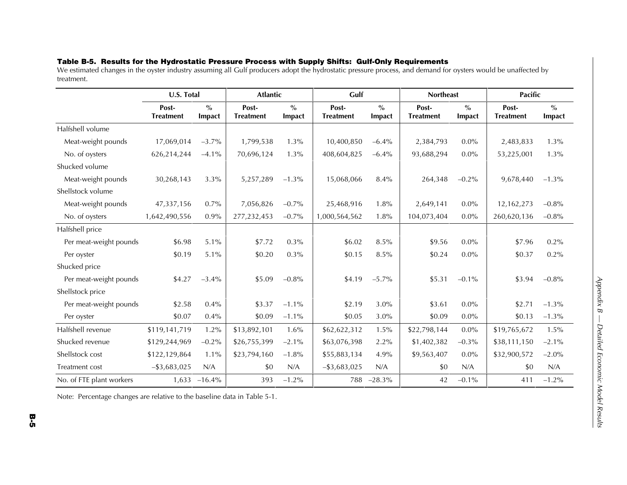### **Table B-5. Results for the Hydrostatic Pressure Process with Supply Shifts: Gulf-Only Requirements**

We estimated changes in the oyster industry assuming all Gulf producers adopt the hydrostatic pressure process, and demand for oysters would be unaffected by treatment.

|                          | U.S. Total                |                         | <b>Atlantic</b>           |                         | Gulf                      |                         | <b>Northeast</b>          |                         | <b>Pacific</b>            |                         |
|--------------------------|---------------------------|-------------------------|---------------------------|-------------------------|---------------------------|-------------------------|---------------------------|-------------------------|---------------------------|-------------------------|
|                          | Post-<br><b>Treatment</b> | $\frac{0}{0}$<br>Impact | Post-<br><b>Treatment</b> | $\frac{0}{0}$<br>Impact | Post-<br><b>Treatment</b> | $\frac{0}{0}$<br>Impact | Post-<br><b>Treatment</b> | $\frac{0}{0}$<br>Impact | Post-<br><b>Treatment</b> | $\frac{0}{0}$<br>Impact |
| Halfshell volume         |                           |                         |                           |                         |                           |                         |                           |                         |                           |                         |
| Meat-weight pounds       | 17,069,014                | $-3.7\%$                | 1,799,538                 | $1.3\%$                 | 10,400,850                | $-6.4%$                 | 2,384,793                 | $0.0\%$                 | 2,483,833                 | 1.3%                    |
| No. of oysters           | 626,214,244               | $-4.1\%$                | 70,696,124                | 1.3%                    | 408,604,825               | $-6.4%$                 | 93,688,294                | 0.0%                    | 53,225,001                | 1.3%                    |
| Shucked volume           |                           |                         |                           |                         |                           |                         |                           |                         |                           |                         |
| Meat-weight pounds       | 30,268,143                | 3.3%                    | 5,257,289                 | $-1.3\%$                | 15,068,066                | 8.4%                    | 264,348                   | $-0.2\%$                | 9,678,440                 | $-1.3\%$                |
| Shellstock volume        |                           |                         |                           |                         |                           |                         |                           |                         |                           |                         |
| Meat-weight pounds       | 47,337,156                | $0.7\%$                 | 7,056,826                 | $-0.7%$                 | 25,468,916                | 1.8%                    | 2,649,141                 | $0.0\%$                 | 12,162,273                | $-0.8%$                 |
| No. of oysters           | 1,642,490,556             | 0.9%                    | 277,232,453               | $-0.7%$                 | 1,000,564,562             | 1.8%                    | 104,073,404               | $0.0\%$                 | 260,620,136               | $-0.8%$                 |
| Halfshell price          |                           |                         |                           |                         |                           |                         |                           |                         |                           |                         |
| Per meat-weight pounds   | \$6.98                    | 5.1%                    | \$7.72                    | $0.3\%$                 | \$6.02                    | $8.5\%$                 | \$9.56                    | $0.0\%$                 | \$7.96                    | $0.2\%$                 |
| Per oyster               | \$0.19                    | 5.1%                    | \$0.20                    | $0.3\%$                 | \$0.15                    | 8.5%                    | \$0.24                    | $0.0\%$                 | \$0.37                    | 0.2%                    |
| Shucked price            |                           |                         |                           |                         |                           |                         |                           |                         |                           |                         |
| Per meat-weight pounds   | \$4.27                    | $-3.4%$                 | \$5.09                    | $-0.8%$                 | \$4.19                    | $-5.7\%$                | \$5.31                    | $-0.1\%$                | \$3.94                    | $-0.8%$                 |
| Shellstock price         |                           |                         |                           |                         |                           |                         |                           |                         |                           |                         |
| Per meat-weight pounds   | \$2.58                    | $0.4\%$                 | \$3.37                    | $-1.1\%$                | \$2.19                    | 3.0%                    | \$3.61                    | $0.0\%$                 | \$2.71                    | $-1.3\%$                |
| Per oyster               | \$0.07                    | 0.4%                    | \$0.09                    | $-1.1\%$                | \$0.05                    | 3.0%                    | \$0.09                    | $0.0\%$                 | \$0.13                    | $-1.3\%$                |
| Halfshell revenue        | \$119,141,719             | 1.2%                    | \$13,892,101              | 1.6%                    | \$62,622,312              | 1.5%                    | \$22,798,144              | 0.0%                    | \$19,765,672              | 1.5%                    |
| Shucked revenue          | \$129,244,969             | $-0.2\%$                | \$26,755,399              | $-2.1\%$                | \$63,076,398              | 2.2%                    | \$1,402,382               | $-0.3\%$                | \$38,111,150              | $-2.1\%$                |
| Shellstock cost          | \$122,129,864             | 1.1%                    | \$23,794,160              | $-1.8%$                 | \$55,883,134              | 4.9%                    | \$9,563,407               | $0.0\%$                 | \$32,900,572              | $-2.0\%$                |
| <b>Treatment cost</b>    | $-$ \$3,683,025           | N/A                     | \$0                       | N/A                     | $-$ \$3,683,025           | N/A                     | \$0                       | N/A                     | \$0                       | N/A                     |
| No. of FTE plant workers |                           | $1,633 -16.4\%$         | 393                       | $-1.2%$                 | 788                       | $-28.3\%$               | 42                        | $-0.1\%$                | 411                       | $-1.2\%$                |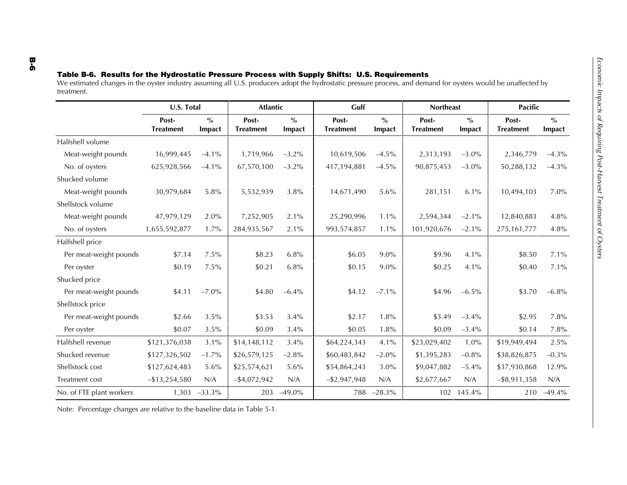|                          | U.S. Total                |                         | <b>Atlantic</b>           |                         | Gulf                      |                         | <b>Northeast</b>          |                         | <b>Pacific</b>            |                         |  |
|--------------------------|---------------------------|-------------------------|---------------------------|-------------------------|---------------------------|-------------------------|---------------------------|-------------------------|---------------------------|-------------------------|--|
|                          | Post-<br><b>Treatment</b> | $\frac{0}{0}$<br>Impact | Post-<br><b>Treatment</b> | $\frac{0}{0}$<br>Impact | Post-<br><b>Treatment</b> | $\frac{0}{0}$<br>Impact | Post-<br><b>Treatment</b> | $\frac{0}{0}$<br>Impact | Post-<br><b>Treatment</b> | $\frac{0}{0}$<br>Impact |  |
| Halfshell volume         |                           |                         |                           |                         |                           |                         |                           |                         |                           |                         |  |
| Meat-weight pounds       | 16,999,445                | $-4.1\%$                | 1,719,966                 | $-3.2%$                 | 10,619,506                | $-4.5\%$                | 2,313,193                 | $-3.0\%$                | 2,346,779                 | $-4.3\%$                |  |
| No. of oysters           | 625,928,566               | $-4.1\%$                | 67,570,100                | $-3.2%$                 | 417,194,881               | $-4.5\%$                | 90,875,453                | $-3.0\%$                | 50,288,132                | $-4.3\%$                |  |
| Shucked volume           |                           |                         |                           |                         |                           |                         |                           |                         |                           |                         |  |
| Meat-weight pounds       | 30,979,684                | 5.8%                    | 5,532,939                 | 3.8%                    | 14,671,490                | 5.6%                    | 281,151                   | 6.1%                    | 10,494,103                | $7.0\%$                 |  |
| Shellstock volume        |                           |                         |                           |                         |                           |                         |                           |                         |                           |                         |  |
| Meat-weight pounds       | 47,979,129                | $2.0\%$                 | 7,252,905                 | 2.1%                    | 25,290,996                | $1.1\%$                 | 2,594,344                 | $-2.1\%$                | 12,840,883                | 4.8%                    |  |
| No. of oysters           | 1,655,592,877             | $1.7\%$                 | 284,935,567               | 2.1%                    | 993,574,857               | $1.1\%$                 | 101,920,676               | $-2.1\%$                | 275,161,777               | 4.8%                    |  |
| Halfshell price          |                           |                         |                           |                         |                           |                         |                           |                         |                           |                         |  |
| Per meat-weight pounds   | \$7.14                    | 7.5%                    | \$8.23                    | 6.8%                    | \$6.05                    | $9.0\%$                 | \$9.96                    | 4.1%                    | \$8.50                    | 7.1%                    |  |
| Per oyster               | \$0.19                    | 7.5%                    | \$0.21                    | 6.8%                    | \$0.15                    | $9.0\%$                 | \$0.25                    | 4.1%                    | \$0.40                    | 7.1%                    |  |
| Shucked price            |                           |                         |                           |                         |                           |                         |                           |                         |                           |                         |  |
| Per meat-weight pounds   | \$4.11                    | $-7.0\%$                | \$4.80                    | $-6.4%$                 | \$4.12                    | $-7.1\%$                | \$4.96                    | $-6.5\%$                | \$3.70                    | $-6.8\%$                |  |
| Shellstock price         |                           |                         |                           |                         |                           |                         |                           |                         |                           |                         |  |
| Per meat-weight pounds   | \$2.66                    | 3.5%                    | \$3.53                    | 3.4%                    | \$2.17                    | 1.8%                    | \$3.49                    | $-3.4\%$                | \$2.95                    | 7.8%                    |  |
| Per oyster               | \$0.07                    | 3.5%                    | \$0.09                    | 3.4%                    | \$0.05                    | 1.8%                    | \$0.09                    | $-3.4%$                 | \$0.14                    | $7.8\%$                 |  |
| Halfshell revenue        | \$121,376,038             | 3.1%                    | \$14,148,112              | 3.4%                    | \$64,224,343              | 4.1%                    | \$23,029,402              | 1.0%                    | \$19,949,494              | $2.5\%$                 |  |
| Shucked revenue          | \$127,326,502             | $-1.7%$                 | \$26,579,125              | $-2.8%$                 | \$60,483,842              | $-2.0\%$                | \$1,395,283               | $-0.8%$                 | \$38,826,875              | $-0.3\%$                |  |
| Shellstock cost          | \$127,624,483             | 5.6%                    | \$25,574,621              | 5.6%                    | \$54,864,243              | 3.0%                    | \$9,047,882               | $-5.4%$                 | \$37,930,868              | 12.9%                   |  |
| Treatment cost           | $-$ \$13,254,580          | N/A                     | $-$ \$4,072,942           | N/A                     | $-$ \$2,947,948           | N/A                     | \$2,677,667               | N/A                     | $-$ \$8,911,358           | N/A                     |  |
| No. of FTE plant workers |                           | 1,303 -33.3%            |                           | 203 -49.0%              | 788                       | $-28.3\%$               |                           | 102 145.4%              |                           | 210 -49.4%              |  |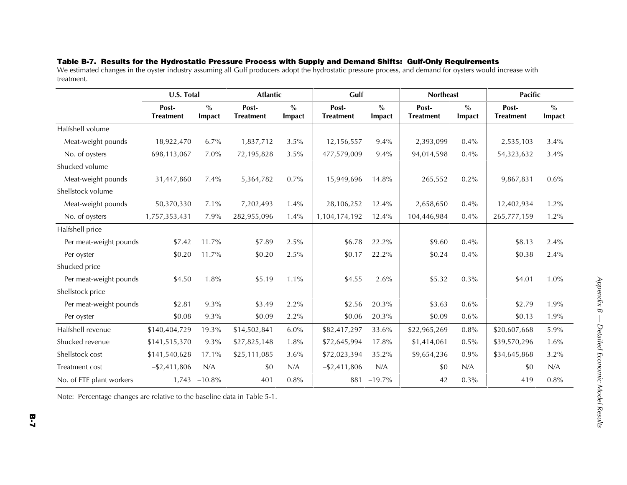### **Table B-7. Results for the Hydrostatic Pressure Process with Supply and Demand Shifts: Gulf-Only Requirements**

We estimated changes in the oyster industry assuming all Gulf producers adopt the hydrostatic pressure process, and demand for oysters would increase with treatment.

|                          | U.S. Total                |                         | <b>Atlantic</b>           |                                | Gulf                      |                         | <b>Northeast</b>          |                         | <b>Pacific</b>            |                         |
|--------------------------|---------------------------|-------------------------|---------------------------|--------------------------------|---------------------------|-------------------------|---------------------------|-------------------------|---------------------------|-------------------------|
|                          | Post-<br><b>Treatment</b> | $\frac{0}{0}$<br>Impact | Post-<br><b>Treatment</b> | $\frac{0}{0}$<br><b>Impact</b> | Post-<br><b>Treatment</b> | $\frac{0}{0}$<br>Impact | Post-<br><b>Treatment</b> | $\frac{0}{0}$<br>Impact | Post-<br><b>Treatment</b> | $\frac{6}{6}$<br>Impact |
| Halfshell volume         |                           |                         |                           |                                |                           |                         |                           |                         |                           |                         |
| Meat-weight pounds       | 18,922,470                | 6.7%                    | 1,837,712                 | 3.5%                           | 12,156,557                | $9.4\%$                 | 2,393,099                 | 0.4%                    | 2,535,103                 | 3.4%                    |
| No. of oysters           | 698,113,067               | $7.0\%$                 | 72,195,828                | 3.5%                           | 477,579,009               | 9.4%                    | 94,014,598                | 0.4%                    | 54,323,632                | 3.4%                    |
| Shucked volume           |                           |                         |                           |                                |                           |                         |                           |                         |                           |                         |
| Meat-weight pounds       | 31,447,860                | $7.4\%$                 | 5,364,782                 | 0.7%                           | 15,949,696                | 14.8%                   | 265,552                   | 0.2%                    | 9,867,831                 | $0.6\%$                 |
| Shellstock volume        |                           |                         |                           |                                |                           |                         |                           |                         |                           |                         |
| Meat-weight pounds       | 50,370,330                | $7.1\%$                 | 7,202,493                 | 1.4%                           | 28,106,252                | 12.4%                   | 2,658,650                 | 0.4%                    | 12,402,934                | 1.2%                    |
| No. of oysters           | 1,757,353,431             | 7.9%                    | 282,955,096               | 1.4%                           | 1,104,174,192             | 12.4%                   | 104,446,984               | 0.4%                    | 265,777,159               | 1.2%                    |
| Halfshell price          |                           |                         |                           |                                |                           |                         |                           |                         |                           |                         |
| Per meat-weight pounds   | \$7.42                    | 11.7%                   | \$7.89                    | 2.5%                           | \$6.78                    | 22.2%                   | \$9.60                    | 0.4%                    | \$8.13                    | 2.4%                    |
| Per oyster               | \$0.20                    | 11.7%                   | \$0.20                    | 2.5%                           | \$0.17                    | 22.2%                   | \$0.24                    | 0.4%                    | \$0.38                    | 2.4%                    |
| Shucked price            |                           |                         |                           |                                |                           |                         |                           |                         |                           |                         |
| Per meat-weight pounds   | \$4.50                    | 1.8%                    | \$5.19                    | 1.1%                           | \$4.55                    | 2.6%                    | \$5.32                    | 0.3%                    | \$4.01                    | 1.0%                    |
| Shellstock price         |                           |                         |                           |                                |                           |                         |                           |                         |                           |                         |
| Per meat-weight pounds   | \$2.81                    | 9.3%                    | \$3.49                    | 2.2%                           | \$2.56                    | 20.3%                   | \$3.63                    | 0.6%                    | \$2.79                    | 1.9%                    |
| Per oyster               | \$0.08                    | 9.3%                    | \$0.09                    | 2.2%                           | \$0.06                    | 20.3%                   | \$0.09                    | 0.6%                    | \$0.13                    | 1.9%                    |
| Halfshell revenue        | \$140,404,729             | 19.3%                   | \$14,502,841              | 6.0%                           | \$82,417,297              | 33.6%                   | \$22,965,269              | 0.8%                    | \$20,607,668              | 5.9%                    |
| Shucked revenue          | \$141,515,370             | 9.3%                    | \$27,825,148              | 1.8%                           | \$72,645,994              | 17.8%                   | \$1,414,061               | 0.5%                    | \$39,570,296              | 1.6%                    |
| Shellstock cost          | \$141,540,628             | 17.1%                   | \$25,111,085              | 3.6%                           | \$72,023,394              | 35.2%                   | \$9,654,236               | 0.9%                    | \$34,645,868              | 3.2%                    |
| Treatment cost           | $-$ \$2,411,806           | N/A                     | \$0                       | N/A                            | $-$ \$2,411,806           | N/A                     | \$0                       | N/A                     | \$0                       | N/A                     |
| No. of FTE plant workers | 1,743                     | $-10.8%$                | 401                       | 0.8%                           | 881                       | $-19.7\%$               | 42                        | 0.3%                    | 419                       | 0.8%                    |